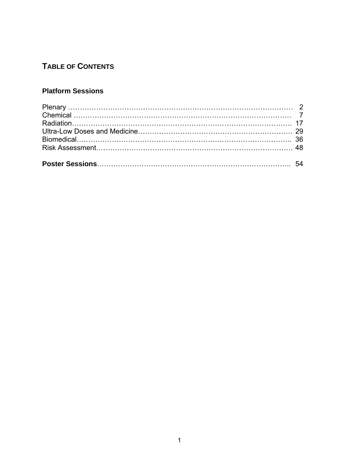# **TABLE OF CONTENTS**

# **Platform Sessions**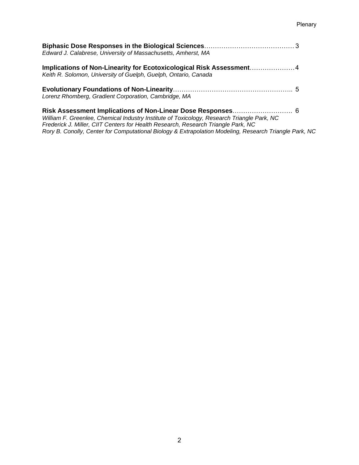| Edward J. Calabrese, University of Massachusetts, Amherst, MA                                                                          |  |
|----------------------------------------------------------------------------------------------------------------------------------------|--|
| Implications of Non-Linearity for Ecotoxicological Risk Assessment4<br>Keith R. Solomon, University of Guelph, Guelph, Ontario, Canada |  |
| Lorenz Rhomberg, Gradient Corporation, Cambridge, MA                                                                                   |  |
| William F. Greenlee, Chemical Industry Institute of Toxicology, Research Triangle Park, NC                                             |  |

*Rory B. Conolly, Center for Computational Biology & Extrapolation Modeling, Research Triangle Park, NC* 

*Frederick J. Miller, CIIT Centers for Health Research, Research Triangle Park, NC*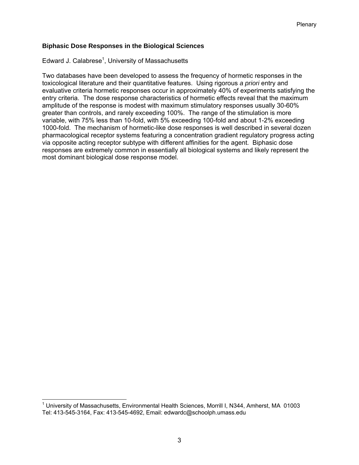# **Biphasic Dose Responses in the Biological Sciences**

## Edward J. Calabrese<sup>1</sup>, University of Massachusetts

Two databases have been developed to assess the frequency of hormetic responses in the toxicological literature and their quantitative features. Using rigorous *a priori* entry and evaluative criteria hormetic responses occur in approximately 40% of experiments satisfying the entry criteria. The dose response characteristics of hormetic effects reveal that the maximum amplitude of the response is modest with maximum stimulatory responses usually 30-60% greater than controls, and rarely exceeding 100%. The range of the stimulation is more variable, with 75% less than 10-fold, with 5% exceeding 100-fold and about 1-2% exceeding 1000-fold. The mechanism of hormetic-like dose responses is well described in several dozen pharmacological receptor systems featuring a concentration gradient regulatory progress acting via opposite acting receptor subtype with different affinities for the agent. Biphasic dose responses are extremely common in essentially all biological systems and likely represent the most dominant biological dose response model.

 $\overline{a}$ 

<sup>&</sup>lt;sup>1</sup> University of Massachusetts, Environmental Health Sciences, Morrill I, N344, Amherst, MA 01003 Tel: 413-545-3164, Fax: 413-545-4692, Email: edwardc@schoolph.umass.edu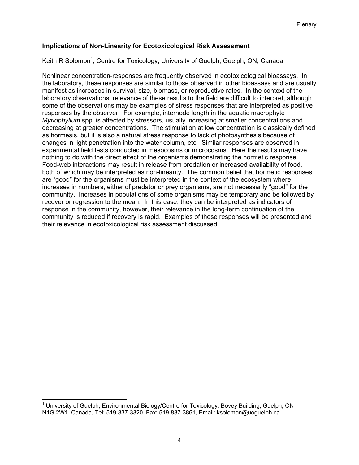# **Implications of Non-Linearity for Ecotoxicological Risk Assessment**

Keith R Solomon<sup>1</sup>, Centre for Toxicology, University of Guelph, Guelph, ON, Canada

Nonlinear concentration-responses are frequently observed in ecotoxicological bioassays. In the laboratory, these responses are similar to those observed in other bioassays and are usually manifest as increases in survival, size, biomass, or reproductive rates. In the context of the laboratory observations, relevance of these results to the field are difficult to interpret, although some of the observations may be examples of stress responses that are interpreted as positive responses by the observer. For example, internode length in the aquatic macrophyte *Myriophyllum* spp. is affected by stressors, usually increasing at smaller concentrations and decreasing at greater concentrations. The stimulation at low concentration is classically defined as hormesis, but it is also a natural stress response to lack of photosynthesis because of changes in light penetration into the water column, etc. Similar responses are observed in experimental field tests conducted in mesocosms or microcosms. Here the results may have nothing to do with the direct effect of the organisms demonstrating the hormetic response. Food-web interactions may result in release from predation or increased availability of food, both of which may be interpreted as non-linearity. The common belief that hormetic responses are "good" for the organisms must be interpreted in the context of the ecosystem where increases in numbers, either of predator or prey organisms, are not necessarily "good" for the community. Increases in populations of some organisms may be temporary and be followed by recover or regression to the mean. In this case, they can be interpreted as indicators of response in the community, however, their relevance in the long-term continuation of the community is reduced if recovery is rapid. Examples of these responses will be presented and their relevance in ecotoxicological risk assessment discussed.

 <sup>1</sup> University of Guelph, Environmental Biology/Centre for Toxicology, Bovey Building, Guelph, ON N1G 2W1, Canada, Tel: 519-837-3320, Fax: 519-837-3861, Email: ksolomon@uoguelph.ca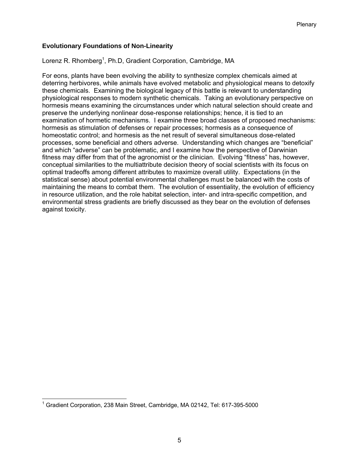# **Evolutionary Foundations of Non-Linearity**

# Lorenz R. Rhomberg<sup>1</sup>, Ph.D, Gradient Corporation, Cambridge, MA

For eons, plants have been evolving the ability to synthesize complex chemicals aimed at deterring herbivores, while animals have evolved metabolic and physiological means to detoxify these chemicals. Examining the biological legacy of this battle is relevant to understanding physiological responses to modern synthetic chemicals. Taking an evolutionary perspective on hormesis means examining the circumstances under which natural selection should create and preserve the underlying nonlinear dose-response relationships; hence, it is tied to an examination of hormetic mechanisms. I examine three broad classes of proposed mechanisms: hormesis as stimulation of defenses or repair processes; hormesis as a consequence of homeostatic control; and hormesis as the net result of several simultaneous dose-related processes, some beneficial and others adverse. Understanding which changes are "beneficial" and which "adverse" can be problematic, and I examine how the perspective of Darwinian fitness may differ from that of the agronomist or the clinician. Evolving "fitness" has, however, conceptual similarities to the multiattribute decision theory of social scientists with its focus on optimal tradeoffs among different attributes to maximize overall utility. Expectations (in the statistical sense) about potential environmental challenges must be balanced with the costs of maintaining the means to combat them. The evolution of essentiality, the evolution of efficiency in resource utilization, and the role habitat selection, inter- and intra-specific competition, and environmental stress gradients are briefly discussed as they bear on the evolution of defenses against toxicity.

 <sup>1</sup> Gradient Corporation, 238 Main Street, Cambridge, MA 02142, Tel: 617-395-5000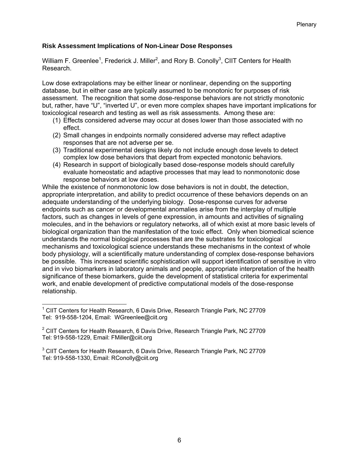# **Risk Assessment Implications of Non-Linear Dose Responses**

William F. Greenlee<sup>1</sup>, Frederick J. Miller<sup>2</sup>, and Rory B. Conolly<sup>3</sup>, CIIT Centers for Health Research.

Low dose extrapolations may be either linear or nonlinear, depending on the supporting database, but in either case are typically assumed to be monotonic for purposes of risk assessment. The recognition that some dose-response behaviors are not strictly monotonic but, rather, have "U", "inverted U", or even more complex shapes have important implications for toxicological research and testing as well as risk assessments. Among these are:

- (1) Effects considered adverse may occur at doses lower than those associated with no effect.
- (2) Small changes in endpoints normally considered adverse may reflect adaptive responses that are not adverse per se.
- (3) Traditional experimental designs likely do not include enough dose levels to detect complex low dose behaviors that depart from expected monotonic behaviors.
- (4) Research in support of biologically based dose-response models should carefully evaluate homeostatic and adaptive processes that may lead to nonmonotonic dose response behaviors at low doses.

While the existence of nonmonotonic low dose behaviors is not in doubt, the detection, appropriate interpretation, and ability to predict occurrence of these behaviors depends on an adequate understanding of the underlying biology. Dose-response curves for adverse endpoints such as cancer or developmental anomalies arise from the interplay of multiple factors, such as changes in levels of gene expression, in amounts and activities of signaling molecules, and in the behaviors or regulatory networks, all of which exist at more basic levels of biological organization than the manifestation of the toxic effect. Only when biomedical science understands the normal biological processes that are the substrates for toxicological mechanisms and toxicological science understands these mechanisms in the context of whole body physiology, will a scientifically mature understanding of complex dose-response behaviors be possible. This increased scientific sophistication will support identification of sensitive in vitro and in vivo biomarkers in laboratory animals and people, appropriate interpretation of the health significance of these biomarkers, guide the development of statistical criteria for experimental work, and enable development of predictive computational models of the dose-response relationship.

<sup>-</sup><sup>1</sup> CIIT Centers for Health Research, 6 Davis Drive, Research Triangle Park, NC 27709 Tel: 919-558-1204, Email: WGreenlee@ciit.org

 $2$  CIIT Centers for Health Research, 6 Davis Drive, Research Triangle Park, NC 27709 Tel: 919-558-1229, Email: FMiller@ciit.org

 $3$  CIIT Centers for Health Research, 6 Davis Drive, Research Triangle Park, NC 27709 Tel: 919-558-1330, Email: RConolly@ciit.org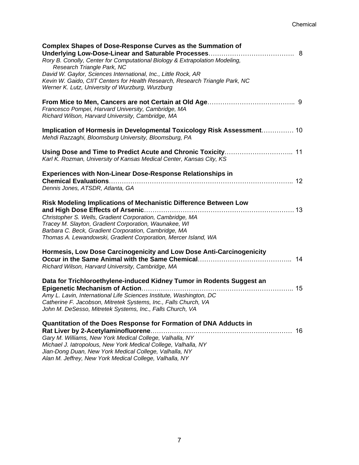| <b>Complex Shapes of Dose-Response Curves as the Summation of</b><br>Rory B. Conolly, Center for Computational Biology & Extrapolation Modeling,<br>Research Triangle Park, NC<br>David W. Gaylor, Sciences International, Inc., Little Rock, AR<br>Kevin W. Gaido, CIIT Centers for Health Research, Research Triangle Park, NC |
|----------------------------------------------------------------------------------------------------------------------------------------------------------------------------------------------------------------------------------------------------------------------------------------------------------------------------------|
| Werner K. Lutz, University of Wurzburg, Wurzburg<br>Francesco Pompei, Harvard University, Cambridge, MA<br>Richard Wilson, Harvard University, Cambridge, MA                                                                                                                                                                     |
| Implication of Hormesis in Developmental Toxicology Risk Assessment 10<br>Mehdi Razzaghi, Bloomsburg University, Bloomsburg, PA                                                                                                                                                                                                  |
| Karl K. Rozman, University of Kansas Medical Center, Kansas City, KS                                                                                                                                                                                                                                                             |
| <b>Experiences with Non-Linear Dose-Response Relationships in</b><br>Dennis Jones, ATSDR, Atlanta, GA                                                                                                                                                                                                                            |
| Risk Modeling Implications of Mechanistic Difference Between Low<br>Christopher S. Wells, Gradient Corporation, Cambridge, MA<br>Tracey M. Slayton, Gradient Corporation, Waunakee, WI<br>Barbara C. Beck, Gradient Corporation, Cambridge, MA<br>Thomas A. Lewandowski, Gradient Corporation, Mercer Island, WA                 |
| Hormesis, Low Dose Carcinogenicity and Low Dose Anti-Carcinogenicity<br>14<br>Richard Wilson, Harvard University, Cambridge, MA                                                                                                                                                                                                  |
| Data for Trichloroethylene-induced Kidney Tumor in Rodents Suggest an<br>15<br>Amy L. Lavin, International Life Sciences Institute, Washington, DC<br>Catherine F. Jacobson, Mitretek Systems, Inc., Falls Church, VA<br>John M. DeSesso, Mitretek Systems, Inc., Falls Church, VA                                               |
| Quantitation of the Does Response for Formation of DNA Adducts in<br>Rat Liver by 2-Acetylaminofluorene<br>16<br>Gary M. Williams, New York Medical College, Valhalla, NY<br>Michael J. latropolous, New York Medical College, Valhalla, NY<br>Jian-Dong Duan, New York Medical College, Valhalla, NY                            |

*Alan M. Jeffrey, New York Medical College, Valhalla, NY*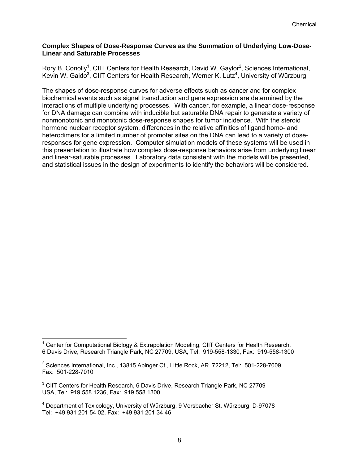#### **Complex Shapes of Dose-Response Curves as the Summation of Underlying Low-Dose-Linear and Saturable Processes**

Rory B. Conolly<sup>1</sup>, CIIT Centers for Health Research, David W. Gaylor<sup>2</sup>, Sciences International, Kevin W. Gaido<sup>3</sup>, CIIT Centers for Health Research, Werner K. Lutz<sup>4</sup>, University of Würzburg

The shapes of dose-response curves for adverse effects such as cancer and for complex biochemical events such as signal transduction and gene expression are determined by the interactions of multiple underlying processes. With cancer, for example, a linear dose-response for DNA damage can combine with inducible but saturable DNA repair to generate a variety of nonmonotonic and monotonic dose-response shapes for tumor incidence. With the steroid hormone nuclear receptor system, differences in the relative affinities of ligand homo- and heterodimers for a limited number of promoter sites on the DNA can lead to a variety of doseresponses for gene expression. Computer simulation models of these systems will be used in this presentation to illustrate how complex dose-response behaviors arise from underlying linear and linear-saturable processes. Laboratory data consistent with the models will be presented, and statistical issues in the design of experiments to identify the behaviors will be considered.

 $\overline{a}$ 

<sup>&</sup>lt;sup>1</sup> Center for Computational Biology & Extrapolation Modeling, CIIT Centers for Health Research, 6 Davis Drive, Research Triangle Park, NC 27709, USA, Tel: 919-558-1330, Fax: 919-558-1300

 $2$  Sciences International, Inc., 13815 Abinger Ct., Little Rock, AR 72212, Tel: 501-228-7009 Fax: 501-228-7010

 $3$  CIIT Centers for Health Research, 6 Davis Drive, Research Triangle Park, NC 27709 USA, Tel: 919.558.1236, Fax: 919.558.1300

<sup>&</sup>lt;sup>4</sup> Department of Toxicology, University of Würzburg, 9 Versbacher St, Würzburg D-97078 Tel: +49 931 201 54 02, Fax: +49 931 201 34 46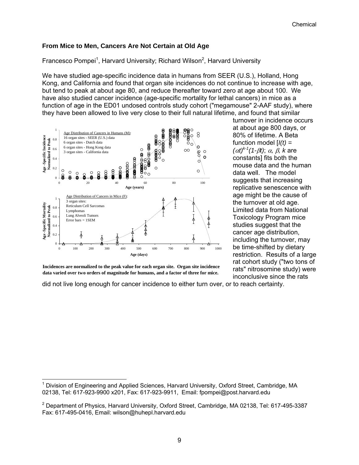# **From Mice to Men, Cancers Are Not Certain at Old Age**

Francesco Pompei<sup>1</sup>, Harvard University; Richard Wilson<sup>2</sup>, Harvard University

We have studied age-specific incidence data in humans from SEER (U.S.), Holland, Hong Kong, and California and found that organ site incidences do not continue to increase with age, but tend to peak at about age 80, and reduce thereafter toward zero at age about 100. We have also studied cancer incidence (age-specific mortality for lethal cancers) in mice as a function of age in the ED01 undosed controls study cohort ("megamouse" 2-AAF study), where they have been allowed to live very close to their full natural lifetime, and found that similar



turnover in incidence occurs at about age 800 days, or 80% of lifetime. A Beta function model [*I(t) = (*α*t)k-1(1-*β*t)*; α*,* β*, k* are constants] fits both the mouse data and the human data well. The model suggests that increasing replicative senescence with age might be the cause of the turnover at old age. Limited data from National Toxicology Program mice studies suggest that the cancer age distribution, including the turnover, may be time-shifted by dietary restriction. Results of a large rat cohort study ("two tons of rats" nitrosomine study) were inconclusive since the rats

**Incidences are normalized to the peak value for each organ site. Organ site incidence data varied over two orders of magnitude for humans, and a factor of three for mice.** 

 $\overline{a}$ 

did not live long enough for cancer incidence to either turn over, or to reach certainty.

<sup>&</sup>lt;sup>1</sup> Division of Engineering and Applied Sciences, Harvard University, Oxford Street, Cambridge, MA 02138, Tel: 617-923-9900 x201, Fax: 617-923-9911, Email: fpompei@post.harvard.edu

 $^2$  Department of Physics, Harvard University, Oxford Street, Cambridge, MA 02138, Tel: 617-495-3387 Fax: 617-495-0416, Email: wilson@huhepl.harvard.edu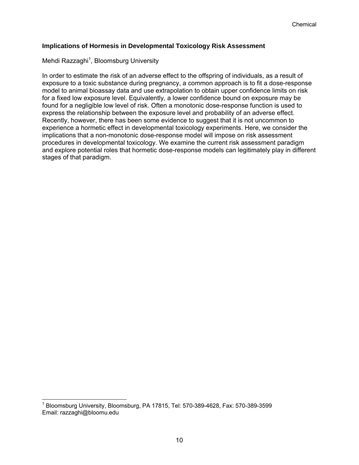# **Implications of Hormesis in Developmental Toxicology Risk Assessment**

## Mehdi Razzaghi<sup>1</sup>, Bloomsburg University

In order to estimate the risk of an adverse effect to the offspring of individuals, as a result of exposure to a toxic substance during pregnancy, a common approach is to fit a dose-response model to animal bioassay data and use extrapolation to obtain upper confidence limits on risk for a fixed low exposure level. Equivalently, a lower confidence bound on exposure may be found for a negligible low level of risk. Often a monotonic dose-response function is used to express the relationship between the exposure level and probability of an adverse effect. Recently, however, there has been some evidence to suggest that it is not uncommon to experience a hormetic effect in developmental toxicology experiments. Here, we consider the implications that a non-monotonic dose-response model will impose on risk assessment procedures in developmental toxicology. We examine the current risk assessment paradigm and explore potential roles that hormetic dose-response models can legitimately play in different stages of that paradigm.

 $\overline{a}$ 

<sup>1</sup> Bloomsburg University, Bloomsburg, PA 17815, Tel: 570-389-4628, Fax: 570-389-3599 Email: razzaghi@bloomu.edu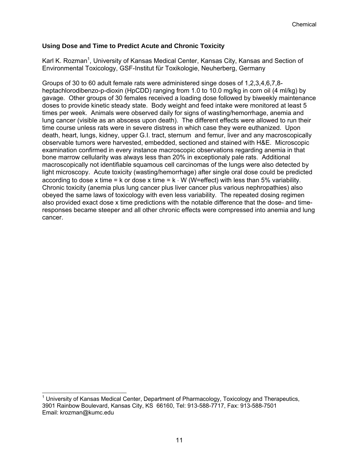# **Using Dose and Time to Predict Acute and Chronic Toxicity**

Karl K. Rozman<sup>1</sup>, University of Kansas Medical Center, Kansas City, Kansas and Section of Environmental Toxicology, GSF-Institut für Toxikologie, Neuherberg, Germany

Groups of 30 to 60 adult female rats were administered singe doses of 1,2,3,4,6,7,8 heptachlorodibenzo-p-dioxin (HpCDD) ranging from 1.0 to 10.0 mg/kg in corn oil (4 ml/kg) by gavage. Other groups of 30 females received a loading dose followed by biweekly maintenance doses to provide kinetic steady state. Body weight and feed intake were monitored at least 5 times per week. Animals were observed daily for signs of wasting/hemorrhage, anemia and lung cancer (visible as an abscess upon death). The different effects were allowed to run their time course unless rats were in severe distress in which case they were euthanized. Upon death, heart, lungs, kidney, upper G.I. tract, sternum and femur, liver and any macroscopically observable tumors were harvested, embedded, sectioned and stained with H&E. Microscopic examination confirmed in every instance macroscopic observations regarding anemia in that bone marrow cellularity was always less than 20% in exceptionaly pale rats. Additional macroscopically not identifiable squamous cell carcinomas of the lungs were also detected by light microscopy. Acute toxicity (wasting/hemorrhage) after single oral dose could be predicted according to dose x time = k or dose x time =  $k \cdot W$  (W=effect) with less than 5% variability. Chronic toxicity (anemia plus lung cancer plus liver cancer plus various nephropathies) also obeyed the same laws of toxicology with even less variability. The repeated dosing regimen also provided exact dose x time predictions with the notable difference that the dose- and timeresponses became steeper and all other chronic effects were compressed into anemia and lung cancer.

 1 University of Kansas Medical Center, Department of Pharmacology, Toxicology and Therapeutics, 3901 Rainbow Boulevard, Kansas City, KS 66160, Tel: 913-588-7717, Fax: 913-588-7501 Email: krozman@kumc.edu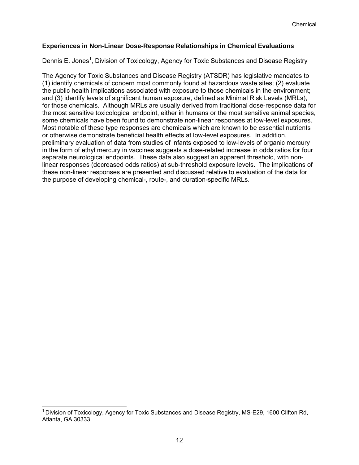# **Experiences in Non-Linear Dose-Response Relationships in Chemical Evaluations**

Dennis E. Jones<sup>1</sup>, Division of Toxicology, Agency for Toxic Substances and Disease Registry

The Agency for Toxic Substances and Disease Registry (ATSDR) has legislative mandates to (1) identify chemicals of concern most commonly found at hazardous waste sites; (2) evaluate the public health implications associated with exposure to those chemicals in the environment; and (3) identify levels of significant human exposure, defined as Minimal Risk Levels (MRLs), for those chemicals. Although MRLs are usually derived from traditional dose-response data for the most sensitive toxicological endpoint, either in humans or the most sensitive animal species, some chemicals have been found to demonstrate non-linear responses at low-level exposures. Most notable of these type responses are chemicals which are known to be essential nutrients or otherwise demonstrate beneficial health effects at low-level exposures. In addition, preliminary evaluation of data from studies of infants exposed to low-levels of organic mercury in the form of ethyl mercury in vaccines suggests a dose-related increase in odds ratios for four separate neurological endpoints. These data also suggest an apparent threshold, with nonlinear responses (decreased odds ratios) at sub-threshold exposure levels. The implications of these non-linear responses are presented and discussed relative to evaluation of the data for the purpose of developing chemical-, route-, and duration-specific MRLs.

-

<sup>1</sup> Division of Toxicology, Agency for Toxic Substances and Disease Registry, MS-E29, 1600 Clifton Rd, Atlanta, GA 30333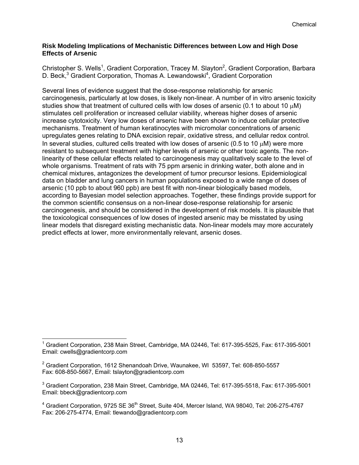#### **Risk Modeling Implications of Mechanistic Differences between Low and High Dose Effects of Arsenic**

Christopher S. Wells<sup>1</sup>, Gradient Corporation, Tracey M. Slayton<sup>2</sup>, Gradient Corporation, Barbara D. Beck,<sup>3</sup> Gradient Corporation, Thomas A. Lewandowski<sup>4</sup>, Gradient Corporation

Several lines of evidence suggest that the dose-response relationship for arsenic carcinogenesis, particularly at low doses, is likely non-linear. A number of in vitro arsenic toxicity studies show that treatment of cultured cells with low doses of arsenic (0.1 to about 10  $\mu$ M) stimulates cell proliferation or increased cellular viability, whereas higher doses of arsenic increase cytotoxicity. Very low doses of arsenic have been shown to induce cellular protective mechanisms. Treatment of human keratinocytes with micromolar concentrations of arsenic upregulates genes relating to DNA excision repair, oxidative stress, and cellular redox control. In several studies, cultured cells treated with low doses of arsenic  $(0.5 \text{ to } 10 \text{ uM})$  were more resistant to subsequent treatment with higher levels of arsenic or other toxic agents. The nonlinearity of these cellular effects related to carcinogenesis may qualitatively scale to the level of whole organisms. Treatment of rats with 75 ppm arsenic in drinking water, both alone and in chemical mixtures, antagonizes the development of tumor precursor lesions. Epidemiological data on bladder and lung cancers in human populations exposed to a wide range of doses of arsenic (10 ppb to about 960 ppb) are best fit with non-linear biologically based models, according to Bayesian model selection approaches. Together, these findings provide support for the common scientific consensus on a non-linear dose-response relationship for arsenic carcinogenesis, and should be considered in the development of risk models. It is plausible that the toxicological consequences of low doses of ingested arsenic may be misstated by using linear models that disregard existing mechanistic data. Non-linear models may more accurately predict effects at lower, more environmentally relevant, arsenic doses.

<sup>&</sup>lt;sup>1</sup> Gradient Corporation, 238 Main Street, Cambridge, MA 02446, Tel: 617-395-5525, Fax: 617-395-5001 Email: cwells@gradientcorp.com

 $2$  Gradient Corporation, 1612 Shenandoah Drive, Waunakee, WI 53597, Tel: 608-850-5557 Fax: 608-850-5667, Email: tslayton@gradientcorp.com

 $^3$  Gradient Corporation, 238 Main Street, Cambridge, MA 02446, Tel: 617-395-5518, Fax: 617-395-5001 Email: bbeck@gradientcorp.com

 $^4$  Gradient Corporation, 9725 SE 36<sup>th</sup> Street, Suite 404, Mercer Island, WA 98040, Tel: 206-275-4767 Fax: 206-275-4774, Email: tlewando@gradientcorp.com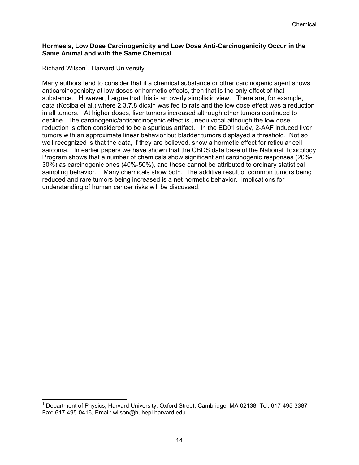#### **Hormesis, Low Dose Carcinogenicity and Low Dose Anti-Carcinogenicity Occur in the Same Animal and with the Same Chemical**

## Richard Wilson<sup>1</sup>, Harvard University

 $\overline{a}$ 

Many authors tend to consider that if a chemical substance or other carcinogenic agent shows anticarcinogenicity at low doses or hormetic effects, then that is the only effect of that substance. However, I argue that this is an overly simplistic view. There are, for example, data (Kociba et al.) where 2,3,7,8 dioxin was fed to rats and the low dose effect was a reduction in all tumors. At higher doses, liver tumors increased although other tumors continued to decline. The carcinogenic/anticarcinogenic effect is unequivocal although the low dose reduction is often considered to be a spurious artifact. In the ED01 study, 2-AAF induced liver tumors with an approximate linear behavior but bladder tumors displayed a threshold. Not so well recognized is that the data, if they are believed, show a hormetic effect for reticular cell sarcoma. In earlier papers we have shown that the CBDS data base of the National Toxicology Program shows that a number of chemicals show significant anticarcinogenic responses (20%- 30%) as carcinogenic ones (40%-50%), and these cannot be attributed to ordinary statistical sampling behavior. Many chemicals show both. The additive result of common tumors being reduced and rare tumors being increased is a net hormetic behavior. Implications for understanding of human cancer risks will be discussed.

<sup>&</sup>lt;sup>1</sup> Department of Physics, Harvard University, Oxford Street, Cambridge, MA 02138, Tel: 617-495-3387 Fax: 617-495-0416, Email: wilson@huhepl.harvard.edu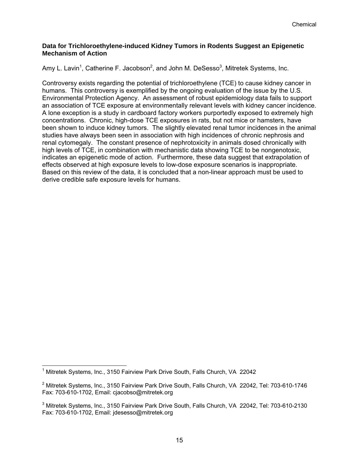#### **Data for Trichloroethylene-induced Kidney Tumors in Rodents Suggest an Epigenetic Mechanism of Action**

Amy L. Lavin<sup>1</sup>, Catherine F. Jacobson<sup>2</sup>, and John M. DeSesso<sup>3</sup>, Mitretek Systems, Inc.

Controversy exists regarding the potential of trichloroethylene (TCE) to cause kidney cancer in humans. This controversy is exemplified by the ongoing evaluation of the issue by the U.S. Environmental Protection Agency. An assessment of robust epidemiology data fails to support an association of TCE exposure at environmentally relevant levels with kidney cancer incidence. A lone exception is a study in cardboard factory workers purportedly exposed to extremely high concentrations. Chronic, high-dose TCE exposures in rats, but not mice or hamsters, have been shown to induce kidney tumors. The slightly elevated renal tumor incidences in the animal studies have always been seen in association with high incidences of chronic nephrosis and renal cytomegaly. The constant presence of nephrotoxicity in animals dosed chronically with high levels of TCE, in combination with mechanistic data showing TCE to be nongenotoxic, indicates an epigenetic mode of action. Furthermore, these data suggest that extrapolation of effects observed at high exposure levels to low-dose exposure scenarios is inappropriate. Based on this review of the data, it is concluded that a non-linear approach must be used to derive credible safe exposure levels for humans.

<sup>&</sup>lt;sup>1</sup> Mitretek Systems, Inc., 3150 Fairview Park Drive South, Falls Church, VA 22042

 $^2$  Mitretek Systems, Inc., 3150 Fairview Park Drive South, Falls Church, VA 22042, Tel: 703-610-1746 Fax: 703-610-1702, Email: cjacobso@mitretek.org

<sup>&</sup>lt;sup>3</sup> Mitretek Systems, Inc., 3150 Fairview Park Drive South, Falls Church, VA 22042, Tel: 703-610-2130 Fax: 703-610-1702, Email: jdesesso@mitretek.org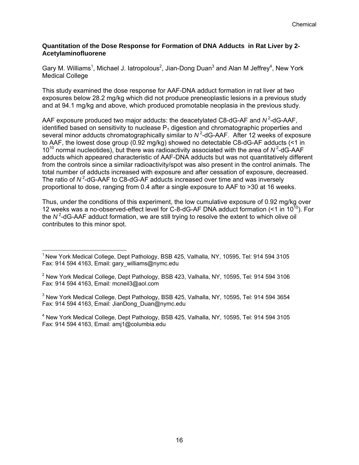## **Quantitation of the Dose Response for Formation of DNA Adducts in Rat Liver by 2- Acetylaminofluorene**

Gary M. Williams<sup>1</sup>, Michael J. latropolous<sup>2</sup>, Jian-Dong Duan<sup>3</sup> and Alan M Jeffrey<sup>4</sup>, New York Medical College

This study examined the dose response for AAF-DNA adduct formation in rat liver at two exposures below 28.2 mg/kg which did not produce preneoplastic lesions in a previous study and at 94.1 mg/kg and above, which produced promotable neoplasia in the previous study.

AAF exposure produced two major adducts: the deacetylated C8-dG-AF and  $N^2$ -dG-AAF, identified based on sensitivity to nuclease  $P_1$  digestion and chromatographic properties and several minor adducts chromatographically similar to  $N^2$ -dG-AAF. After 12 weeks of exposure to AAF, the lowest dose group (0.92 mg/kg) showed no detectable C8-dG-AF adducts (<1 in 10<sup>10</sup> normal nucleotides), but there was radioactivity associated with the area of N<sup>2</sup>-dG-AAF adducts which appeared characteristic of AAF-DNA adducts but was not quantitatively different from the controls since a similar radioactivity/spot was also present in the control animals. The total number of adducts increased with exposure and after cessation of exposure, decreased. The ratio of N<sup>2</sup>-dG-AAF to C8-dG-AF adducts increased over time and was inversely proportional to dose, ranging from 0.4 after a single exposure to AAF to >30 at 16 weeks.

Thus, under the conditions of this experiment, the low cumulative exposure of 0.92 mg/kg over 12 weeks was a no-observed-effect level for C-8-dG-AF DNA adduct formation  $(<1$  in 10<sup>10</sup>). For the  $N^2$ -dG-AAF adduct formation, we are still trying to resolve the extent to which olive oil contributes to this minor spot.

<sup>-</sup><sup>1</sup> New York Medical College, Dept Pathology, BSB 425, Valhalla, NY, 10595, Tel: 914 594 3105 Fax: 914 594 4163, Email: gary\_williams@nymc.edu

 $^2$  New York Medical College, Dept Pathology, BSB 423, Valhalla, NY, 10595, Tel: 914 594 3106 Fax: 914 594 4163, Email: mcneil3@aol.com

 $^3$  New York Medical College, Dept Pathology, BSB 425, Valhalla, NY, 10595, Tel: 914 594 3654 Fax: 914 594 4163, Email: JianDong\_Duan@nymc.edu

<sup>&</sup>lt;sup>4</sup> New York Medical College, Dept Pathology, BSB 425, Valhalla, NY, 10595, Tel: 914 594 3105 Fax: 914 594 4163, Email: amj1@columbia.edu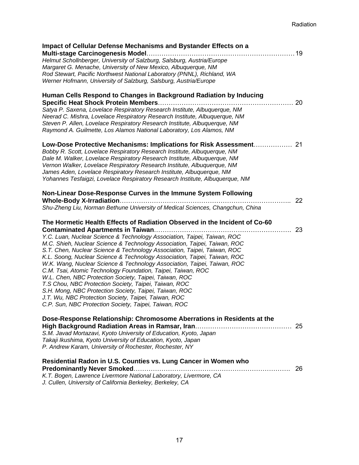| Impact of Cellular Defense Mechanisms and Bystander Effects on a                                                                |    |
|---------------------------------------------------------------------------------------------------------------------------------|----|
|                                                                                                                                 | 19 |
| Helmut Schollnberger, University of Salzburg, Salsburg, Austria/Europe                                                          |    |
| Margaret G. Menache, University of New Mexico, Albuquerque, NM                                                                  |    |
| Rod Stewart, Pacific Northwest National Laboratory (PNNL), Richland, WA                                                         |    |
| Werner Hofmann, University of Salzburg, Salsburg, Austria/Europe                                                                |    |
| Human Cells Respond to Changes in Background Radiation by Inducing                                                              |    |
| Specific Heat Shock Protein Members                                                                                             | 20 |
| Satya P. Saxena, Lovelace Respiratory Research Institute, Albuquerque, NM                                                       |    |
| Neerad C. Mishra, Lovelace Respiratory Research Institute, Albuquerque, NM                                                      |    |
| Steven P. Allen, Lovelace Respiratory Research Institute, Albuquerque, NM                                                       |    |
| Raymond A. Guilmette, Los Alamos National Laboratory, Los Alamos, NM                                                            |    |
| Low-Dose Protective Mechanisms: Implications for Risk Assessment                                                                | 21 |
| Bobby R. Scott, Lovelace Respiratory Research Institute, Albuquerque, NM                                                        |    |
| Dale M. Walker, Lovelace Respiratory Research Institute, Albuquerque, NM                                                        |    |
| Vernon Walker, Lovelace Respiratory Research Institute, Albuquerque, NM                                                         |    |
| James Aden, Lovelace Respiratory Research Institute, Albuquerque, NM                                                            |    |
| Yohannes Tesfaigzi, Lovelace Respiratory Research Institute, Albuquerque, NM                                                    |    |
| Non-Linear Dose-Response Curves in the Immune System Following                                                                  | 22 |
| Shu-Zheng Liu, Norman Bethune University of Medical Sciences, Changchun, China                                                  |    |
|                                                                                                                                 |    |
|                                                                                                                                 |    |
| The Hormetic Health Effects of Radiation Observed in the Incident of Co-60                                                      |    |
| Contaminated Apartments in Taiwan                                                                                               | 23 |
| Y.C. Luan, Nuclear Science & Technology Association, Taipei, Taiwan, ROC                                                        |    |
| M.C. Shieh, Nuclear Science & Technology Association, Taipei, Taiwan, ROC                                                       |    |
| S.T. Chen, Nuclear Science & Technology Association, Taipei, Taiwan, ROC                                                        |    |
| K.L. Soong, Nuclear Science & Technology Association, Taipei, Taiwan, ROC                                                       |    |
| W.K. Wang, Nuclear Science & Technology Association, Taipei, Taiwan, ROC                                                        |    |
| C.M. Tsai, Atomic Technology Foundation, Taipei, Taiwan, ROC                                                                    |    |
| W.L. Chen, NBC Protection Society, Taipei, Taiwan, ROC<br>T.S Chou, NBC Protection Society, Taipei, Taiwan, ROC                 |    |
| S.H. Mong, NBC Protection Society, Taipei, Taiwan, ROC                                                                          |    |
| J.T. Wu, NBC Protection Society, Taipei, Taiwan, ROC                                                                            |    |
| C.P. Sun, NBC Protection Society, Taipei, Taiwan, ROC                                                                           |    |
| Dose-Response Relationship: Chromosome Aberrations in Residents at the                                                          |    |
|                                                                                                                                 |    |
| S.M. Javad Mortazavi, Kyoto University of Education, Kyoto, Japan                                                               |    |
| Takaji Ikushima, Kyoto University of Education, Kyoto, Japan                                                                    |    |
| P. Andrew Karam, University of Rochester, Rochester, NY                                                                         |    |
| Residential Radon in U.S. Counties vs. Lung Cancer in Women who                                                                 |    |
|                                                                                                                                 | 26 |
| K.T. Bogen, Lawrence Livermore National Laboratory, Livermore, CA<br>J. Cullen, University of California Berkeley, Berkeley, CA |    |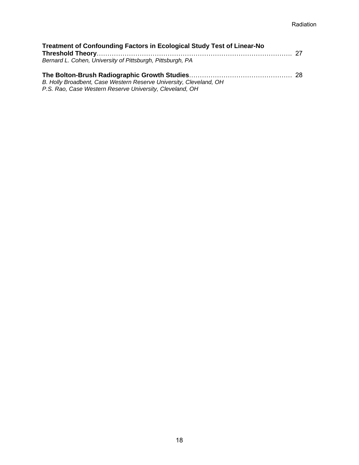| Treatment of Confounding Factors in Ecological Study Test of Linear-No |  |
|------------------------------------------------------------------------|--|
|                                                                        |  |
| Bernard L. Cohen, University of Pittsburgh, Pittsburgh, PA             |  |
|                                                                        |  |
|                                                                        |  |

*B. Holly Broadbent, Case Western Reserve University, Cleveland, OH P.S. Rao, Case Western Reserve University, Cleveland, OH*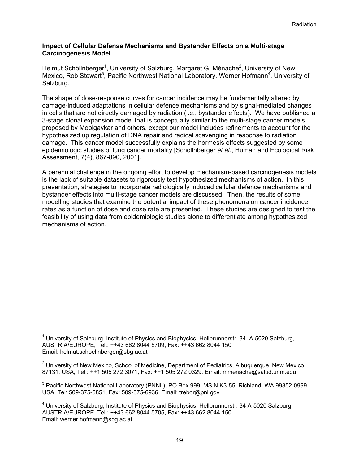#### **Impact of Cellular Defense Mechanisms and Bystander Effects on a Multi-stage Carcinogenesis Model**

Helmut Schöllnberger<sup>1</sup>, University of Salzburg, Margaret G. Ménache<sup>2</sup>, University of New Mexico, Rob Stewart<sup>3</sup>, Pacific Northwest National Laboratory, Werner Hofmann<sup>4</sup>, University of Salzburg.

The shape of dose-response curves for cancer incidence may be fundamentally altered by damage-induced adaptations in cellular defence mechanisms and by signal-mediated changes in cells that are not directly damaged by radiation (i.e., bystander effects). We have published a 3-stage clonal expansion model that is conceptually similar to the multi-stage cancer models proposed by Moolgavkar and others, except our model includes refinements to account for the hypothesized up regulation of DNA repair and radical scavenging in response to radiation damage. This cancer model successfully explains the hormesis effects suggested by some epidemiologic studies of lung cancer mortality [Schöllnberger *et al.*, Human and Ecological Risk Assessment, 7(4), 867-890, 2001].

A perennial challenge in the ongoing effort to develop mechanism-based carcinogenesis models is the lack of suitable datasets to rigorously test hypothesized mechanisms of action. In this presentation, strategies to incorporate radiologically induced cellular defence mechanisms and bystander effects into multi-stage cancer models are discussed. Then, the results of some modelling studies that examine the potential impact of these phenomena on cancer incidence rates as a function of dose and dose rate are presented. These studies are designed to test the feasibility of using data from epidemiologic studies alone to differentiate among hypothesized mechanisms of action.

<sup>&</sup>lt;sup>1</sup> University of Salzburg, Institute of Physics and Biophysics, Hellbrunnerstr. 34, A-5020 Salzburg, AUSTRIA/EUROPE, Tel.: ++43 662 8044 5709, Fax: ++43 662 8044 150 Email: helmut.schoellnberger@sbg.ac.at

 $2$  University of New Mexico, School of Medicine, Department of Pediatrics, Albuquerque, New Mexico 87131, USA, Tel.: ++1 505 272 3071, Fax: ++1 505 272 0329, Email: mmenache@salud.unm.edu

<sup>&</sup>lt;sup>3</sup> Pacific Northwest National Laboratory (PNNL), PO Box 999, MSIN K3-55, Richland, WA 99352-0999 USA, Tel: 509-375-6851, Fax: 509-375-6936, Email: trebor@pnl.gov

<sup>&</sup>lt;sup>4</sup> University of Salzburg, Institute of Physics and Biophysics, Hellbrunnerstr. 34 A-5020 Salzburg, AUSTRIA/EUROPE, Tel.: ++43 662 8044 5705, Fax: ++43 662 8044 150 Email: werner.hofmann@sbg.ac.at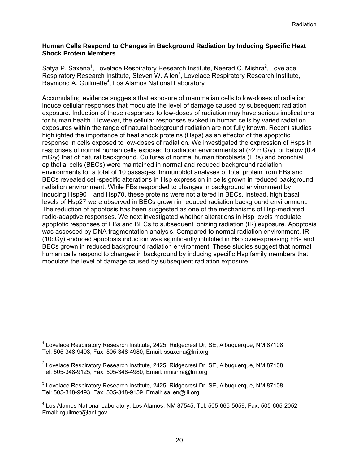#### **Human Cells Respond to Changes in Background Radiation by Inducing Specific Heat Shock Protein Members**

Satya P. Saxena<sup>1</sup>, Lovelace Respiratory Research Institute, Neerad C. Mishra<sup>2</sup>, Lovelace Respiratory Research Institute, Steven W. Allen<sup>3</sup>, Lovelace Respiratory Research Institute, Raymond A. Guilmette<sup>4</sup>, Los Alamos National Laboratory

Accumulating evidence suggests that exposure of mammalian cells to low-doses of radiation induce cellular responses that modulate the level of damage caused by subsequent radiation exposure. Induction of these responses to low-doses of radiation may have serious implications for human health. However, the cellular responses evoked in human cells by varied radiation exposures within the range of natural background radiation are not fully known. Recent studies highlighted the importance of heat shock proteins (Hsps) as an effector of the apoptotic response in cells exposed to low-doses of radiation. We investigated the expression of Hsps in responses of normal human cells exposed to radiation environments at (~2 mG/y), or below (0.4 mG/y) that of natural background. Cultures of normal human fibroblasts (FBs) and bronchial epithelial cells (BECs) were maintained in normal and reduced background radiation environments for a total of 10 passages. Immunoblot analyses of total protein from FBs and BECs revealed cell-specific alterations in Hsp expression in cells grown in reduced background radiation environment. While FBs responded to changes in background environment by inducing Hsp90 and Hsp70, these proteins were not altered in BECs. Instead, high basal levels of Hsp27 were observed in BECs grown in reduced radiation background environment. The reduction of apoptosis has been suggested as one of the mechanisms of Hsp-mediated radio-adaptive responses. We next investigated whether alterations in Hsp levels modulate apoptotic responses of FBs and BECs to subsequent ionizing radiation (IR) exposure. Apoptosis was assessed by DNA fragmentation analysis. Compared to normal radiation environment, IR (10cGy) -induced apoptosis induction was significantly inhibited in Hsp overexpressing FBs and BECs grown in reduced background radiation environment. These studies suggest that normal human cells respond to changes in background by inducing specific Hsp family members that modulate the level of damage caused by subsequent radiation exposure.

 $\overline{a}$ <sup>1</sup> Lovelace Respiratory Research Institute, 2425, Ridgecrest Dr, SE, Albuquerque, NM 87108 Tel: 505-348-9493, Fax: 505-348-4980, Email: ssaxena@lrri.org

<sup>&</sup>lt;sup>2</sup> Lovelace Respiratory Research Institute, 2425, Ridgecrest Dr, SE, Albuquerque, NM 87108 Tel: 505-348-9125, Fax: 505-348-4980, Email: nmishra@lrri.org

 $^3$  Lovelace Respiratory Research Institute, 2425, Ridgecrest Dr, SE, Albuquerque, NM 87108 Tel: 505-348-9493, Fax: 505-348-9159, Email: sallen@lii.org

<sup>4</sup> Los Alamos National Laboratory, Los Alamos, NM 87545, Tel: 505-665-5059, Fax: 505-665-2052 Email: rguilmet@lanl.gov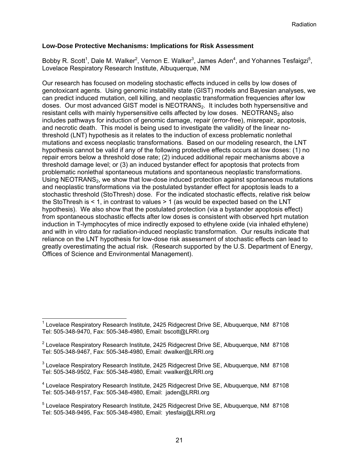# **Low-Dose Protective Mechanisms: Implications for Risk Assessment**

Bobby R. Scott<sup>1</sup>, Dale M. Walker<sup>2</sup>, Vernon E. Walker<sup>3</sup>, James Aden<sup>4</sup>, and Yohannes Tesfaigzi<sup>5</sup>, Lovelace Respiratory Research Institute, Albuquerque, NM

Our research has focused on modeling stochastic effects induced in cells by low doses of genotoxicant agents. Using genomic instability state (GIST) models and Bayesian analyses, we can predict induced mutation, cell killing, and neoplastic transformation frequencies after low doses. Our most advanced GIST model is NEOTRANS<sub>2</sub>. It includes both hypersensitive and resistant cells with mainly hypersensitive cells affected by low doses. NEOTRANS<sub>2</sub> also includes pathways for induction of genomic damage, repair (error-free), misrepair, apoptosis, and necrotic death. This model is being used to investigate the validity of the linear nothreshold (LNT) hypothesis as it relates to the induction of excess problematic nonlethal mutations and excess neoplastic transformations. Based on our modeling research, the LNT hypothesis cannot be valid if any of the following protective effects occurs at low doses: (1) no repair errors below a threshold dose rate; (2) induced additional repair mechanisms above a threshold damage level; or (3) an induced bystander effect for apoptosis that protects from problematic nonlethal spontaneous mutations and spontaneous neoplastic transformations. Using NEOTRANS<sub>2</sub>, we show that low-dose induced protection against spontaneous mutations and neoplastic transformations via the postulated bystander effect for apoptosis leads to a stochastic threshold (StoThresh) dose. For the indicated stochastic effects, relative risk below the StoThresh is < 1, in contrast to values > 1 (as would be expected based on the LNT hypothesis). We also show that the postulated protection (via a bystander apoptosis effect) from spontaneous stochastic effects after low doses is consistent with observed hprt mutation induction in T-lymphocytes of mice indirectly exposed to ethylene oxide (via inhaled ethylene) and with in vitro data for radiation-induced neoplastic transformation. Our results indicate that reliance on the LNT hypothesis for low-dose risk assessment of stochastic effects can lead to greatly overestimating the actual risk. (Research supported by the U.S. Department of Energy, Offices of Science and Environmental Management).

 1 Lovelace Respiratory Research Institute, 2425 Ridgecrest Drive SE, Albuquerque, NM 87108 Tel: 505-348-9470, Fax: 505-348-4980, Email: bscott@LRRI.org

<sup>&</sup>lt;sup>2</sup> Lovelace Respiratory Research Institute, 2425 Ridgecrest Drive SE, Albuquerque, NM 87108 Tel: 505-348-9467, Fax: 505-348-4980, Email: dwalker@LRRI.org

 $3$  Lovelace Respiratory Research Institute, 2425 Ridgecrest Drive SE, Albuquerque, NM 87108 Tel: 505-348-9502, Fax: 505-348-4980, Email: vwalker@LRRI.org

<sup>&</sup>lt;sup>4</sup> Lovelace Respiratory Research Institute, 2425 Ridgecrest Drive SE, Albuquerque, NM 87108 Tel: 505-348-9157, Fax: 505-348-4980, Email: jaden@LRRI.org

<sup>&</sup>lt;sup>5</sup> Lovelace Respiratory Research Institute, 2425 Ridgecrest Drive SE, Albuquerque, NM 87108 Tel: 505-348-9495, Fax: 505-348-4980, Email: ytesfaig@LRRI.org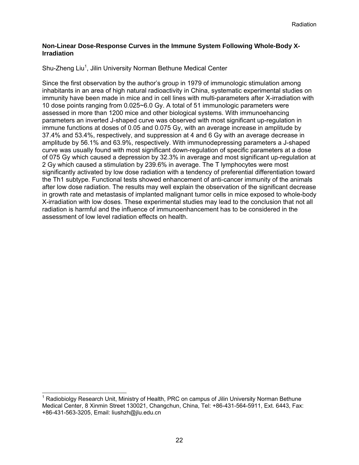## **Non-Linear Dose-Response Curves in the Immune System Following Whole-Body X-Irradiation**

# Shu-Zheng Liu<sup>1</sup>, Jilin University Norman Bethune Medical Center

Since the first observation by the author's group in 1979 of immunologic stimulation among inhabitants in an area of high natural radioactivity in China, systematic experimental studies on immunity have been made in mice and in cell lines with multi-parameters after X-irradiation with 10 dose points ranging from 0.025~6.0 Gy. A total of 51 immunologic parameters were assessed in more than 1200 mice and other biological systems. With immunoehancing parameters an inverted J-shaped curve was observed with most significant up-regulation in immune functions at doses of 0.05 and 0.075 Gy, with an average increase in amplitude by 37.4% and 53.4%, respectively, and suppression at 4 and 6 Gy with an average decrease in amplitude by 56.1% and 63.9%, respectively. With immunodepressing parameters a J-shaped curve was usually found with most significant down-regulation of specific parameters at a dose of 075 Gy which caused a depression by 32.3% in average and most significant up-regulation at 2 Gy which caused a stimulation by 239.6% in average. The T lymphocytes were most significantly activated by low dose radiation with a tendency of preferential differentiation toward the Th1 subtype. Functional tests showed enhancement of anti-cancer immunity of the animals after low dose radiation. The results may well explain the observation of the significant decrease in growth rate and metastasis of implanted malignant tumor cells in mice exposed to whole-body X-irradiation with low doses. These experimental studies may lead to the conclusion that not all radiation is harmful and the influence of immunoenhancement has to be considered in the assessment of low level radiation effects on health.

-

<sup>&</sup>lt;sup>1</sup> Radiobiolgy Research Unit, Ministry of Health, PRC on campus of Jilin University Norman Bethune Medical Center, 8 Xinmin Street 130021, Changchun, China, Tel: +86-431-564-5911, Ext. 6443, Fax: +86-431-563-3205, Email: liushzh@jlu.edu.cn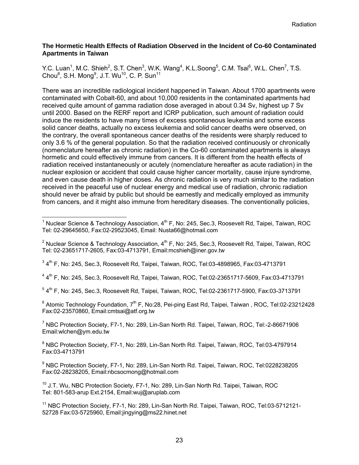#### **The Hormetic Health Effects of Radiation Observed in the Incident of Co-60 Contaminated Apartments in Taiwan**

Y.C. Luan<sup>1</sup>, M.C. Shieh<sup>2</sup>, S.T. Chen<sup>3</sup>, W.K. Wang<sup>4</sup>, K.L.Soong<sup>5</sup>, C.M. Tsai<sup>6</sup>, W.L. Chen<sup>7</sup>, T.S. Chou $^8$ , S.H. Mong $^9$ , J.T. Wu<sup>10</sup>, C. P. Sun<sup>11</sup>

There was an incredible radiological incident happened in Taiwan. About 1700 apartments were contaminated with Cobalt-60, and about 10,000 residents in the contaminated apartments had received quite amount of gamma radiation dose averaged in about 0.34 Sv, highest up 7 Sv until 2000. Based on the RERF report and ICRP publication, such amount of radiation could induce the residents to have many times of excess spontaneous leukemia and some excess solid cancer deaths, actually no excess leukemia and solid cancer deaths were observed, on the contrary, the overall spontaneous cancer deaths of the residents were sharply reduced to only 3.6 % of the general population. So that the radiation received continuously or chronically (nomenclature hereafter as chronic radiation) in the Co-60 contaminated apartments is always hormetic and could effectively immune from cancers. It is different from the health effects of radiation received instantaneously or acutely (nomenclature hereafter as acute radiation) in the nuclear explosion or accident that could cause higher cancer mortality, cause injure syndrome, and even cause death in higher doses. As chronic radiation is very much similar to the radiation received in the peaceful use of nuclear energy and medical use of radiation, chronic radiation should never be afraid by public but should be earnestly and medically employed as immunity from cancers, and it might also immune from hereditary diseases. The conventionally policies,

 $^3$  4<sup>th</sup> F, No: 245, Sec.3, Roosevelt Rd, Taipei, Taiwan, ROC, Tel:03-4898965, Fax:03-4713791

 $44^{\text{th}}$  F, No: 245, Sec.3, Roosevelt Rd, Taipei, Taiwan, ROC, Tel:02-23651717-5609, Fax:03-4713791

 $^5$  4<sup>th</sup> F, No: 245, Sec.3, Roosevelt Rd, Taipei, Taiwan, ROC, Tel:02-2361717-5900, Fax:03-3713791

 $^6$  Atomic Technology Foundation, 7<sup>th</sup> F, No:28, Pei-ping East Rd, Taipei, Taiwan , ROC, Tel:02-23212428 Fax:02-23570860, Email:cmtsai@atf.org.tw

<sup>7</sup> NBC Protection Society, F7-1, No: 289, Lin-San North Rd. Taipei, Taiwan, ROC, Tel:-2-86671906 Email:wlchen@ym.edu.tw

<sup>8</sup> NBC Protection Society, F7-1, No: 289, Lin-San North Rd. Taipei, Taiwan, ROC, Tel:03-4797914 Fax:03-4713791

<sup>9</sup> NBC Protection Society, F7-1, No: 289, Lin-San North Rd. Taipei, Taiwan, ROC, Tel:0228238205 Fax:02-28238205, Email:nbcsocmong@hotmail.com

<sup>10</sup> J.T. Wu, NBC Protection Society, F7-1, No: 289, Lin-San North Rd. Taipei, Taiwan, ROC Tel: 801-583-arup Ext.2154, Email:wuj@aruplab.com

<sup>11</sup> NBC Protection Society, F7-1, No: 289, Lin-San North Rd. Taipei, Taiwan, ROC, Tel:03-5712121-52728 Fax:03-5725960, Email:jingying@ms22.hinet.net

 1 Nuclear Science & Technology Association, 4th F, No: 245, Sec.3, Roosevelt Rd, Taipei, Taiwan, ROC Tel: 02-29645650, Fax:02-29523045, Email: Nusta66@hotmail.com

<sup>&</sup>lt;sup>2</sup> Nuclear Science & Technology Association, 4<sup>th</sup> F, No: 245, Sec.3, Roosevelt Rd, Taipei, Taiwan, ROC Tel: 02-23651717-2605, Fax:03-4713791, Email:mcshieh@iner.gov.tw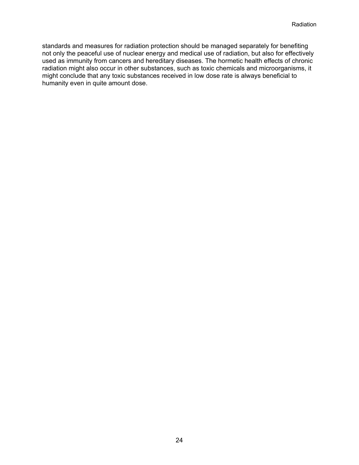standards and measures for radiation protection should be managed separately for benefiting not only the peaceful use of nuclear energy and medical use of radiation, but also for effectively used as immunity from cancers and hereditary diseases. The hormetic health effects of chronic radiation might also occur in other substances, such as toxic chemicals and microorganisms, it might conclude that any toxic substances received in low dose rate is always beneficial to humanity even in quite amount dose.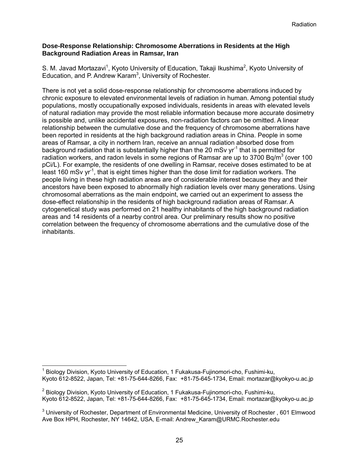## **Dose-Response Relationship: Chromosome Aberrations in Residents at the High Background Radiation Areas in Ramsar, Iran**

S. M. Javad Mortazavi<sup>1</sup>, Kyoto University of Education, Takaji Ikushima<sup>2</sup>, Kyoto University of Education, and P. Andrew Karam<sup>3</sup>, University of Rochester.

There is not yet a solid dose-response relationship for chromosome aberrations induced by chronic exposure to elevated environmental levels of radiation in human. Among potential study populations, mostly occupationally exposed individuals, residents in areas with elevated levels of natural radiation may provide the most reliable information because more accurate dosimetry is possible and, unlike accidental exposures, non-radiation factors can be omitted. A linear relationship between the cumulative dose and the frequency of chromosome aberrations have been reported in residents at the high background radiation areas in China. People in some areas of Ramsar, a city in northern Iran, receive an annual radiation absorbed dose from background radiation that is substantially higher than the 20 mSy  $yr^{-1}$  that is permitted for radiation workers, and radon levels in some regions of Ramsar are up to 3700 Bq/m<sup>3</sup> (over 100 pCi/L). For example, the residents of one dwelling in Ramsar, receive doses estimated to be at least 160 mSv  $yr^{-1}$ , that is eight times higher than the dose limit for radiation workers. The people living in these high radiation areas are of considerable interest because they and their ancestors have been exposed to abnormally high radiation levels over many generations. Using chromosomal aberrations as the main endpoint, we carried out an experiment to assess the dose-effect relationship in the residents of high background radiation areas of Ramsar. A cytogenetical study was performed on 21 healthy inhabitants of the high background radiation areas and 14 residents of a nearby control area. Our preliminary results show no positive correlation between the frequency of chromosome aberrations and the cumulative dose of the inhabitants.

-

<sup>&</sup>lt;sup>1</sup> Biology Division, Kyoto University of Education, 1 Fukakusa-Fujinomori-cho, Fushimi-ku, Kyoto 612-8522, Japan, Tel: +81-75-644-8266, Fax: +81-75-645-1734, Email: mortazar@kyokyo-u.ac.jp

<sup>&</sup>lt;sup>2</sup> Biology Division, Kyoto University of Education, 1 Fukakusa-Fujinomori-cho, Fushimi-ku, Kyoto 612-8522, Japan, Tel: +81-75-644-8266, Fax: +81-75-645-1734, Email: mortazar@kyokyo-u.ac.jp

 $3$  University of Rochester, Department of Environmental Medicine, University of Rochester, 601 Elmwood Ave Box HPH, Rochester, NY 14642, USA, E-mail: Andrew\_Karam@URMC.Rochester.edu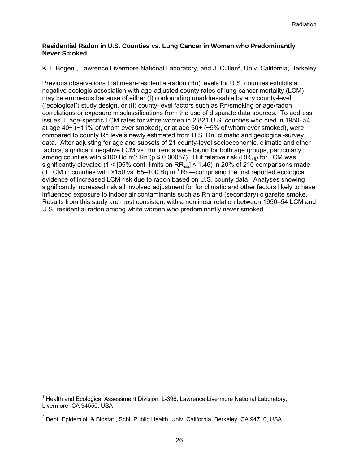#### **Residential Radon in U.S. Counties vs. Lung Cancer in Women who Predominantly Never Smoked**

K.T. Bogen<sup>1</sup>, Lawrence Livermore National Laboratory, and J. Cullen<sup>2</sup>, Univ. California, Berkeley

Previous observations that mean-residential-radon (Rn) levels for U.S. counties exhibits a negative ecologic association with age-adjusted county rates of lung-cancer mortality (LCM) may be erroneous because of either (I) confounding unaddressable by any county-level ("ecological") study design, or (II) county-level factors such as Rn/smoking or age/radon correlations or exposure misclassifications from the use of disparate data sources. To address issues II, age-specific LCM rates for white women in 2,821 U.S. counties who died in 1950–54 at age 40+  $(-11\%$  of whom ever smoked), or at age 60+  $(-5\%$  of whom ever smoked), were compared to county Rn levels newly estimated from U.S. Rn, climatic and geological-survey data. After adjusting for age and subsets of 21 county-level socioeconomic, climatic and other factors, significant negative LCM vs. Rn trends were found for both age groups, particularly among counties with ≤100 Bq m<sup>-3</sup> Rn (p ≤ 0.00087). But relative risk (RR<sub>adi</sub>) for LCM was significantly elevated (1 <  $195\%$  conf. limits on RR<sub>adi</sub>  $\leq$  1.46) in 20% of 210 comparisons made of LCM in counties with  $>150$  vs. 65–100 Bq m<sup>-3</sup> Rn—comprising the first reported ecological evidence of increased LCM risk due to radon based on U.S. county data. Analyses showing significantly increased risk all involved adjustment for for climatic and other factors likely to have influenced exposure to indoor air contaminants such as Rn and (secondary) cigarette smoke. Results from this study are most consistent with a nonlinear relation between 1950–54 LCM and U.S. residential radon among white women who predominantly never smoked.

-

<sup>&</sup>lt;sup>1</sup> Health and Ecological Assessment Division, L-396, Lawrence Livermore National Laboratory, Livermore, CA 94550, USA

<sup>&</sup>lt;sup>2</sup> Dept. Epidemiol. & Biostat., Schl. Public Health, Univ. California, Berkeley, CA 94710, USA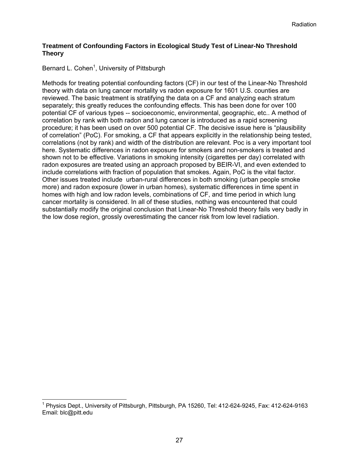## **Treatment of Confounding Factors in Ecological Study Test of Linear-No Threshold Theory**

Bernard L. Cohen<sup>1</sup>, University of Pittsburgh

 $\overline{a}$ 

Methods for treating potential confounding factors (CF) in our test of the Linear-No Threshold theory with data on lung cancer mortality vs radon exposure for 1601 U.S. counties are reviewed. The basic treatment is stratifying the data on a CF and analyzing each stratum separately; this greatly reduces the confounding effects. This has been done for over 100 potential CF of various types -- socioeconomic, environmental, geographic, etc.. A method of correlation by rank with both radon and lung cancer is introduced as a rapid screening procedure; it has been used on over 500 potential CF. The decisive issue here is "plausibility of correlation" (PoC). For smoking, a CF that appears explicitly in the relationship being tested, correlations (not by rank) and width of the distribution are relevant. Poc is a very important tool here. Systematic differences in radon exposure for smokers and non-smokers is treated and shown not to be effective. Variations in smoking intensity (cigarettes per day) correlated with radon exposures are treated using an approach proposed by BEIR-VI, and even extended to include correlations with fraction of population that smokes. Again, PoC is the vital factor. Other issues treated include urban-rural differences in both smoking (urban people smoke more) and radon exposure (lower in urban homes), systematic differences in time spent in homes with high and low radon levels, combinations of CF, and time period in which lung cancer mortality is considered. In all of these studies, nothing was encountered that could substantially modify the original conclusion that Linear-No Threshold theory fails very badly in the low dose region, grossly overestimating the cancer risk from low level radiation.

<sup>&</sup>lt;sup>1</sup> Physics Dept., University of Pittsburgh, Pittsburgh, PA 15260, Tel: 412-624-9245, Fax: 412-624-9163 Email: blc@pitt.edu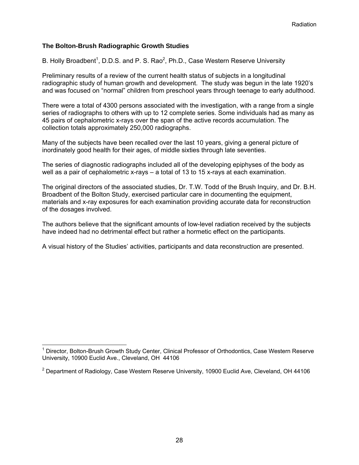# **The Bolton-Brush Radiographic Growth Studies**

-

B. Holly Broadbent<sup>1</sup>, D.D.S. and P. S. Rao<sup>2</sup>, Ph.D., Case Western Reserve University

Preliminary results of a review of the current health status of subjects in a longitudinal radiographic study of human growth and development. The study was begun in the late 1920's and was focused on "normal" children from preschool years through teenage to early adulthood.

There were a total of 4300 persons associated with the investigation, with a range from a single series of radiographs to others with up to 12 complete series. Some individuals had as many as 45 pairs of cephalometric x-rays over the span of the active records accumulation. The collection totals approximately 250,000 radiographs.

Many of the subjects have been recalled over the last 10 years, giving a general picture of inordinately good health for their ages, of middle sixties through late seventies.

The series of diagnostic radiographs included all of the developing epiphyses of the body as well as a pair of cephalometric x-rays – a total of 13 to 15 x-rays at each examination.

The original directors of the associated studies, Dr. T.W. Todd of the Brush Inquiry, and Dr. B.H. Broadbent of the Bolton Study, exercised particular care in documenting the equipment, materials and x-ray exposures for each examination providing accurate data for reconstruction of the dosages involved.

The authors believe that the significant amounts of low-level radiation received by the subjects have indeed had no detrimental effect but rather a hormetic effect on the participants.

A visual history of the Studies' activities, participants and data reconstruction are presented.

<sup>&</sup>lt;sup>1</sup> Director, Bolton-Brush Growth Study Center, Clinical Professor of Orthodontics, Case Western Reserve University, 10900 Euclid Ave., Cleveland, OH 44106

 $^2$  Department of Radiology, Case Western Reserve University, 10900 Euclid Ave, Cleveland, OH 44106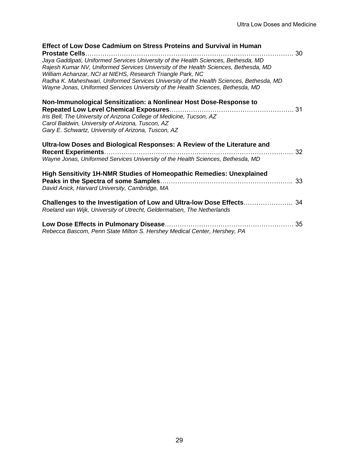| <b>Effect of Low Dose Cadmium on Stress Proteins and Survival in Human</b>              |  |
|-----------------------------------------------------------------------------------------|--|
|                                                                                         |  |
| Jaya Gaddipati, Uniformed Services University of the Health Sciences, Bethesda, MD      |  |
| Rajesh Kumar NV, Uniformed Services University of the Health Sciences, Bethesda, MD     |  |
| William Achanzar, NCI at NIEHS, Research Triangle Park, NC                              |  |
| Radha K. Maheshwari, Uniformed Services University of the Health Sciences, Bethesda, MD |  |
| Wayne Jonas, Uniformed Services University of the Health Sciences, Bethesda, MD         |  |
|                                                                                         |  |
| Non-Immunological Sensitization: a Nonlinear Host Dose-Response to                      |  |
|                                                                                         |  |
| Iris Bell, The University of Arizona College of Medicine, Tucson, AZ                    |  |
| Carol Baldwin, University of Arizona, Tuscon, AZ                                        |  |
| Gary E. Schwartz, University of Arizona, Tuscon, AZ                                     |  |
|                                                                                         |  |
| Ultra-low Doses and Biological Responses: A Review of the Literature and                |  |
| . 32<br><b>Recent Experiments.</b>                                                      |  |
| Wayne Jonas, Uniformed Services University of the Health Sciences, Bethesda, MD         |  |
|                                                                                         |  |
|                                                                                         |  |
|                                                                                         |  |
| <b>High Sensitivity 1H-NMR Studies of Homeopathic Remedies: Unexplained</b>             |  |
|                                                                                         |  |
| David Anick, Harvard University, Cambridge, MA                                          |  |
|                                                                                         |  |
|                                                                                         |  |
| Roeland van Wijk, University of Utrecht, Geldermalsen, The Netherlands                  |  |
|                                                                                         |  |
| Rebecca Bascom, Penn State Milton S. Hershey Medical Center, Hershey, PA                |  |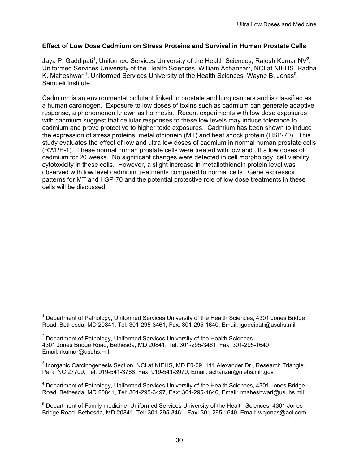## **Effect of Low Dose Cadmium on Stress Proteins and Survival in Human Prostate Cells**

Jaya P. Gaddipati<sup>1</sup>, Uniformed Services University of the Health Sciences, Rajesh Kumar NV<sup>2</sup>, Uniformed Services University of the Health Sciences, William Achanzar<sup>3</sup>, NCI at NIEHS, Radha K. Maheshwari<sup>4</sup>, Uniformed Services University of the Health Sciences, Wayne B. Jonas<sup>5</sup>, Samueli Institute

Cadmium is an environmental pollutant linked to prostate and lung cancers and is classified as a human carcinogen. Exposure to low doses of toxins such as cadmium can generate adaptive response, a phenomenon known as hormesis. Recent experiments with low dose exposures with cadmium suggest that cellular responses to these low levels may induce tolerance to cadmium and prove protective to higher toxic exposures. Cadmium has been shown to induce the expression of stress proteins, metallothionein (MT) and heat shock protein (HSP-70). This study evaluates the effect of low and ultra low doses of cadmium in normal human prostate cells (RWPE-1). These normal human prostate cells were treated with low and ultra low doses of cadmium for 20 weeks. No significant changes were detected in cell morphology, cell viability, cytotoxicity in these cells. However, a slight increase in metallothionein protein level was observed with low level cadmium treatments compared to normal cells. Gene expression patterns for MT and HSP-70 and the potential protective role of low dose treatments in these cells will be discussed.

 1 Department of Pathology, Uniformed Services University of the Health Sciences, 4301 Jones Bridge Road, Bethesda, MD 20841, Tel: 301-295-3461, Fax: 301-295-1640, Email: jgaddipati@usuhs.mil

 $2$  Department of Pathology, Uniformed Services University of the Health Sciences 4301 Jones Bridge Road, Bethesda, MD 20841, Tel: 301-295-3461, Fax: 301-295-1640 Email: rkumar@usuhs.mil

 $3$  Inorganic Carcinogenesis Section, NCI at NIEHS, MD F0-09, 111 Alexander Dr., Research Triangle Park, NC 27709, Tel: 919-541-3768, Fax: 919-541-3970, Email: achanzar@niehs.nih.gov

<sup>&</sup>lt;sup>4</sup> Department of Pathology, Uniformed Services University of the Health Sciences, 4301 Jones Bridge Road, Bethesda, MD 20841, Tel: 301-295-3497, Fax: 301-295-1640, Email: rmaheshwari@usuhs.mil

<sup>&</sup>lt;sup>5</sup> Department of Family medicine, Uniformed Services University of the Health Sciences, 4301 Jones Bridge Road, Bethesda, MD 20841, Tel: 301-295-3461, Fax: 301-295-1640, Email: wbjonas@aol.com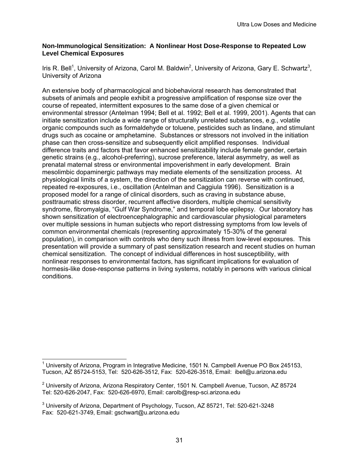# **Non-Immunological Sensitization: A Nonlinear Host Dose-Response to Repeated Low Level Chemical Exposures**

Iris R. Bell<sup>1</sup>, University of Arizona, Carol M. Baldwin<sup>2</sup>, University of Arizona, Gary E. Schwartz<sup>3</sup>, University of Arizona

An extensive body of pharmacological and biobehavioral research has demonstrated that subsets of animals and people exhibit a progressive amplification of response size over the course of repeated, intermittent exposures to the same dose of a given chemical or environmental stressor (Antelman 1994; Bell et al. 1992; Bell et al. 1999, 2001). Agents that can initiate sensitization include a wide range of structurally unrelated substances, e.g., volatile organic compounds such as formaldehyde or toluene, pesticides such as lindane, and stimulant drugs such as cocaine or amphetamine. Substances or stressors not involved in the initiation phase can then cross-sensitize and subsequently elicit amplified responses. Individual difference traits and factors that favor enhanced sensitizability include female gender, certain genetic strains (e.g., alcohol-preferring), sucrose preference, lateral asymmetry, as well as prenatal maternal stress or environmental impoverishment in early development. Brain mesolimbic dopaminergic pathways may mediate elements of the sensitization process. At physiological limits of a system, the direction of the sensitization can reverse with continued, repeated re-exposures, i.e., oscillation (Antelman and Caggiula 1996). Sensitization is a proposed model for a range of clinical disorders, such as craving in substance abuse, posttraumatic stress disorder, recurrent affective disorders, multiple chemical sensitivity syndrome, fibromyalgia, "Gulf War Syndrome," and temporal lobe epilepsy. Our laboratory has shown sensitization of electroencephalographic and cardiovascular physiological parameters over multiple sessions in human subjects who report distressing symptoms from low levels of common environmental chemicals (representing approximately 15-30% of the general population), in comparison with controls who deny such illness from low-level exposures. This presentation will provide a summary of past sensitization research and recent studies on human chemical sensitization. The concept of individual differences in host susceptibility, with nonlinear responses to environmental factors, has significant implications for evaluation of hormesis-like dose-response patterns in living systems, notably in persons with various clinical conditions.

<sup>&</sup>lt;u>Les Commerce Commerce Commerce</u><br><sup>1</sup> University of Arizona, Program in Integrative Medicine, 1501 N. Campbell Avenue PO Box 245153, Tucson, AZ 85724-5153, Tel: 520-626-3512, Fax: 520-626-3518, Email: ibell@u.arizona.edu

<sup>&</sup>lt;sup>2</sup> University of Arizona, Arizona Respiratory Center, 1501 N. Campbell Avenue, Tucson, AZ 85724 Tel: 520-626-2047, Fax: 520-626-6970, Email: carolb@resp-sci.arizona.edu

 $^3$  University of Arizona, Department of Psychology, Tucson, AZ 85721, Tel: 520-621-3248 Fax: 520-621-3749, Email: gschwart@u.arizona.edu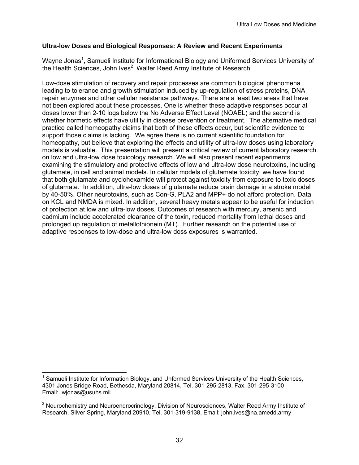# **Ultra-low Doses and Biological Responses: A Review and Recent Experiments**

Wayne Jonas<sup>1</sup>, Samueli Institute for Informational Biology and Uniformed Services University of the Health Sciences, John Ives<sup>2</sup>, Walter Reed Army Institute of Research

Low-dose stimulation of recovery and repair processes are common biological phenomena leading to tolerance and growth stimulation induced by up-regulation of stress proteins, DNA repair enzymes and other cellular resistance pathways. There are a least two areas that have not been explored about these processes. One is whether these adaptive responses occur at doses lower than 2-10 logs below the No Adverse Effect Level (NOAEL) and the second is whether hormetic effects have utility in disease prevention or treatment. The alternative medical practice called homeopathy claims that both of these effects occur, but scientific evidence to support those claims is lacking. We agree there is no current scientific foundation for homeopathy, but believe that exploring the effects and utility of ultra-low doses using laboratory models is valuable. This presentation will present a critical review of current laboratory research on low and ultra-low dose toxicology research. We will also present recent experiments examining the stimulatory and protective effects of low and ultra-low dose neurotoxins, including glutamate, in cell and animal models. In cellular models of glutamate toxicity, we have found that both glutamate and cyclohexamide will protect against toxicity from exposure to toxic doses of glutamate. In addition, ultra-low doses of glutamate reduce brain damage in a stroke model by 40-50%. Other neurotoxins, such as Con-G, PLA2 and MPP+ do not afford protection. Data on KCL and NMDA is mixed. In addition, several heavy metals appear to be useful for induction of protection at low and ultra-low doses. Outcomes of research with mercury, arsenic and cadmium include accelerated clearance of the toxin, reduced mortality from lethal doses and prolonged up regulation of metallothionein (MT).. Further research on the potential use of adaptive responses to low-dose and ultra-low doss exposures is warranted.

-

<sup>&</sup>lt;sup>1</sup> Samueli Institute for Information Biology, and Unformed Services University of the Health Sciences, 4301 Jones Bridge Road, Bethesda, Maryland 20814, Tel. 301-295-2813, Fax. 301-295-3100 Email: wjonas@usuhs.mil

<sup>&</sup>lt;sup>2</sup> Neurochemistry and Neuroendrocrinology, Division of Neurosciences, Walter Reed Army Institute of Research, Silver Spring, Maryland 20910, Tel. 301-319-9138, Email: john.ives@na.amedd.army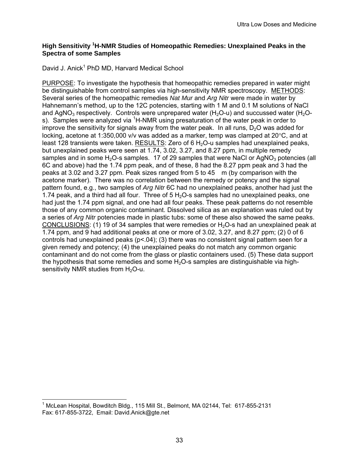# High Sensitivity <sup>1</sup>H-NMR Studies of Homeopathic Remedies: Unexplained Peaks in the **Spectra of some Samples**

# David J. Anick<sup>1</sup> PhD MD, Harvard Medical School

PURPOSE: To investigate the hypothesis that homeopathic remedies prepared in water might be distinguishable from control samples via high-sensitivity NMR spectroscopy. METHODS: Several series of the homeopathic remedies *Nat Mur* and *Arg Nitr* were made in water by Hahnemann's method, up to the 12C potencies, starting with 1 M and 0.1 M solutions of NaCl and AgNO<sub>3</sub> respectively. Controls were unprepared water (H<sub>2</sub>O-u) and succussed water (H<sub>2</sub>Os). Samples were analyzed via <sup>1</sup>H-NMR using presaturation of the water peak in order to improve the sensitivity for signals away from the water peak. In all runs,  $D_2O$  was added for locking, acetone at 1:350,000 v/v was added as a marker, temp was clamped at 20°C, and at least 128 transients were taken. RESULTS: Zero of 6 H<sub>2</sub>O-u samples had unexplained peaks, but unexplained peaks were seen at 1.74, 3.02, 3.27, and 8.27 ppm, in multiple remedy samples and in some  $H_2O$ -s samples. 17 of 29 samples that were NaCl or AgNO<sub>3</sub> potencies (all 6C and above) had the 1.74 ppm peak, and of these, 8 had the 8.27 ppm peak and 3 had the peaks at 3.02 and 3.27 ppm. Peak sizes ranged from 5 to 45 m (by comparison with the acetone marker). There was no correlation between the remedy or potency and the signal pattern found, e.g., two samples of *Arg Nitr* 6C had no unexplained peaks, another had just the 1.74 peak, and a third had all four. Three of  $5 H<sub>2</sub>O-s$  samples had no unexplained peaks, one had just the 1.74 ppm signal, and one had all four peaks. These peak patterns do not resemble those of any common organic contaminant. Dissolved silica as an explanation was ruled out by a series of *Arg Nitr* potencies made in plastic tubs: some of these also showed the same peaks. CONCLUSIONS: (1) 19 of 34 samples that were remedies or  $H_2O$ -s had an unexplained peak at 1.74 ppm, and 9 had additional peaks at one or more of 3.02, 3.27, and 8.27 ppm; (2) 0 of 6 controls had unexplained peaks  $(p<0.04)$ ; (3) there was no consistent signal pattern seen for a given remedy and potency; (4) the unexplained peaks do not match any common organic contaminant and do not come from the glass or plastic containers used. (5) These data support the hypothesis that some remedies and some  $H_2O$ -s samples are distinguishable via highsensitivity NMR studies from  $H_2O$ -u.

 $<sup>1</sup>$  McLean Hospital, Bowditch Bldg., 115 Mill St., Belmont, MA 02144, Tel: 617-855-2131</sup> Fax: 617-855-3722, Email: David.Anick@gte.net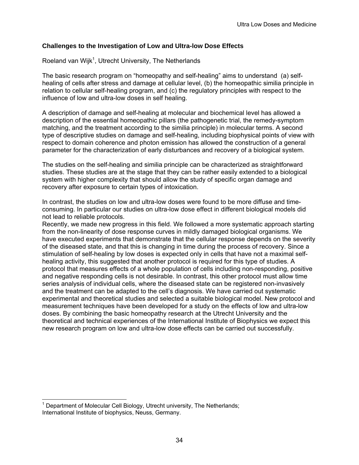# **Challenges to the Investigation of Low and Ultra-low Dose Effects**

Roeland van Wijk<sup>1</sup>, Utrecht University, The Netherlands

The basic research program on "homeopathy and self-healing" aims to understand (a) selfhealing of cells after stress and damage at cellular level, (b) the homeopathic similia principle in relation to cellular self-healing program, and (c) the regulatory principles with respect to the influence of low and ultra-low doses in self healing.

A description of damage and self-healing at molecular and biochemical level has allowed a description of the essential homeopathic pillars (the pathogenetic trial, the remedy-symptom matching, and the treatment according to the similia principle) in molecular terms. A second type of descriptive studies on damage and self-healing, including biophysical points of view with respect to domain coherence and photon emission has allowed the construction of a general parameter for the characterization of early disturbances and recovery of a biological system.

The studies on the self-healing and similia principle can be characterized as straightforward studies. These studies are at the stage that they can be rather easily extended to a biological system with higher complexity that should allow the study of specific organ damage and recovery after exposure to certain types of intoxication.

In contrast, the studies on low and ultra-low doses were found to be more diffuse and timeconsuming. In particular our studies on ultra-low dose effect in different biological models did not lead to reliable protocols.

Recently, we made new progress in this field. We followed a more systematic approach starting from the non-linearity of dose response curves in mildly damaged biological organisms. We have executed experiments that demonstrate that the cellular response depends on the severity of the diseased state, and that this is changing in time during the process of recovery. Since a stimulation of self-healing by low doses is expected only in cells that have not a maximal selfhealing activity, this suggested that another protocol is required for this type of studies. A protocol that measures effects of a whole population of cells including non-responding, positive and negative responding cells is not desirable. In contrast, this other protocol must allow time series analysis of individual cells, where the diseased state can be registered non-invasively and the treatment can be adapted to the cell's diagnosis. We have carried out systematic experimental and theoretical studies and selected a suitable biological model. New protocol and measurement techniques have been developed for a study on the effects of low and ultra-low doses. By combining the basic homeopathy research at the Utrecht University and the theoretical and technical experiences of the International Institute of Biophysics we expect this new research program on low and ultra-low dose effects can be carried out successfully.

 <sup>1</sup> Department of Molecular Cell Biology, Utrecht university, The Netherlands; International Institute of biophysics, Neuss, Germany.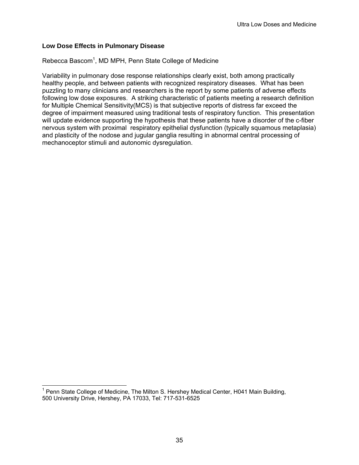# **Low Dose Effects in Pulmonary Disease**

# Rebecca Bascom<sup>1</sup>, MD MPH, Penn State College of Medicine

Variability in pulmonary dose response relationships clearly exist, both among practically healthy people, and between patients with recognized respiratory diseases. What has been puzzling to many clinicians and researchers is the report by some patients of adverse effects following low dose exposures. A striking characteristic of patients meeting a research definition for Multiple Chemical Sensitivity(MCS) is that subjective reports of distress far exceed the degree of impairment measured using traditional tests of respiratory function. This presentation will update evidence supporting the hypothesis that these patients have a disorder of the c-fiber nervous system with proximal respiratory epithelial dysfunction (typically squamous metaplasia) and plasticity of the nodose and jugular ganglia resulting in abnormal central processing of mechanoceptor stimuli and autonomic dysregulation.

<sup>-</sup><sup>1</sup> Penn State College of Medicine, The Milton S. Hershey Medical Center, H041 Main Building, 500 University Drive, Hershey, PA 17033, Tel: 717-531-6525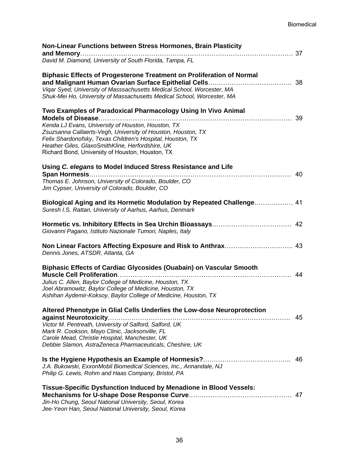| Non-Linear Functions between Stress Hormones, Brain Plasticity               |    |
|------------------------------------------------------------------------------|----|
|                                                                              |    |
| David M. Diamond, University of South Florida, Tampa, FL                     |    |
| <b>Biphasic Effects of Progesterone Treatment on Proliferation of Normal</b> |    |
|                                                                              |    |
| Vigar Syed, University of Masssachusetts Medical School, Worcester, MA       |    |
| Shuk-Mei Ho, University of Massachusetts Medical School, Worcester, MA       |    |
| Two Examples of Paradoxical Pharmacology Using In Vivo Animal                |    |
|                                                                              | 39 |
| Kenda LJ Evans, University of Houston, Houston, TX                           |    |
| Zsuzsanna Callaerts-Vegh, University of Houston, Houston, TX                 |    |
| Felix Shardonofsky, Texas Children's Hospital, Houston, TX                   |    |
| Heather Giles, GlaxoSmithKline, Herfordshire, UK                             |    |
| Richard Bond, University of Houston, Houston, TX                             |    |
| Using C. elegans to Model Induced Stress Resistance and Life                 |    |
|                                                                              | 40 |
| Thomas E. Johnson, University of Colorado, Boulder, CO                       |    |
| Jim Cypser, University of Colorado, Boulder, CO                              |    |
| Biological Aging and its Hormetic Modulation by Repeated Challenge 41        |    |
| Suresh I.S. Rattan, University of Aarhus, Aarhus, Denmark                    |    |
|                                                                              |    |
|                                                                              | 42 |
| Giovanni Pagano, Istituto Nazionale Tumori, Naples, Italy                    |    |
|                                                                              |    |
| Dennis Jones, ATSDR, Atlanta, GA                                             |    |
| <b>Biphasic Effects of Cardiac Glycosides (Ouabain) on Vascular Smooth</b>   |    |
| <b>Muscle Cell Proliferation</b>                                             | 44 |
| Julius C. Allen, Baylor College of Medicine, Houston, TX                     |    |
| Joel Abramowitz, Baylor College of Medicine, Houston, TX                     |    |
| Ashihan Aydemir-Koksoy, Baylor College of Medicine, Houston, TX              |    |
| Altered Phenotype in Glial Cells Underlies the Low-dose Neuroprotection      |    |
|                                                                              | 45 |
| Victor M. Pentreath, University of Salford, Salford, UK                      |    |
| Mark R. Cookson, Mayo Clinic, Jacksonville, FL                               |    |
| Carole Mead, Christie Hospital, Manchester, UK                               |    |
| Debbie Slamon, AstraZeneca Pharmaceuticals, Cheshire, UK                     |    |
|                                                                              | 46 |
| J.A. Bukowski, ExxonMobil Biomedical Sciences, Inc., Annandale, NJ           |    |
| Philip G. Lewis, Rohm and Haas Company, Bristol, PA                          |    |
| <b>Tissue-Specific Dysfunction Induced by Menadione in Blood Vessels:</b>    |    |
|                                                                              |    |
| Jin-Ho Chung, Seoul National University, Seoul, Korea                        |    |
| Jee-Yeon Han, Seoul National University, Seoul, Korea                        |    |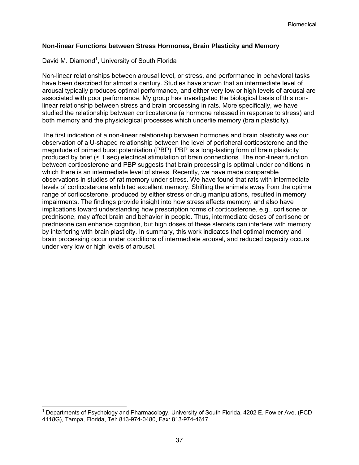## **Non-linear Functions between Stress Hormones, Brain Plasticity and Memory**

## David M. Diamond<sup>1</sup>, University of South Florida

Non-linear relationships between arousal level, or stress, and performance in behavioral tasks have been described for almost a century. Studies have shown that an intermediate level of arousal typically produces optimal performance, and either very low or high levels of arousal are associated with poor performance. My group has investigated the biological basis of this nonlinear relationship between stress and brain processing in rats. More specifically, we have studied the relationship between corticosterone (a hormone released in response to stress) and both memory and the physiological processes which underlie memory (brain plasticity).

The first indication of a non-linear relationship between hormones and brain plasticity was our observation of a U-shaped relationship between the level of peripheral corticosterone and the magnitude of primed burst potentiation (PBP). PBP is a long-lasting form of brain plasticity produced by brief (< 1 sec) electrical stimulation of brain connections. The non-linear function between corticosterone and PBP suggests that brain processing is optimal under conditions in which there is an intermediate level of stress. Recently, we have made comparable observations in studies of rat memory under stress. We have found that rats with intermediate levels of corticosterone exhibited excellent memory. Shifting the animals away from the optimal range of corticosterone, produced by either stress or drug manipulations, resulted in memory impairments. The findings provide insight into how stress affects memory, and also have implications toward understanding how prescription forms of corticosterone, e.g., cortisone or prednisone, may affect brain and behavior in people. Thus, intermediate doses of cortisone or prednisone can enhance cognition, but high doses of these steroids can interfere with memory by interfering with brain plasticity. In summary, this work indicates that optimal memory and brain processing occur under conditions of intermediate arousal, and reduced capacity occurs under very low or high levels of arousal.

<sup>1</sup> Departments of Psychology and Pharmacology, University of South Florida, 4202 E. Fowler Ave. (PCD 4118G), Tampa, Florida, Tel: 813-974-0480, Fax: 813-974-4617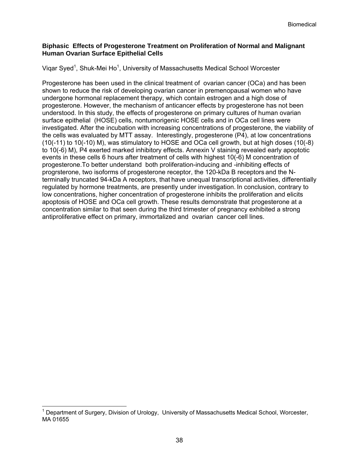#### **Biphasic Effects of Progesterone Treatment on Proliferation of Normal and Malignant Human Ovarian Surface Epithelial Cells**

#### Viqar Syed<sup>1</sup>, Shuk-Mei Ho<sup>1</sup>, University of Massachusetts Medical School Worcester

Progesterone has been used in the clinical treatment of ovarian cancer (OCa) and has been shown to reduce the risk of developing ovarian cancer in premenopausal women who have undergone hormonal replacement therapy, which contain estrogen and a high dose of progesterone. However, the mechanism of anticancer effects by progesterone has not been understood. In this study, the effects of progesterone on primary cultures of human ovarian surface epithelial (HOSE) cells, nontumorigenic HOSE cells and in OCa cell lines were investigated. After the incubation with increasing concentrations of progesterone, the viability of the cells was evaluated by MTT assay. Interestingly, progesterone (P4), at low concentrations (10(-11) to 10(-10) M), was stimulatory to HOSE and OCa cell growth, but at high doses (10(-8) to 10(-6) M), P4 exerted marked inhibitory effects. Annexin V staining revealed early apoptotic events in these cells 6 hours after treatment of cells with highest 10(-6) M concentration of progesterone.To better understand both proliferation-inducing and -inhibiting effects of progrsterone, two isoforms of progesterone receptor, the 120-kDa B receptors and the Nterminally truncated 94-kDa A receptors, that have unequal transcriptional activities, differentially regulated by hormone treatments, are presently under investigation. In conclusion, contrary to low concentrations, higher concentration of progesterone inhibits the proliferation and elicits apoptosis of HOSE and OCa cell growth. These results demonstrate that progesterone at a concentration similar to that seen during the third trimester of pregnancy exhibited a strong antiproliferative effect on primary, immortalized and ovarian cancer cell lines.

<sup>&</sup>lt;sup>1</sup> Department of Surgery, Division of Urology, University of Massachusetts Medical School, Worcester, MA 01655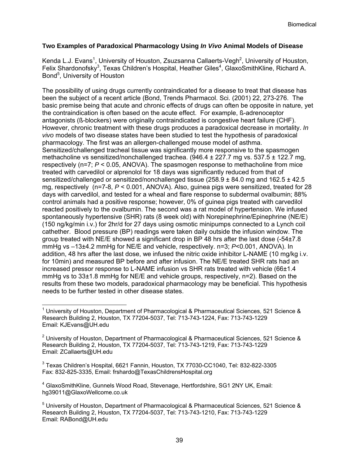### **Two Examples of Paradoxical Pharmacology Using** *In Vivo* **Animal Models of Disease**

Kenda L.J. Evans<sup>1</sup>, University of Houston, Zsuzsanna Callaerts-Vegh<sup>2</sup>, University of Houston, Felix Shardonofsky<sup>3</sup>, Texas Children's Hospital, Heather Giles<sup>4</sup>, GlaxoSmithKline, Richard A. Bond<sup>5</sup>, University of Houston

The possibility of using drugs currently contraindicated for a disease to treat that disease has been the subject of a recent article (Bond, Trends Pharmacol. Sci. (2001) 22, 273-276. The basic premise being that acute and chronic effects of drugs can often be opposite in nature, yet the contraindication is often based on the acute effect. For example, ß-adrenoceptor antagonists (ß-blockers) were originally contraindicated is congestive heart failure (CHF). However, chronic treatment with these drugs produces a paradoxical decrease in mortality. *In vivo* models of two disease states have been studied to test the hypothesis of paradoxical pharmacology. The first was an allergen-challenged mouse model of asthma. Sensitized/challenged tracheal tissue was significantly more responsive to the spasmogen methacholine vs sensitized/nonchallenged trachea. (946.4 ± 227.7 mg vs. 537.5 ± 122.7 mg, respectively (n=7; *P* < 0.05, ANOVA). The spasmogen response to methacholine from mice treated with carvedilol or alprenolol for 18 days was significantly reduced from that of sensitized/challenged or sensitized/nonchallenged tissue (258.9 ± 84.0 mg and 162.5 ± 42.5 mg, respectively (n=7-8, *P* < 0.001, ANOVA). Also, guinea pigs were sensitized, treated for 28 days with carvedilol, and tested for a wheal and flare response to subdermal ovalbumin; 88% control animals had a positive response; however, 0% of guinea pigs treated with carvedilol reacted positively to the ovalbumin. The second was a rat model of hypertension. We infused spontaneously hypertensive (SHR) rats (8 week old) with Norepinephrine/Epinephrine (NE/E) (150 ng/kg/min i.v.) for 2hr/d for 27 days using osmotic minipumps connected to a Lynch coil cathether. Blood pressure (BP) readings were taken daily outside the infusion window. The group treated with NE/E showed a significant drop in BP 48 hrs after the last dose (-54±7.8 mmHg vs –13±4.2 mmHg for NE/E and vehicle, respectively. n=3; *P*<0.001, ANOVA). In addition, 48 hrs after the last dose, we infused the nitric oxide inhibitor L-NAME (10 mg/kg i.v. for 10min) and measured BP before and after infusion. The NE/E treated SHR rats had an increased pressor response to L-NAME infusion vs SHR rats treated with vehicle (66±1.4 mmHg vs to 33±1.8 mmHg for NE/E and vehicle groups, respectively, n=2). Based on the results from these two models, paradoxical pharmacology may be beneficial. This hypothesis needs to be further tested in other disease states.

<sup>&</sup>lt;sup>1</sup> University of Houston, Department of Pharmacological & Pharmaceutical Sciences, 521 Science & Research Building 2, Houston, TX 77204-5037, Tel: 713-743-1224, Fax: 713-743-1229 Email: KJEvans@UH.edu

<sup>&</sup>lt;sup>2</sup> University of Houston, Department of Pharmacological & Pharmaceutical Sciences, 521 Science & Research Building 2, Houston, TX 77204-5037, Tel: 713-743-1219, Fax: 713-743-1229 Email: ZCallaerts@UH.edu

 $^3$  Texas Children's Hospital, 6621 Fannin, Houston, TX 77030-CC1040, Tel: 832-822-3305 Fax: 832-825-3335, Email: frshardo@TexasChildrensHospital.org

<sup>&</sup>lt;sup>4</sup> GlaxoSmithKline, Gunnels Wood Road, Stevenage, Hertfordshire, SG1 2NY UK, Email: hg39011@GlaxoWellcome.co.uk

<sup>&</sup>lt;sup>5</sup> University of Houston, Department of Pharmacological & Pharmaceutical Sciences, 521 Science & Research Building 2, Houston, TX 77204-5037, Tel: 713-743-1210, Fax: 713-743-1229 Email: RABond@UH.edu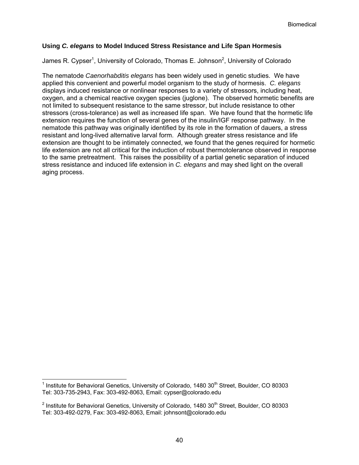### **Using** *C. elegans* **to Model Induced Stress Resistance and Life Span Hormesis**

James R. Cypser<sup>1</sup>, University of Colorado, Thomas E. Johnson<sup>2</sup>, University of Colorado

The nematode *Caenorhabditis elegans* has been widely used in genetic studies. We have applied this convenient and powerful model organism to the study of hormesis. *C. elegans* displays induced resistance or nonlinear responses to a variety of stressors, including heat, oxygen, and a chemical reactive oxygen species (juglone). The observed hormetic benefits are not limited to subsequent resistance to the same stressor, but include resistance to other stressors (cross-tolerance) as well as increased life span. We have found that the hormetic life extension requires the function of several genes of the insulin/IGF response pathway. In the nematode this pathway was originally identified by its role in the formation of dauers, a stress resistant and long-lived alternative larval form. Although greater stress resistance and life extension are thought to be intimately connected, we found that the genes required for hormetic life extension are not all critical for the induction of robust thermotolerance observed in response to the same pretreatment. This raises the possibility of a partial genetic separation of induced stress resistance and induced life extension in *C. elegans* and may shed light on the overall aging process.

 1 Institute for Behavioral Genetics, University of Colorado, 1480 30th Street, Boulder, CO 80303 Tel: 303-735-2943, Fax: 303-492-8063, Email: cypser@colorado.edu

<sup>&</sup>lt;sup>2</sup> Institute for Behavioral Genetics, University of Colorado, 1480 30<sup>th</sup> Street, Boulder, CO 80303 Tel: 303-492-0279, Fax: 303-492-8063, Email: johnsont@colorado.edu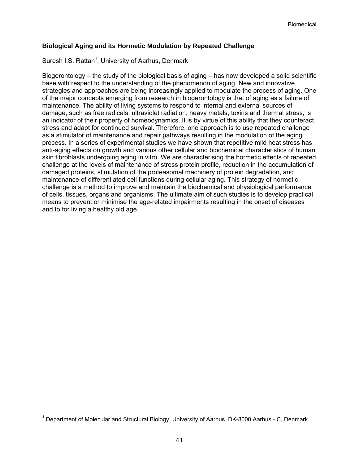# **Biological Aging and its Hormetic Modulation by Repeated Challenge**

Suresh I.S. Rattan<sup>1</sup>, University of Aarhus, Denmark

Biogerontology – the study of the biological basis of aging – has now developed a solid scientific base with respect to the understanding of the phenomenon of aging. New and innovative strategies and approaches are being increasingly applied to modulate the process of aging. One of the major concepts emerging from research in biogerontology is that of aging as a failure of maintenance. The ability of living systems to respond to internal and external sources of damage, such as free radicals, ultraviolet radiation, heavy metals, toxins and thermal stress, is an indicator of their property of homeodynamics. It is by virtue of this ability that they counteract stress and adapt for continued survival. Therefore, one approach is to use repeated challenge as a stimulator of maintenance and repair pathways resulting in the modulation of the aging process. In a series of experimental studies we have shown that repetitive mild heat stress has anti-aging effects on growth and various other cellular and biochemical characteristics of human skin fibroblasts undergoing aging in vitro. We are characterising the hormetic effects of repeated challenge at the levels of maintenance of stress protein profile, reduction in the accumulation of damaged proteins, stimulation of the proteasomal machinery of protein degradation, and maintenance of differentiated cell functions during cellular aging. This strategy of hormetic challenge is a method to improve and maintain the biochemical and physiological performance of cells, tissues, organs and organisms. The ultimate aim of such studies is to develop practical means to prevent or minimise the age-related impairments resulting in the onset of diseases and to for living a healthy old age.

<sup>-</sup>1 Department of Molecular and Structural Biology, University of Aarhus, DK-8000 Aarhus - C, Denmark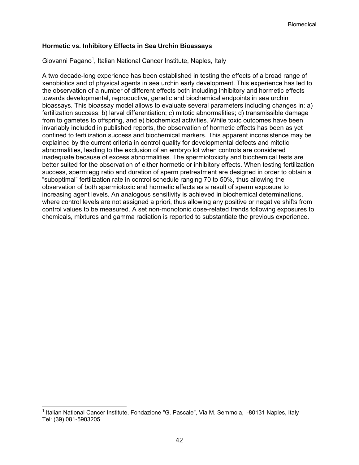### **Hormetic vs. Inhibitory Effects in Sea Urchin Bioassays**

Giovanni Pagano<sup>1</sup>, Italian National Cancer Institute, Naples, Italy

A two decade-long experience has been established in testing the effects of a broad range of xenobiotics and of physical agents in sea urchin early development. This experience has led to the observation of a number of different effects both including inhibitory and hormetic effects towards developmental, reproductive, genetic and biochemical endpoints in sea urchin bioassays. This bioassay model allows to evaluate several parameters including changes in: a) fertilization success; b) larval differentiation; c) mitotic abnormalities; d) transmissible damage from to gametes to offspring, and e) biochemical activities. While toxic outcomes have been invariably included in published reports, the observation of hormetic effects has been as yet confined to fertilization success and biochemical markers. This apparent inconsistence may be explained by the current criteria in control quality for developmental defects and mitotic abnormalities, leading to the exclusion of an embryo lot when controls are considered inadequate because of excess abnormalities. The spermiotoxicity and biochemical tests are better suited for the observation of either hormetic or inhibitory effects. When testing fertilization success, sperm:egg ratio and duration of sperm pretreatment are designed in order to obtain a "suboptimal" fertilization rate in control schedule ranging 70 to 50%, thus allowing the observation of both spermiotoxic and hormetic effects as a result of sperm exposure to increasing agent levels. An analogous sensitivity is achieved in biochemical determinations, where control levels are not assigned a priori, thus allowing any positive or negative shifts from control values to be measured. A set non-monotonic dose-related trends following exposures to chemicals, mixtures and gamma radiation is reported to substantiate the previous experience.

<sup>&</sup>lt;sup>1</sup> Italian National Cancer Institute, Fondazione "G. Pascale", Via M. Semmola, I-80131 Naples, Italy Tel: (39) 081-5903205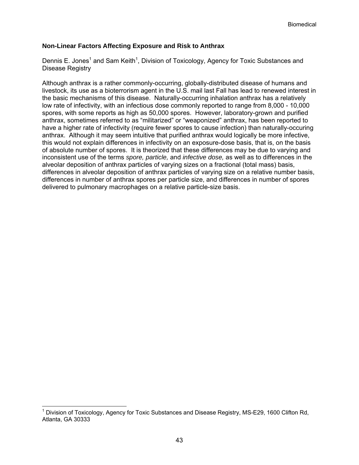## **Non-Linear Factors Affecting Exposure and Risk to Anthrax**

Dennis E. Jones<sup>1</sup> and Sam Keith<sup>1</sup>, Division of Toxicology, Agency for Toxic Substances and Disease Registry

Although anthrax is a rather commonly-occurring, globally-distributed disease of humans and livestock, its use as a bioterrorism agent in the U.S. mail last Fall has lead to renewed interest in the basic mechanisms of this disease. Naturally-occurring inhalation anthrax has a relatively low rate of infectivity, with an infectious dose commonly reported to range from 8,000 - 10,000 spores, with some reports as high as 50,000 spores. However, laboratory-grown and purified anthrax, sometimes referred to as "militarized" or "weaponized" anthrax, has been reported to have a higher rate of infectivity (require fewer spores to cause infection) than naturally-occuring anthrax. Although it may seem intuitive that purified anthrax would logically be more infective, this would not explain differences in infectivity on an exposure-dose basis, that is, on the basis of absolute number of spores. It is theorized that these differences may be due to varying and inconsistent use of the terms *spore, particle,* and *infective dose,* as well as to differences in the alveolar deposition of anthrax particles of varying sizes on a fractional (total mass) basis, differences in alveolar deposition of anthrax particles of varying size on a relative number basis, differences in number of anthrax spores per particle size, and differences in number of spores delivered to pulmonary macrophages on a relative particle-size basis.

-

<sup>&</sup>lt;sup>1</sup> Division of Toxicology, Agency for Toxic Substances and Disease Registry, MS-E29, 1600 Clifton Rd, Atlanta, GA 30333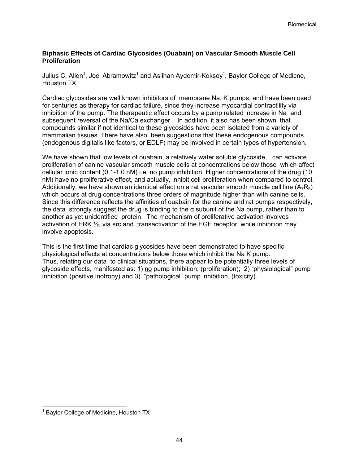### **Biphasic Effects of Cardiac Glycosides (Ouabain) on Vascular Smooth Muscle Cell Proliferation**

Julius C. Allen<sup>1</sup>, Joel Abramowitz<sup>1</sup> and Aslihan Aydemir-Koksoy<sup>1</sup>, Baylor College of Medicne, Houston TX.

Cardiac glycosides are well known inhibitors of membrane Na, K pumps, and have been used for centuries as therapy for cardiac failure, since they increase myocardial contractility via inhibition of the pump. The therapeutic effect occurs by a pump related increase in Na<sub>i</sub> and subsequent reversal of the Na/Ca exchanger. In addition, it also has been shown that compounds similar if not identical to these glycosides have been isolated from a variety of mammalian tissues. There have also been suggestions that these endogenous compounds (endogenous digitalis like factors, or EDLF) may be involved in certain types of hypertension.

We have shown that low levels of ouabain, a relatively water soluble glycoside, can activate proliferation of canine vascular smooth muscle cells at concentrations below those which affect cellular ionic content (0.1-1.0 nM) i.e. no pump inhibition. Higher concentrations of the drug (10 nM) have no proliferative effect, and actually, inhibit cell proliferation when compared to control. Additionally, we have shown an identical effect on a rat vascular smooth muscle cell line  $(A_7R_5)$ which occurs at drug concentrations three orders of magnitude higher than with canine cells. Since this difference reflects the affinities of ouabain for the canine and rat pumps respectively, the data strongly suggest the drug is binding to the  $\alpha$  subunit of the Na pump, rather than to another as yet unidentified protein. The mechanism of proliferative activation involves activation of ERK  $\frac{1}{2}$ , via src and transactivation of the EGF receptor, while inhibition may involve apoptosis.

This is the first time that cardiac glycosides have been demonstrated to have specific physiological effects at concentrations below those which inhibit the Na K pump. Thus, relating our data to clinical situations, there appear to be potentially three levels of glycoside effects, manifested as: 1) no pump inhibition, (proliferation); 2) "physiological" pump inhibition (positive inotropy) and 3) "pathological" pump inhibition, (toxicity).

 1 Baylor College of Medicine, Houston TX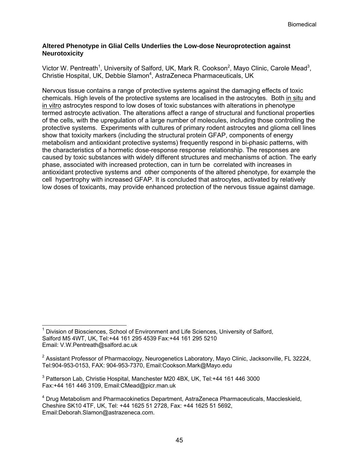#### **Altered Phenotype in Glial Cells Underlies the Low-dose Neuroprotection against Neurotoxicity**

Victor W. Pentreath<sup>1</sup>, University of Salford, UK, Mark R. Cookson<sup>2</sup>, Mayo Clinic, Carole Mead<sup>3</sup>, Christie Hospital, UK, Debbie Slamon<sup>4</sup>, AstraZeneca Pharmaceuticals, UK

Nervous tissue contains a range of protective systems against the damaging effects of toxic chemicals. High levels of the protective systems are localised in the astrocytes. Both in situ and in vitro astrocytes respond to low doses of toxic substances with alterations in phenotype termed astrocyte activation. The alterations affect a range of structural and functional properties of the cells, with the upregulation of a large number of molecules, including those controlling the protective systems. Experiments with cultures of primary rodent astrocytes and glioma cell lines show that toxicity markers (including the structural protein GFAP, components of energy metabolism and antioxidant protective systems) frequently respond in bi-phasic patterns, with the characteristics of a hormetic dose-response response relationship. The responses are caused by toxic substances with widely different structures and mechanisms of action. The early phase, associated with increased protection, can in turn be correlated with increases in antioxidant protective systems and other components of the altered phenotype, for example the cell hypertrophy with increased GFAP. It is concluded that astrocytes, activated by relatively low doses of toxicants, may provide enhanced protection of the nervous tissue against damage.

<sup>1</sup> Division of Biosciences, School of Environment and Life Sciences, University of Salford, Salford M5 4WT, UK, Tel:+44 161 295 4539 Fax:+44 161 295 5210 Email: V.W.Pentreath@salford.ac.uk

<sup>&</sup>lt;sup>2</sup> Assistant Professor of Pharmacology, Neurogenetics Laboratory, Mayo Clinic, Jacksonville, FL 32224, Tel:904-953-0153, FAX: 904-953-7370, Email:Cookson.Mark@Mayo.edu

<sup>&</sup>lt;sup>3</sup> Patterson Lab, Christie Hospital, Manchester M20 4BX, UK, Tel:+44 161 446 3000 Fax:+44 161 446 3109, Email:CMead@picr.man.uk

<sup>&</sup>lt;sup>4</sup> Drug Metabolism and Pharmacokinetics Department, AstraZeneca Pharmaceuticals, Maccleskield, Cheshire SK10 4TF, UK, Tel: +44 1625 51 2728, Fax: +44 1625 51 5692, Email:Deborah.Slamon@astrazeneca.com.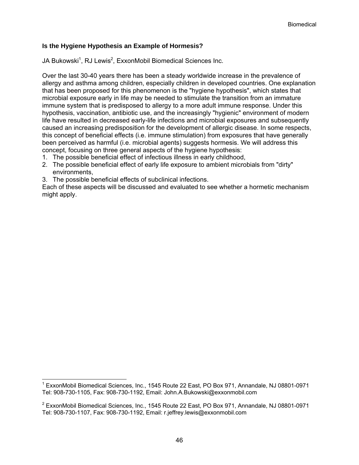# **Is the Hygiene Hypothesis an Example of Hormesis?**

JA Bukowski<sup>1</sup>, RJ Lewis<sup>2</sup>, ExxonMobil Biomedical Sciences Inc.

Over the last 30-40 years there has been a steady worldwide increase in the prevalence of allergy and asthma among children, especially children in developed countries. One explanation that has been proposed for this phenomenon is the "hygiene hypothesis", which states that microbial exposure early in life may be needed to stimulate the transition from an immature immune system that is predisposed to allergy to a more adult immune response. Under this hypothesis, vaccination, antibiotic use, and the increasingly "hygienic" environment of modern life have resulted in decreased early-life infections and microbial exposures and subsequently caused an increasing predisposition for the development of allergic disease. In some respects, this concept of beneficial effects (i.e. immune stimulation) from exposures that have generally been perceived as harmful (i.e. microbial agents) suggests hormesis. We will address this concept, focusing on three general aspects of the hygiene hypothesis:

- 1. The possible beneficial effect of infectious illness in early childhood,
- 2. The possible beneficial effect of early life exposure to ambient microbials from "dirty" environments,
- 3. The possible beneficial effects of subclinical infections.

Each of these aspects will be discussed and evaluated to see whether a hormetic mechanism might apply.

<sup>&</sup>lt;sup>1</sup> ExxonMobil Biomedical Sciences, Inc., 1545 Route 22 East, PO Box 971, Annandale, NJ 08801-0971 Tel: 908-730-1105, Fax: 908-730-1192, Email: John.A.Bukowski@exxonmobil.com

 $^2$  ExxonMobil Biomedical Sciences, Inc., 1545 Route 22 East, PO Box 971, Annandale, NJ 08801-0971 Tel: 908-730-1107, Fax: 908-730-1192, Email: r.jeffrey.lewis@exxonmobil.com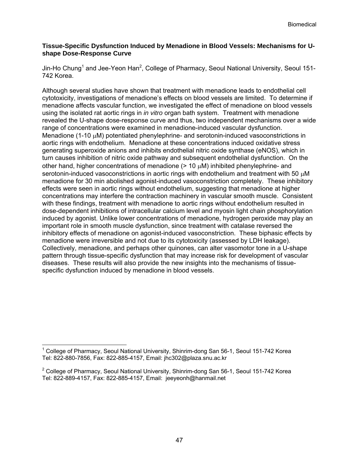### **Tissue-Specific Dysfunction Induced by Menadione in Blood Vessels: Mechanisms for Ushape Dose-Response Curve**

Jin-Ho Chung<sup>1</sup> and Jee-Yeon Han<sup>2</sup>, College of Pharmacy, Seoul National University, Seoul 151-742 Korea.

Although several studies have shown that treatment with menadione leads to endothelial cell cytotoxicity, investigations of menadione's effects on blood vessels are limited. To determine if menadione affects vascular function, we investigated the effect of menadione on blood vessels using the isolated rat aortic rings in *in vitro* organ bath system. Treatment with menadione revealed the U-shape dose-response curve and thus, two independent mechanisms over a wide range of concentrations were examined in menadione-induced vascular dysfunction. Menadione (1-10  $\mu$ M) potentiated phenylephrine- and serotonin-induced vasoconstrictions in aortic rings with endothelium. Menadione at these concentrations induced oxidative stress generating superoxide anions and inhibits endothelial nitric oxide synthase (eNOS), which in turn causes inhibition of nitric oxide pathway and subsequent endothelial dysfunction. On the other hand, higher concentrations of menadione  $(> 10 \mu M)$  inhibited phenylephrine- and serotonin-induced vasoconstrictions in aortic rings with endothelium and treatment with 50  $\mu$ M menadione for 30 min abolished agonist-induced vasoconstriction completely. These inhibitory effects were seen in aortic rings without endothelium, suggesting that menadione at higher concentrations may interfere the contraction machinery in vascular smooth muscle. Consistent with these findings, treatment with menadione to aortic rings without endothelium resulted in dose-dependent inhibitions of intracellular calcium level and myosin light chain phosphorylation induced by agonist. Unlike lower concentrations of menadione, hydrogen peroxide may play an important role in smooth muscle dysfunction, since treatment with catalase reversed the inhibitory effects of menadione on agonist-induced vasoconstriction. These biphasic effects by menadione were irreversible and not due to its cytotoxicity (assessed by LDH leakage). Collectively, menadione, and perhaps other quinones, can alter vasomotor tone in a U-shape pattern through tissue-specific dysfunction that may increase risk for development of vascular diseases. These results will also provide the new insights into the mechanisms of tissuespecific dysfunction induced by menadione in blood vessels.

 1 College of Pharmacy, Seoul National University, Shinrim-dong San 56-1, Seoul 151-742 Korea Tel: 822-880-7856, Fax: 822-885-4157, Email: jhc302@plaza.snu.ac.kr

 $2$  College of Pharmacy, Seoul National University, Shinrim-dong San 56-1, Seoul 151-742 Korea Tel: 822-889-4157, Fax: 822-885-4157, Email: jeeyeonh@hanmail.net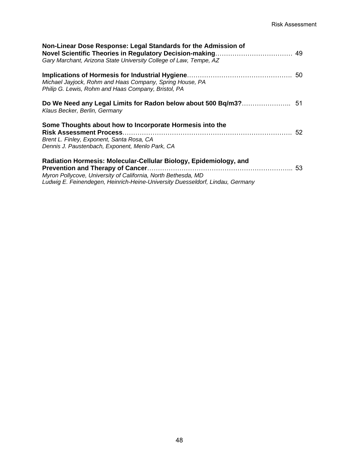| Non-Linear Dose Response: Legal Standards for the Admission of<br>Gary Marchant, Arizona State University College of Law, Tempe, AZ                                                                                 |  |
|---------------------------------------------------------------------------------------------------------------------------------------------------------------------------------------------------------------------|--|
| Michael Jayjock, Rohm and Haas Company, Spring House, PA<br>Philip G. Lewis, Rohm and Haas Company, Bristol, PA                                                                                                     |  |
| Klaus Becker, Berlin, Germany                                                                                                                                                                                       |  |
| Some Thoughts about how to Incorporate Hormesis into the<br>Brent L. Finley, Exponent, Santa Rosa, CA<br>Dennis J. Paustenbach, Exponent, Menlo Park, CA                                                            |  |
| Radiation Hormesis: Molecular-Cellular Biology, Epidemiology, and<br>Myron Pollycove, University of California, North Bethesda, MD<br>Ludwig E. Feinendegen, Heinrich-Heine-University Duesseldorf, Lindau, Germany |  |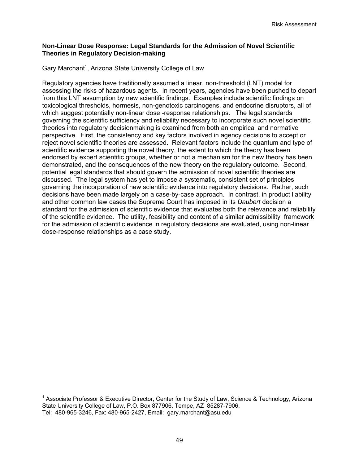### **Non-Linear Dose Response: Legal Standards for the Admission of Novel Scientific Theories in Regulatory Decision-making**

### Gary Marchant<sup>1</sup>, Arizona State University College of Law

Regulatory agencies have traditionally assumed a linear, non-threshold (LNT) model for assessing the risks of hazardous agents. In recent years, agencies have been pushed to depart from this LNT assumption by new scientific findings. Examples include scientific findings on toxicological thresholds, hormesis, non-genotoxic carcinogens, and endocrine disruptors, all of which suggest potentially non-linear dose -response relationships. The legal standards governing the scientific sufficiency and reliability necessary to incorporate such novel scientific theories into regulatory decisionmaking is examined from both an empirical and normative perspective. First, the consistency and key factors involved in agency decisions to accept or reject novel scientific theories are assessed. Relevant factors include the quantum and type of scientific evidence supporting the novel theory, the extent to which the theory has been endorsed by expert scientific groups, whether or not a mechanism for the new theory has been demonstrated, and the consequences of the new theory on the regulatory outcome. Second, potential legal standards that should govern the admission of novel scientific theories are discussed. The legal system has yet to impose a systematic, consistent set of principles governing the incorporation of new scientific evidence into regulatory decisions. Rather, such decisions have been made largely on a case-by-case approach. In contrast, in product liability and other common law cases the Supreme Court has imposed in its *Daubert* decision a standard for the admission of scientific evidence that evaluates both the relevance and reliability of the scientific evidence. The utility, feasibility and content of a similar admissibility framework for the admission of scientific evidence in regulatory decisions are evaluated, using non-linear dose-response relationships as a case study.

<sup>&</sup>lt;sup>1</sup> Associate Professor & Executive Director, Center for the Study of Law, Science & Technology, Arizona State University College of Law, P.O. Box 877906, Tempe, AZ 85287-7906, Tel: 480-965-3246, Fax: 480-965-2427, Email: gary.marchant@asu.edu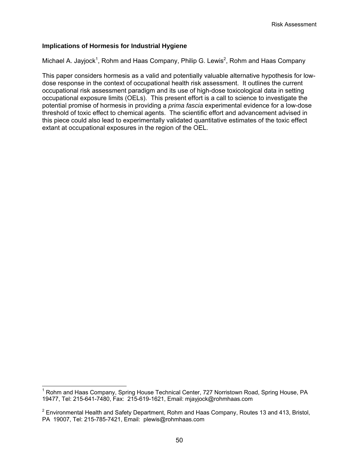## **Implications of Hormesis for Industrial Hygiene**

Michael A. Jayjock<sup>1</sup>, Rohm and Haas Company, Philip G. Lewis<sup>2</sup>, Rohm and Haas Company

This paper considers hormesis as a valid and potentially valuable alternative hypothesis for lowdose response in the context of occupational health risk assessment. It outlines the current occupational risk assessment paradigm and its use of high-dose toxicological data in setting occupational exposure limits (OELs). This present effort is a call to science to investigate the potential promise of hormesis in providing a *prima fascia* experimental evidence for a low-dose threshold of toxic effect to chemical agents. The scientific effort and advancement advised in this piece could also lead to experimentally validated quantitative estimates of the toxic effect extant at occupational exposures in the region of the OEL.

-

<sup>&</sup>lt;sup>1</sup> Rohm and Haas Company, Spring House Technical Center, 727 Norristown Road, Spring House, PA 19477, Tel: 215-641-7480, Fax: 215-619-1621, Email: mjayjock@rohmhaas.com

 $2$  Environmental Health and Safety Department, Rohm and Haas Company, Routes 13 and 413, Bristol, PA 19007, Tel: 215-785-7421, Email: plewis@rohmhaas.com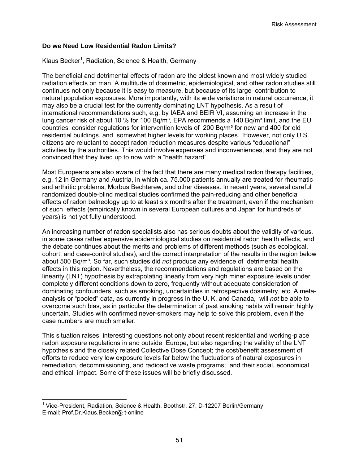#### **Do we Need Low Residential Radon Limits?**

Klaus Becker<sup>1</sup>, Radiation, Science & Health, Germany

The beneficial and detrimental effects of radon are the oldest known and most widely studied radiation effects on man. A multitude of dosimetric, epidemiological, and other radon studies still continues not only because it is easy to measure, but because of its large contribution to natural population exposures. More importantly, with its wide variations in natural occurrence, it may also be a crucial test for the currently dominating LNT hypothesis. As a result of international recommendations such, e.g. by IAEA and BEIR VI, assuming an increase in the lung cancer risk of about 10 % for 100  $Bq/m<sup>3</sup>$ , EPA recommends a 140  $Bq/m<sup>3</sup>$  limit, and the EU countries consider regulations for intervention levels of  $200$  Bq/m<sup>3</sup> for new and 400 for old residential buildings, and somewhat higher levels for working places. However, not only U.S. citizens are reluctant to accept radon reduction measures despite various "educational" activities by the authorities. This would involve expenses and inconveniences, and they are not convinced that they lived up to now with a "health hazard".

Most Europeans are also aware of the fact that there are many medical radon therapy facilities, e.g. 12 in Germany and Austria, in which ca. 75.000 patients annually are treated for rheumatic and arthritic problems, Morbus Bechterew, and other diseases. In recent years, several careful randomized double-blind medical studies confirmed the pain-reducing and other beneficial effects of radon balneology up to at least six months after the treatment, even if the mechanism of such effects (empirically known in several European cultures and Japan for hundreds of years) is not yet fully understood.

An increasing number of radon specialists also has serious doubts about the validity of various, in some cases rather expensive epidemiological studies on residential radon health effects, and the debate continues about the merits and problems of different methods (such as ecological, cohort, and case-control studies), and the correct interpretation of the results in the region below about 500 Bq/m³. So far, such studies did *not* produce any evidence of detrimental health effects in this region. Nevertheless, the recommendations and regulations are based on the linearity (LNT) hypothesis by extrapolating linearly from very high miner exposure levels under completely different conditions down to zero, frequently without adequate consideration of dominating confounders such as smoking, uncertainties in retrospective dosimetry, etc. A metaanalysis or "pooled" data, as currently in progress in the U. K. and Canada, will *not* be able to overcome such bias, as in particular the determination of past smoking habits will remain highly uncertain. Studies with confirmed never-smokers may help to solve this problem, even if the case numbers are much smaller.

This situation raises interesting questions not only about recent residential and working-place radon exposure regulations in and outside Europe, but also regarding the validity of the LNT hypothesis and the closely related Collective Dose Concept; the cost/benefit assessment of efforts to reduce very low exposure levels far below the fluctuations of natural exposures in remediation, decommissioning, and radioactive waste programs; and their social, economical and ethical impact. Some of these issues will be briefly discussed.

 <sup>1</sup> Vice-President, Radiation, Science & Health, Boothstr. 27, D-12207 Berlin/Germany E-mail: Prof.Dr.Klaus.Becker@ t-online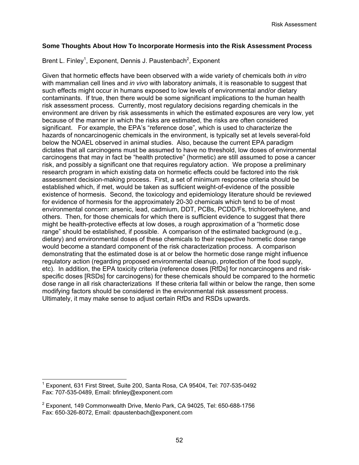### **Some Thoughts About How To Incorporate Hormesis into the Risk Assessment Process**

Brent L. Finley<sup>1</sup>, Exponent, Dennis J. Paustenbach<sup>2</sup>, Exponent

Given that hormetic effects have been observed with a wide variety of chemicals both *in vitro* with mammalian cell lines and *in vivo* with laboratory animals, it is reasonable to suggest that such effects might occur in humans exposed to low levels of environmental and/or dietary contaminants. If true, then there would be some significant implications to the human health risk assessment process. Currently, most regulatory decisions regarding chemicals in the environment are driven by risk assessments in which the estimated exposures are very low, yet because of the manner in which the risks are estimated, the risks are often considered significant. For example, the EPA's "reference dose", which is used to characterize the hazards of noncarcinogenic chemicals in the environment, is typically set at levels several-fold below the NOAEL observed in animal studies. Also, because the current EPA paradigm dictates that all carcinogens must be assumed to have no threshold, low doses of environmental carcinogens that may in fact be "health protective" (hormetic) are still assumed to pose a cancer risk, and possibly a significant one that requires regulatory action. We propose a preliminary research program in which existing data on hormetic effects could be factored into the risk assessment decision-making process. First, a set of minimum response criteria should be established which, if met, would be taken as sufficient weight-of-evidence of the possible existence of hormesis. Second, the toxicology and epidemiology literature should be reviewed for evidence of hormesis for the approximately 20-30 chemicals which tend to be of most environmental concern: arsenic, lead, cadmium, DDT, PCBs, PCDD/Fs, trichloroethylene, and others. Then, for those chemicals for which there is sufficient evidence to suggest that there might be health-protective effects at low doses, a rough approximation of a "hormetic dose range" should be established, if possible. A comparison of the estimated background (e.g., dietary) and environmental doses of these chemicals to their respective hormetic dose range would become a standard component of the risk characterization process. A comparison demonstrating that the estimated dose is at or below the hormetic dose range might influence regulatory action (regarding proposed environmental cleanup, protection of the food supply, etc). In addition, the EPA toxicity criteria (reference doses [RfDs] for noncarcinogens and riskspecific doses [RSDs] for carcinogens) for these chemicals should be compared to the hormetic dose range in all risk characterizations If these criteria fall within or below the range, then some modifying factors should be considered in the environmental risk assessment process. Ultimately, it may make sense to adjust certain RfDs and RSDs upwards.

 1 Exponent, 631 First Street, Suite 200, Santa Rosa, CA 95404, Tel: 707-535-0492 Fax: 707-535-0489, Email: bfinley@exponent.com

 $^2$  Exponent, 149 Commonwealth Drive, Menlo Park, CA 94025, Tel: 650-688-1756 Fax: 650-326-8072, Email: dpaustenbach@exponent.com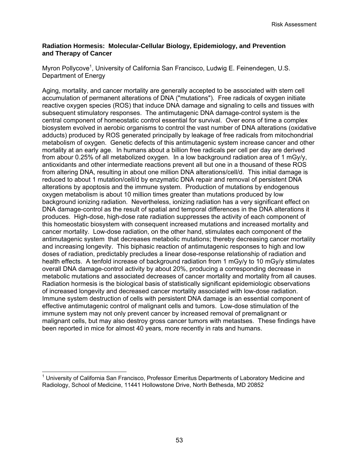#### **Radiation Hormesis: Molecular-Cellular Biology, Epidemiology, and Prevention and Therapy of Cancer**

Myron Pollycove<sup>1</sup>, University of California San Francisco, Ludwig E. Feinendegen, U.S. Department of Energy

Aging, mortality, and cancer mortality are generally accepted to be associated with stem cell accumulation of permanent alterations of DNA ("mutations"). Free radicals of oxygen initiate reactive oxygen species (ROS) that induce DNA damage and signaling to cells and tissues with subsequent stimulatory responses. The antimutagenic DNA damage-control system is the central component of homeostatic control essential for survival. Over eons of time a complex biosystem evolved in aerobic organisms to control the vast number of DNA alterations (oxidative adducts) produced by ROS generated principally by leakage of free radicals from mitochondrial metabolism of oxygen. Genetic defects of this antimutagenic system increase cancer and other mortality at an early age. In humans about a billion free radicals per cell per day are derived from abour 0.25% of all metabolized oxygen. In a low background radiation area of 1 mGy/y, antioxidants and other intermediate reactions prevent all but one in a thousand of these ROS from altering DNA, resulting in about one million DNA alterations/cell/d. This initial damage is reduced to about 1 mutation/cell/d by enzymatic DNA repair and removal of persistent DNA alterations by apoptosis and the immune system. Production of mutations by endogenous oxygen metabolism is about 10 million times greater than mutations produced by low background ionizing radiation. Nevertheless, ionizing radiation has a very significant effect on DNA damage-control as the result of spatial and temporal differences in the DNA alterations it produces. High-dose, high-dose rate radiation suppresses the activity of each component of this homeostatic biosystem with consequent increased mutations and increased mortality and cancer mortality. Low-dose radiation, on the other hand, stimulates each component of the antimutagenic system that decreases metabolic mutations; thereby decreasing cancer mortality and increasing longevity. This biphasic reaction of antimutagenic responses to high and low doses of radiation, predictably precludes a linear dose-response relationship of radiation and health effects. A tenfold increase of background radiation from 1 mGy/y to 10 mGy/y stimulates overall DNA damage-control activity by about 20%, producing a corresponding decrease in metabolic mutations and associated decreases of cancer mortality and mortality from all causes. Radiation hormesis is the biological basis of statistically significant epidemiologic observations of increased longevity and decreased cancer mortality associated with low-dose radiation. Immune system destruction of cells with persistent DNA damage is an essential component of effective antimutagenic control of malignant cells and tumors. Low-dose stimulation of the immune system may not only prevent cancer by increased removal of premalignant or malignant cells, but may also destroy gross cancer tumors with metastses. These findings have been reported in mice for almost 40 years, more recently in rats and humans.

 1 University of California San Francisco, Professor Emeritus Departments of Laboratory Medicine and Radiology, School of Medicine, 11441 Hollowstone Drive, North Bethesda, MD 20852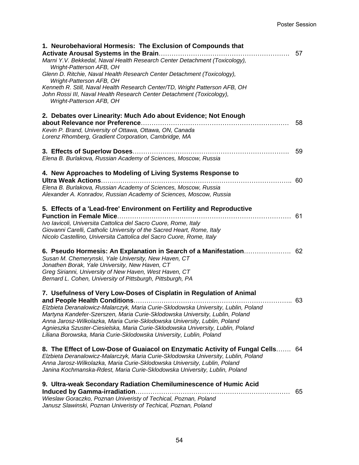| 1. Neurobehavioral Hormesis: The Exclusion of Compounds that<br>Marni Y.V. Bekkedal, Naval Health Research Center Detachment (Toxicology),<br>Wright-Patterson AFB, OH<br>Glenn D. Ritchie, Naval Health Research Center Detachment (Toxicology),<br>Wright-Patterson AFB, OH<br>Kenneth R. Still, Naval Health Research Center/TD, Wright Patterson AFB, OH<br>John Rossi III, Naval Health Research Center Detachment (Toxicology),<br>Wright-Patterson AFB, OH                 | 57 |
|-----------------------------------------------------------------------------------------------------------------------------------------------------------------------------------------------------------------------------------------------------------------------------------------------------------------------------------------------------------------------------------------------------------------------------------------------------------------------------------|----|
| 2. Debates over Linearity: Much Ado about Evidence; Not Enough<br>about Relevance nor Preference.<br>Kevin P. Brand, University of Ottawa, Ottawa, ON, Canada<br>Lorenz Rhomberg, Gradient Corporation, Cambridge, MA                                                                                                                                                                                                                                                             | 58 |
| Elena B. Burlakova, Russian Academy of Sciences, Moscow, Russia                                                                                                                                                                                                                                                                                                                                                                                                                   | 59 |
| 4. New Approaches to Modeling of Living Systems Response to<br>Elena B. Burlakova, Russian Academy of Sciences, Moscow, Russia<br>Alexander A. Konradov, Russian Academy of Sciences, Moscow, Russia                                                                                                                                                                                                                                                                              | 60 |
| 5. Effects of a 'Lead-free' Environment on Fertility and Reproductive<br>Ivo lavicoli, Universita Cattolica del Sacro Cuore, Rome, Italy<br>Giovanni Carelli, Catholic University of the Sacred Heart, Rome, Italy<br>Nicolo Castellino, Universita Cattolica del Sacro Cuore, Rome, Italy                                                                                                                                                                                        | 61 |
| 6. Pseudo Hormesis: An Explanation in Search of a Manifestation<br>Susan M. Chemerynski, Yale University, New Haven, CT<br>Jonathen Borak, Yale University, New Haven, CT<br>Greg Sirianni, University of New Haven, West Haven, CT<br>Bernard L. Cohen, University of Pittsburgh, Pittsburgh, PA                                                                                                                                                                                 | 62 |
| 7. Usefulness of Very Low-Doses of Cisplatin in Regulation of Animal<br>Elzbieta Deranalowicz-Malarczyk, Maria Curie-Sklodowska University, Lublin, Poland<br>Martyna Kandefer-Szerszen, Maria Curie-Sklodowska University, Lublin, Poland<br>Anna Jarosz-Wilkolazka, Maria Curie-Sklodowska University, Lublin, Poland<br>Agnieszka Szuster-Ciesielska, Maria Curie-Sklodowska University, Lublin, Poland<br>Liliana Borowska, Maria Curie-Sklodowska University, Lublin, Poland | 63 |
| 8. The Effect of Low-Dose of Guaiacol on Enzymatic Activity of Fungal Cells 64<br>Elzbieta Deranalowicz-Malarczyk, Maria Curie-Sklodowska University, Lublin, Poland<br>Anna Jarosz-Wilkolazka, Maria Curie-Sklodowska University, Lublin, Poland<br>Janina Kochmanska-Rdest, Maria Curie-Sklodowska University, Lublin, Poland                                                                                                                                                   |    |
| 9. Ultra-weak Secondary Radiation Chemiluminescence of Humic Acid<br>Wieslaw Goraczko, Poznan Univeristy of Techical, Poznan, Poland<br>Janusz Slawinski, Poznan Univeristy of Techical, Poznan, Poland                                                                                                                                                                                                                                                                           | 65 |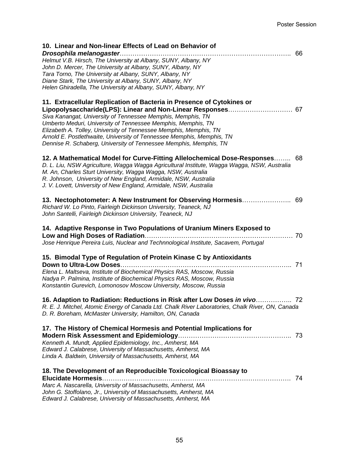| 10. Linear and Non-linear Effects of Lead on Behavior of<br>Helmut V.B. Hirsch, The University at Albany, SUNY, Albany, NY<br>John D. Mercer, The University at Albany, SUNY, Albany, NY<br>Tara Torno, The University at Albany, SUNY, Albany, NY<br>Diane Stark, The University at Albany, SUNY, Albany, NY<br>Helen Ghiradella, The University at Albany, SUNY, Albany, NY                                                                                                          | 66 |
|----------------------------------------------------------------------------------------------------------------------------------------------------------------------------------------------------------------------------------------------------------------------------------------------------------------------------------------------------------------------------------------------------------------------------------------------------------------------------------------|----|
| 11. Extracellular Replication of Bacteria in Presence of Cytokines or<br>Lipopolysaccharide(LPS): Linear and Non-Linear Responses 67<br>Siva Kanangat, University of Tennessee Memphis, Memphis, TN<br>Umberto Meduri, University of Tennessee Memphis, Memphis, TN<br>Elizabeth A. Tolley, University of Tennessee Memphis, Memphis, TN<br>Arnold E. Postlethwaite, University of Tennessee Memphis, Memphis, TN<br>Dennise R. Schaberg, University of Tennessee Memphis, Memphis, TN |    |
| 12. A Mathematical Model for Curve-Fitting Allelochemical Dose-Responses<br>D. L. Liu, NSW Agriculture, Wagga Wagga Agricultural Institute, Wagga Wagga, NSW, Australia<br>M. An, Charles Sturt University, Wagga Wagga, NSW, Australia<br>R. Johnson, University of New England, Armidale, NSW, Australia<br>J. V. Lovett, University of New England, Armidale, NSW, Australia                                                                                                        | 68 |
| 13. Nectophotometer: A New Instrument for Observing Hormesis<br>Richard W. Lo Pinto, Fairleigh Dickinson University, Teaneck, NJ<br>John Santelli, Fairleigh Dickinson University, Teaneck, NJ                                                                                                                                                                                                                                                                                         | 69 |
| 14. Adaptive Response in Two Populations of Uranium Miners Exposed to<br>Jose Henrique Pereira Luis, Nuclear and Technnological Institute, Sacavem, Portugal                                                                                                                                                                                                                                                                                                                           |    |
| 15. Bimodal Type of Regulation of Protein Kinase C by Antioxidants<br>Elena L. Maltseva, Institute of Biochemical Physics RAS, Moscow, Russia                                                                                                                                                                                                                                                                                                                                          | 71 |
| Nadya P. Palmina, Institute of Biochemical Physics RAS, Moscow, Russia<br>Konstantin Gurevich, Lomonosov Moscow University, Moscow, Russia                                                                                                                                                                                                                                                                                                                                             |    |
| 16. Adaption to Radiation: Reductions in Risk after Low Doses in vivo<br>R. E. J. Mitchel, Atomic Energy of Canada Ltd. Chalk River Laboratories, Chalk River, ON, Canada<br>D. R. Boreham, McMaster University, Hamilton, ON, Canada                                                                                                                                                                                                                                                  | 72 |
| 17. The History of Chemical Hormesis and Potential Implications for<br>Kenneth A. Mundt, Applied Epidemiology, Inc., Amherst, MA<br>Edward J. Calabrese, University of Massachusetts, Amherst, MA<br>Linda A. Baldwin, University of Massachusetts, Amherst, MA                                                                                                                                                                                                                        | 73 |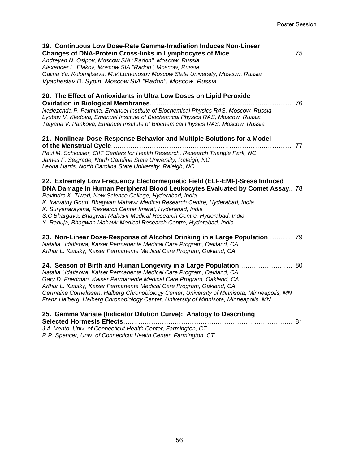| 19. Continuous Low Dose-Rate Gamma-Irradiation Induces Non-Linear<br>Andreyan N. Osipov, Moscow SIA "Radon", Moscow, Russia<br>Alexander L. Elakov, Moscow SIA "Radon", Moscow, Russia<br>Galina Ya. Kolomijtseva, M.V.Lomonosov Moscow State University, Moscow, Russia<br>Vyacheslav D. Sypin, Moscow SIA "Radon", Moscow, Russia                                                                                                                                                                                    |    |
|------------------------------------------------------------------------------------------------------------------------------------------------------------------------------------------------------------------------------------------------------------------------------------------------------------------------------------------------------------------------------------------------------------------------------------------------------------------------------------------------------------------------|----|
| 20. The Effect of Antioxidants in Ultra Low Doses on Lipid Peroxide<br>Nadezchda P. Palmina, Emanuel Institute of Biochemical Physics RAS, Moscow, Russia<br>Lyubov V. Kledova, Emanuel Institute of Biochemical Physics RAS, Moscow, Russia<br>Tatyana V. Pankova, Emanuel Institute of Biochemical Physics RAS, Moscow, Russia                                                                                                                                                                                       | 76 |
| 21. Nonlinear Dose-Response Behavior and Multiple Solutions for a Model                                                                                                                                                                                                                                                                                                                                                                                                                                                |    |
| Paul M. Schlosser, CIIT Centers for Health Research, Research Triangle Park, NC<br>James F. Selgrade, North Carolina State University, Raleigh, NC<br>Leona Harris, North Carolina State University, Raleigh, NC                                                                                                                                                                                                                                                                                                       |    |
| 22. Extremely Low Frequency Electormegnetic Field (ELF-EMF)-Sress Induced<br>DNA Damage in Human Peripheral Blood Leukocytes Evaluated by Comet Assay 78<br>Ravindra K. Tiwari, New Science College, Hyderabad, India<br>K. Irarvathy Goud, Bhagwan Mahavir Medical Research Centre, Hyderabad, India<br>K. Suryanarayana, Research Center Imarat, Hyderabad, India<br>S.C Bhargava, Bhagwan Mahavir Medical Research Centre, Hyderabad, India<br>Y. Rahuja, Bhagwan Mahavir Medical Research Centre, Hyderabad, India |    |
| 23. Non-Linear Dose-Response of Alcohol Drinking in a Large Population 79<br>Natalia Udaltsova, Kaiser Permanente Medical Care Program, Oakland, CA<br>Arthur L. Klatsky, Kaiser Permanente Medical Care Program, Oakland, CA                                                                                                                                                                                                                                                                                          |    |
| 24. Season of Birth and Human Longevity in a Large Population 80<br>Natalia Udaltsova, Kaiser Permanente Medical Care Program, Oakland, CA<br>Gary D. Friedman, Kaiser Permanente Medical Care Program, Oakland, CA<br>Arthur L. Klatsky, Kaiser Permanente Medical Care Program, Oakland, CA<br>Germaine Cornelissen, Halberg Chronobiology Center, University of Minnisota, Minneapolis, MN<br>Franz Halberg, Halberg Chronobiology Center, University of Minnisota, Minneapolis, MN                                 |    |
| 25. Gamma Variate (Indicator Dilution Curve): Analogy to Describing<br>J.A. Vento, Univ. of Connecticut Health Center, Farmington, CT<br>R.P. Spencer, Univ. of Connecticut Health Center, Farmington, CT                                                                                                                                                                                                                                                                                                              | 81 |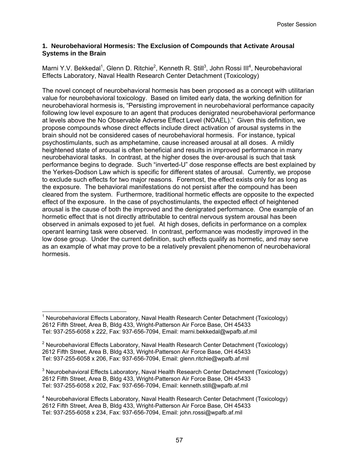### **1. Neurobehavioral Hormesis: The Exclusion of Compounds that Activate Arousal Systems in the Brain**

Marni Y.V. Bekkedal<sup>1</sup>, Glenn D. Ritchie<sup>2</sup>, Kenneth R. Still<sup>3</sup>, John Rossi III<sup>4</sup>, Neurobehavioral Effects Laboratory, Naval Health Research Center Detachment (Toxicology)

The novel concept of neurobehavioral hormesis has been proposed as a concept with utilitarian value for neurobehavioral toxicology. Based on limited early data, the working definition for neurobehavioral hormesis is, "Persisting improvement in neurobehavioral performance capacity following low level exposure to an agent that produces denigrated neurobehavioral performance at levels above the No Observable Adverse Effect Level (NOAEL)." Given this definition, we propose compounds whose direct effects include direct activation of arousal systems in the brain should not be considered cases of neurobehavioral hormesis. For instance, typical psychostimulants, such as amphetamine, cause increased arousal at all doses. A mildly heightened state of arousal is often beneficial and results in improved performance in many neurobehavioral tasks. In contrast, at the higher doses the over-arousal is such that task performance begins to degrade. Such "inverted-U" dose response effects are best explained by the Yerkes-Dodson Law which is specific for different states of arousal. Currently, we propose to exclude such effects for two major reasons. Foremost, the effect exists only for as long as the exposure. The behavioral manifestations do not persist after the compound has been cleared from the system. Furthermore, traditional hormetic effects are opposite to the expected effect of the exposure. In the case of psychostimulants, the expected effect of heightened arousal is the cause of both the improved and the denigrated performance. One example of an hormetic effect that is not directly attributable to central nervous system arousal has been observed in animals exposed to jet fuel. At high doses, deficits in performance on a complex operant learning task were observed. In contrast, performance was modestly improved in the low dose group. Under the current definition, such effects qualify as hormetic, and may serve as an example of what may prove to be a relatively prevalent phenomenon of neurobehavioral hormesis.

 1 Neurobehavioral Effects Laboratory, Naval Health Research Center Detachment (Toxicology) 2612 Fifth Street, Area B, Bldg 433, Wright-Patterson Air Force Base, OH 45433 Tel: 937-255-6058 x 222, Fax: 937-656-7094, Email: marni.bekkedal@wpafb.af.mil

<sup>&</sup>lt;sup>2</sup> Neurobehavioral Effects Laboratory, Naval Health Research Center Detachment (Toxicology) 2612 Fifth Street, Area B, Bldg 433, Wright-Patterson Air Force Base, OH 45433 Tel: 937-255-6058 x 206, Fax: 937-656-7094, Email: glenn.ritchie@wpafb.af.mil

 $3$  Neurobehavioral Effects Laboratory, Naval Health Research Center Detachment (Toxicology) 2612 Fifth Street, Area B, Bldg 433, Wright-Patterson Air Force Base, OH 45433 Tel: 937-255-6058 x 202, Fax: 937-656-7094, Email: kenneth.still@wpafb.af.mil

<sup>&</sup>lt;sup>4</sup> Neurobehavioral Effects Laboratory, Naval Health Research Center Detachment (Toxicology) 2612 Fifth Street, Area B, Bldg 433, Wright-Patterson Air Force Base, OH 45433 Tel: 937-255-6058 x 234, Fax: 937-656-7094, Email: john.rossi@wpafb.af.mil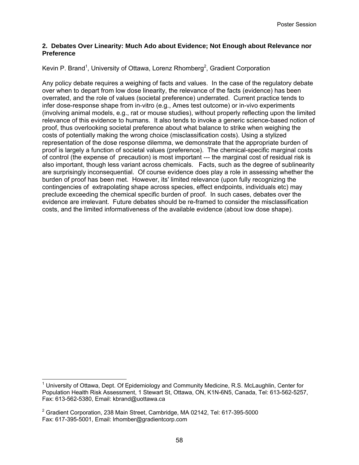#### **2. Debates Over Linearity: Much Ado about Evidence; Not Enough about Relevance nor Preference**

## Kevin P. Brand<sup>1</sup>, University of Ottawa, Lorenz Rhomberg<sup>2</sup>, Gradient Corporation

Any policy debate requires a weighing of facts and values. In the case of the regulatory debate over when to depart from low dose linearity, the relevance of the facts (evidence) has been overrated, and the role of values (societal preference) underrated. Current practice tends to infer dose-response shape from in-vitro (e.g., Ames test outcome) or in-vivo experiments (involving animal models, e.g., rat or mouse studies), without properly reflecting upon the limited relevance of this evidence to humans. It also tends to invoke a generic science-based notion of proof, thus overlooking societal preference about what balance to strike when weighing the costs of potentially making the wrong choice (misclassification costs). Using a stylized representation of the dose response dilemma, we demonstrate that the appropriate burden of proof is largely a function of societal values (preference). The chemical-specific marginal costs of control (the expense of precaution) is most important --- the marginal cost of residual risk is also important, though less variant across chemicals. Facts, such as the degree of sublinearity are surprisingly inconsequential. Of course evidence does play a role in assessing whether the burden of proof has been met. However, its' limited relevance (upon fully recognizing the contingencies of extrapolating shape across species, effect endpoints, individuals etc) may preclude exceeding the chemical specific burden of proof. In such cases, debates over the evidence are irrelevant. Future debates should be re-framed to consider the misclassification costs, and the limited informativeness of the available evidence (about low dose shape).

<sup>&</sup>lt;sup>1</sup> University of Ottawa, Dept. Of Epidemiology and Community Medicine, R.S. McLaughlin, Center for Population Health Risk Assessment, 1 Stewart St, Ottawa, ON, K1N-6N5, Canada, Tel: 613-562-5257, Fax: 613-562-5380, Email: kbrand@uottawa.ca

 $2$  Gradient Corporation, 238 Main Street, Cambridge, MA 02142, Tel: 617-395-5000 Fax: 617-395-5001, Email: lrhomber@gradientcorp.com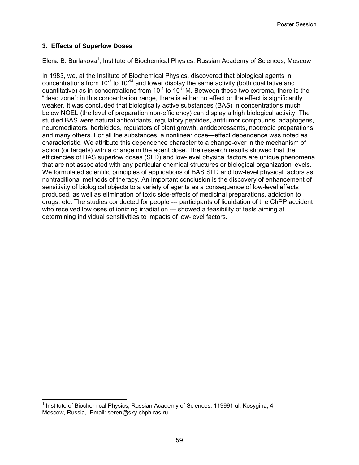# **3. Effects of Superlow Doses**

 $\overline{a}$ 

Elena B. Burlakova<sup>1</sup>, Institute of Biochemical Physics, Russian Academy of Sciences, Moscow

In 1983, we, at the Institute of Biochemical Physics, discovered that biological agents in concentrations from  $10^{-3}$  to  $10^{-14}$  and lower display the same activity (both qualitative and quantitative) as in concentrations from  $10^{-4}$  to  $10^{-5}$  M. Between these two extrema, there is the "dead zone": in this concentration range, there is either no effect or the effect is significantly weaker. It was concluded that biologically active substances (BAS) in concentrations much below NOEL (the level of preparation non-efficiency) can display a high biological activity. The studied BAS were natural antioxidants, regulatory peptides, antitumor compounds, adaptogens, neuromediators, herbicides, regulators of plant growth, antidepressants, nootropic preparations, and many others. For all the substances, a nonlinear dose—effect dependence was noted as characteristic. We attribute this dependence character to a change-over in the mechanism of action (or targets) with a change in the agent dose. The research results showed that the efficiencies of BAS superlow doses (SLD) and low-level physical factors are unique phenomena that are not associated with any particular chemical structures or biological organization levels. We formulated scientific principles of applications of BAS SLD and low-level physical factors as nontraditional methods of therapy. An important conclusion is the discovery of enhancement of sensitivity of biological objects to a variety of agents as a consequence of low-level effects produced, as well as elimination of toxic side-effects of medicinal preparations, addiction to drugs, etc. The studies conducted for people --- participants of liquidation of the ChPP accident who received low oses of ionizing irradiation --- showed a feasibility of tests aiming at determining individual sensitivities to impacts of low-level factors.

<sup>&</sup>lt;sup>1</sup> Institute of Biochemical Physics, Russian Academy of Sciences, 119991 ul. Kosygina, 4 Moscow, Russia, Email: seren@sky.chph.ras.ru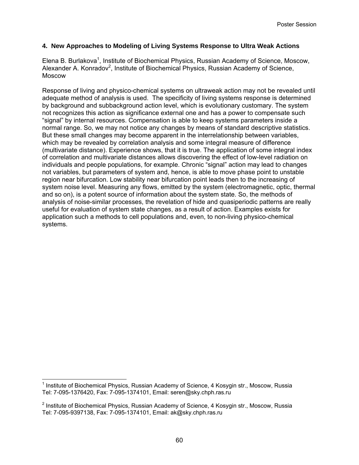## **4. New Approaches to Modeling of Living Systems Response to Ultra Weak Actions**

Elena B. Burlakova<sup>1</sup>, Institute of Biochemical Physics, Russian Academy of Science, Moscow, Alexander A. Konradov<sup>2</sup>, Institute of Biochemical Physics, Russian Academy of Science, Moscow

Response of living and physico-chemical systems on ultraweak action may not be revealed until adequate method of analysis is used. The specificity of living systems response is determined by background and subbackground action level, which is evolutionary customary. The system not recognizes this action as significance external one and has a power to compensate such "signal" by internal resources. Compensation is able to keep systems parameters inside a normal range. So, we may not notice any changes by means of standard descriptive statistics. But these small changes may become apparent in the interrelationship between variables, which may be revealed by correlation analysis and some integral measure of difference (multivariate distance). Experience shows, that it is true. The application of some integral index of correlation and multivariate distances allows discovering the effect of low-level radiation on individuals and people populations, for example. Chronic "signal" action may lead to changes not variables, but parameters of system and, hence, is able to move phase point to unstable region near bifurcation. Low stability near bifurcation point leads then to the increasing of system noise level. Measuring any flows, emitted by the system (electromagnetic, optic, thermal and so on), is a potent source of information about the system state. So, the methods of analysis of noise-similar processes, the revelation of hide and quasiperiodic patterns are really useful for evaluation of system state changes, as a result of action. Examples exists for application such a methods to cell populations and, even, to non-living physico-chemical systems.

 1 Institute of Biochemical Physics, Russian Academy of Science, 4 Kosygin str., Moscow, Russia Tel: 7-095-1376420, Fax: 7-095-1374101, Email: seren@sky.chph.ras.ru

<sup>&</sup>lt;sup>2</sup> Institute of Biochemical Physics, Russian Academy of Science, 4 Kosygin str., Moscow, Russia Tel: 7-095-9397138, Fax: 7-095-1374101, Email: ak@sky.chph.ras.ru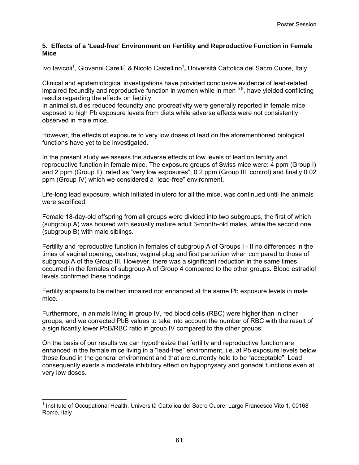### **5. Effects of a 'Lead-free' Environment on Fertility and Reproductive Function in Female Mice**

Ivo Iavicoli<sup>1</sup>, Giovanni Carelli<sup>1</sup> & Nicolò Castellino<sup>1</sup>, Università Cattolica del Sacro Cuore, Italy

Clinical and epidemiological investigations have provided conclusive evidence of lead-related impaired fecundity and reproductive function in women while in men 5-9, have yielded conflicting results regarding the effects on fertility.

In animal studies reduced fecundity and procreativity were generally reported in female mice esposed to high Pb exposure levels from diets while adverse effects were not consistently observed in male mice.

However, the effects of exposure to very low doses of lead on the aforementioned biological functions have yet to be investigated.

In the present study we assess the adverse effects of low levels of lead on fertility and reproductive function in female mice. The exposure groups of Swiss mice were: 4 ppm (Group I) and 2 ppm (Group II), rated as "very low exposures"; 0.2 ppm (Group III, control) and finally 0.02 ppm (Group IV) which we considered a "lead-free" environment.

Life-long lead exposure, which initiated in utero for all the mice, was continued until the animals were sacrificed.

Female 18-day-old offspring from all groups were divided into two subgroups, the first of which (subgroup A) was housed with sexually mature adult 3-month-old males, while the second one (subgroup B) with male siblings.

Fertility and reproductive function in females of subgroup A of Groups I - II no differences in the times of vaginal opening, oestrus, vaginal plug and first parturition when compared to those of subgroup A of the Group III. However, there was a significant reduction in the same times occurred in the females of subgroup A of Group 4 compared to the other groups. Blood estradiol levels confirmed these findings.

Fertility appears to be neither impaired nor enhanced at the same Pb exposure levels in male mice.

Furthermore, in animals living in group IV, red blood cells (RBC) were higher than in other groups, and we corrected PbB values to take into account the number of RBC with the result of a significantly lower PbB/RBC ratio in group IV compared to the other groups.

On the basis of our results we can hypothesize that fertility and reproductive function are enhanced in the female mice living in a "lead-free" environment, i.e. at Pb exposure levels below those found in the general environment and that are currently held to be "acceptable". Lead consequently exerts a moderate inhibitory effect on hypophysary and gonadal functions even at very low doses.

 <sup>1</sup> Institute of Occupational Health, Università Cattolica del Sacro Cuore, Largo Francesco Vito 1, 00168 Rome, Italy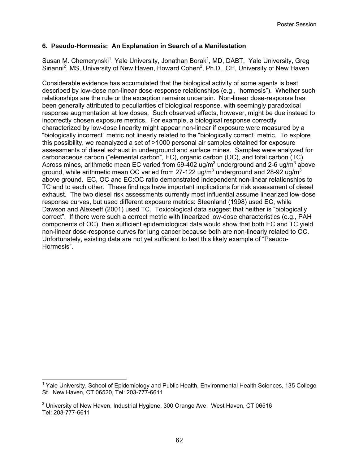# **6. Pseudo-Hormesis: An Explanation in Search of a Manifestation**

Susan M. Chemerynski<sup>1</sup>, Yale University, Jonathan Borak<sup>1</sup>, MD, DABT, Yale University, Greg Sirianni<sup>2</sup>, MS, University of New Haven, Howard Cohen<sup>2</sup>, Ph.D., CH, University of New Haven

Considerable evidence has accumulated that the biological activity of some agents is best described by low-dose non-linear dose-response relationships (e.g., "hormesis"). Whether such relationships are the rule or the exception remains uncertain. Non-linear dose-response has been generally attributed to peculiarities of biological response, with seemingly paradoxical response augmentation at low doses. Such observed effects, however, might be due instead to incorrectly chosen exposure metrics. For example, a biological response correctly characterized by low-dose linearity might appear non-linear if exposure were measured by a "biologically incorrect" metric not linearly related to the "biologically correct" metric. To explore this possibility, we reanalyzed a set of >1000 personal air samples obtained for exposure assessments of diesel exhaust in underground and surface mines. Samples were analyzed for carbonaceous carbon ("elemental carbon", EC), organic carbon (OC), and total carbon (TC). Across mines, arithmetic mean EC varied from 59-402 ug/m<sup>3</sup> underground and 2-6 ug/m<sup>3</sup> above ground, while arithmetic mean OC varied from 27-122 ug/m<sup>3</sup> underground and 28-92 ug/m<sup>3</sup> above ground. EC, OC and EC:OC ratio demonstrated independent non-linear relationships to TC and to each other. These findings have important implications for risk assessment of diesel exhaust. The two diesel risk assessments currently most influential assume linearized low-dose response curves, but used different exposure metrics: Steenland (1998) used EC, while Dawson and Alexeeff (2001) used TC. Toxicological data suggest that neither is "biologically correct". If there were such a correct metric with linearized low-dose characteristics (e.g., PAH components of OC), then sufficient epidemiological data would show that both EC and TC yield non-linear dose-response curves for lung cancer because both are non-linearly related to OC. Unfortunately, existing data are not yet sufficient to test this likely example of "Pseudo-Hormesis".

 1 Yale University, School of Epidemiology and Public Health, Environmental Health Sciences, 135 College St. New Haven, CT 06520, Tel: 203-777-6611

<sup>&</sup>lt;sup>2</sup> University of New Haven, Industrial Hygiene, 300 Orange Ave. West Haven, CT 06516 Tel: 203-777-6611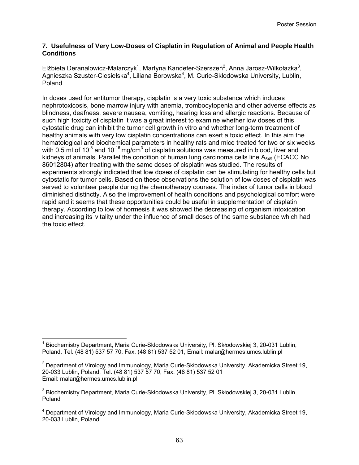## **7. Usefulness of Very Low-Doses of Cisplatin in Regulation of Animal and People Health Conditions**

Elżbieta Deranalowicz-Malarczyk<sup>1</sup>, Martyna Kandefer-Szerszeń<sup>2</sup>, Anna Jarosz-Wilkołazka<sup>3</sup>, Agnieszka Szuster-Ciesielska<sup>4</sup>, Liliana Borowska<sup>4</sup>, M. Curie-Skłodowska University, Lublin, Poland

In doses used for antitumor therapy, cisplatin is a very toxic substance which induces nephrotoxicosis, bone marrow injury with anemia, trombocytopenia and other adverse effects as blindness, deafness, severe nausea, vomiting, hearing loss and allergic reactions. Because of such high toxicity of cisplatin it was a great interest to examine whether low doses of this cytostatic drug can inhibit the tumor cell growth in vitro and whether long-term treatment of healthy animals with very low cisplatin concentrations can exert a toxic effect. In this aim the hematological and biochemical parameters in healthy rats and mice treated for two or six weeks with 0.5 ml of 10<sup>-8</sup> and 10<sup>-16</sup> mg/cm<sup>3</sup> of cisplatin solutions was measured in blood, liver and kidneys of animals. Parallel the condition of human lung carcinoma cells line  $A_{549}$  (ECACC No 86012804) after treating with the same doses of cisplatin was studied. The results of experiments strongly indicated that low doses of cisplatin can be stimulating for healthy cells but cytostatic for tumor cells. Based on these observations the solution of low doses of cisplatin was served to volunteer people during the chemotherapy courses. The index of tumor cells in blood diminished distinctly. Also the improvement of health conditions and psychological comfort were rapid and it seems that these opportunities could be useful in supplementation of cisplatin therapy. According to low of hormesis it was showed the decreasing of organism intoxication and increasing its vitality under the influence of small doses of the same substance which had the toxic effect.

 $\overline{a}$ 

<sup>&</sup>lt;sup>1</sup> Biochemistry Department, Maria Curie-Skłodowska University, Pl. Skłodowskiej 3, 20-031 Lublin, Poland, Tel. (48 81) 537 57 70, Fax. (48 81) 537 52 01, Email: malar@hermes.umcs.lublin.pl

<sup>&</sup>lt;sup>2</sup> Department of Virology and Immunology, Maria Curie-Skłodowska University, Akademicka Street 19, 20-033 Lublin, Poland, Tel. (48 81) 537 57 70, Fax. (48 81) 537 52 01 Email: malar@hermes.umcs.lublin.pl

<sup>&</sup>lt;sup>3</sup> Biochemistry Department, Maria Curie-Skłodowska University, Pl. Skłodowskiej 3, 20-031 Lublin, Poland

<sup>&</sup>lt;sup>4</sup> Department of Virology and Immunology, Maria Curie-Skłodowska University, Akademicka Street 19, 20-033 Lublin, Poland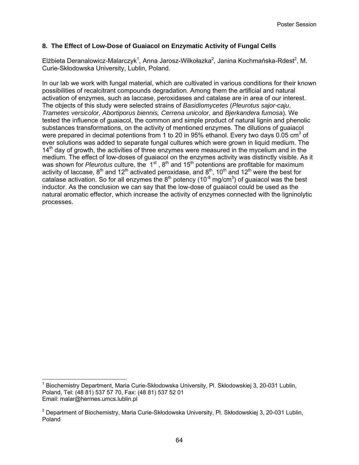# **8. The Effect of Low-Dose of Guaiacol on Enzymatic Activity of Fungal Cells**

Elżbieta Deranalowicz-Malarczyk<sup>1</sup>, Anna Jarosz-Wilkołazka<sup>2</sup>, Janina Kochmańska-Rdest<sup>2</sup>, M. Curie-Skłodowska University, Lublin, Poland.

In our lab we work with fungal material, which are cultivated in various conditions for their known possibilities of recalcitrant compounds degradation. Among them the artificial and natural activation of enzymes, such as laccase, peroxidases and catalase are in area of our interest. The objects of this study were selected strains of *Basidiomycetes* (*Pleurotus sajor-caju*, *Trametes versicolor, Abortiporus biennis, Cerrena unicolor*, and *Bjerkandera fumosa*)*.* We tested the influence of guaiacol, the common and simple product of natural lignin and phenolic substances transformations, on the activity of mentioned enzymes. The dilutions of guaiacol were prepared in decimal potentions from 1 to 20 in 95% ethanol. Every two days 0.05 cm<sup>3</sup> of ever solutions was added to separate fungal cultures which were grown in liquid medium. The  $14<sup>th</sup>$  day of growth, the activities of three enzymes were measured in the mycelium and in the medium. The effect of low-doses of guaiacol on the enzymes activity was distinctly visible. As it was shown for *Pleurotus* culture, the 1<sup>st</sup>, 8<sup>th</sup> and 15<sup>th</sup> potentions are profitable for maximum activity of laccase,  $8^{th}$  and  $12^{th}$  activated peroxidase, and  $8^{th}$ ,  $10^{th}$  and  $12^{th}$  were the best for catalase activation. So for all enzymes the  $8<sup>th</sup>$  potency (10<sup>-8</sup> mg/cm<sup>3</sup>) of guaiacol was the best inductor. As the conclusion we can say that the low-dose of guaiacol could be used as the natural aromatic effector, which increase the activity of enzymes connected with the ligninolytic processes.

<sup>————————————————————&</sup>lt;br><sup>1</sup> Biochemistry Department, Maria Curie-Skłodowska University, Pl. Skłodowskiej 3, 20-031 Lublin, Poland, Tel: (48 81) 537 57 70, Fax: (48 81) 537 52 01 Email: malar@hermes.umcs.lublin.pl

<sup>&</sup>lt;sup>2</sup> Department of Biochemistry, Maria Curie-Skłodowska University, Pl. Skłodowskiej 3, 20-031 Lublin, Poland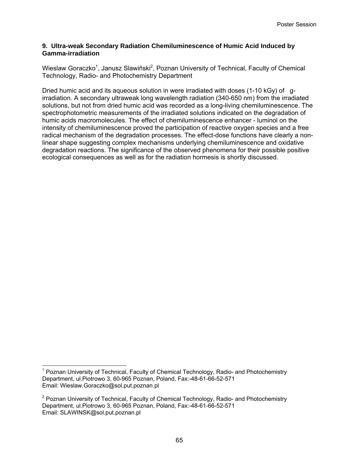#### **9. Ultra-weak Secondary Radiation Chemiluminescence of Humic Acid Induced by Gamma-irradiation**

Wieslaw Goraczko<sup>1</sup>, Janusz Slawiñski<sup>2</sup>, Poznan University of Technical, Faculty of Chemical Technology, Radio- and Photochemistry Department

Dried humic acid and its aqueous solution in were irradiated with doses (1-10 kGy) of girradiation. A secondary ultraweak long wavelength radiation (340-650 nm) from the irradiated solutions, but not from dried humic acid was recorded as a long-living chemiluminescence. The spectrophotometric measurements of the irradiated solutions indicated on the degradation of humic acids macromolecules. The effect of chemiluminescence enhancer - luminol on the intensity of chemiluminescence proved the participation of reactive oxygen species and a free radical mechanism of the degradation processes. The effect-dose functions have clearly a nonlinear shape suggesting complex mechanisms underlying chemiluminescence and oxidative degradation reactions. The significance of the observed phenomena for their possible positive ecological consequences as well as for the radiation hormesis is shortly discussed.

-

<sup>&</sup>lt;sup>1</sup> Poznan University of Technical, Faculty of Chemical Technology, Radio- and Photochemistry Department, ul.Piotrowo 3, 60-965 Poznan, Poland, Fax:-48-61-66-52-571 Email: Wieslaw.Goraczko@sol.put.poznan.pl

<sup>&</sup>lt;sup>2</sup> Poznan University of Technical, Faculty of Chemical Technology, Radio- and Photochemistry Department, ul.Piotrowo 3, 60-965 Poznan, Poland, Fax:-48-61-66-52-571 Email: SLAWINSK@sol.put.poznan.pl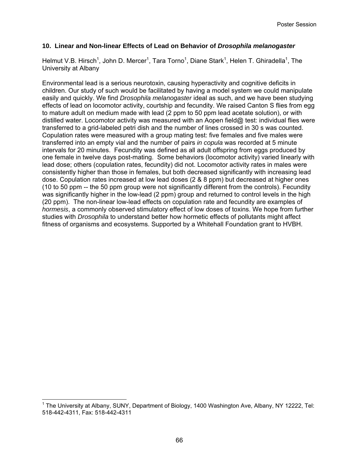## **10. Linear and Non-linear Effects of Lead on Behavior of** *Drosophila melanogaster*

Helmut V.B. Hirsch<sup>1</sup>, John D. Mercer<sup>1</sup>, Tara Torno<sup>1</sup>, Diane Stark<sup>1</sup>, Helen T. Ghiradella<sup>1</sup>, The University at Albany

Environmental lead is a serious neurotoxin, causing hyperactivity and cognitive deficits in children. Our study of such would be facilitated by having a model system we could manipulate easily and quickly. We find *Drosophila melanogaster* ideal as such, and we have been studying effects of lead on locomotor activity, courtship and fecundity. We raised Canton S flies from egg to mature adult on medium made with lead (2 ppm to 50 ppm lead acetate solution), or with distilled water. Locomotor activity was measured with an Aopen field@ test: individual flies were transferred to a grid-labeled petri dish and the number of lines crossed in 30 s was counted. Copulation rates were measured with a group mating test: five females and five males were transferred into an empty vial and the number of pairs *in copula* was recorded at 5 minute intervals for 20 minutes. Fecundity was defined as all adult offspring from eggs produced by one female in twelve days post-mating. Some behaviors (locomotor activity) varied linearly with lead dose; others (copulation rates, fecundity) did not. Locomotor activity rates in males were consistently higher than those in females, but both decreased significantly with increasing lead dose. Copulation rates increased at low lead doses (2 & 8 ppm) but decreased at higher ones (10 to 50 ppm -- the 50 ppm group were not significantly different from the controls). Fecundity was significantly higher in the low-lead (2 ppm) group and returned to control levels in the high (20 ppm). The non-linear low-lead effects on copulation rate and fecundity are examples of *hormesis*, a commonly observed stimulatory effect of low doses of toxins. We hope from further studies with *Drosophila* to understand better how hormetic effects of pollutants might affect fitness of organisms and ecosystems. Supported by a Whitehall Foundation grant to HVBH.

<sup>&</sup>lt;sup>1</sup> The University at Albany, SUNY, Department of Biology, 1400 Washington Ave, Albany, NY 12222, Tel: 518-442-4311, Fax: 518-442-4311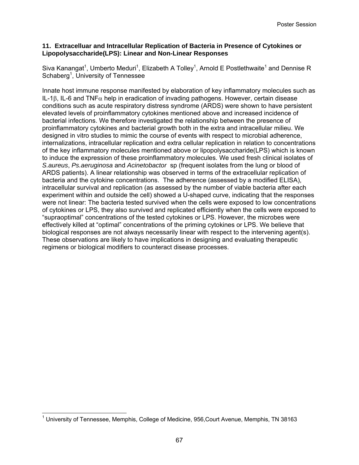#### **11. Extracelluar and Intracellular Replication of Bacteria in Presence of Cytokines or Lipopolysaccharide(LPS): Linear and Non-Linear Responses**

Siva Kanangat<sup>1</sup>, Umberto Meduri<sup>1</sup>, Elizabeth A Tolley<sup>1</sup>, Arnold E Postlethwaite<sup>1</sup> and Dennise R Schaberg<sup>1</sup>, University of Tennessee

Innate host immune response manifested by elaboration of key inflammatory molecules such as IL-1β, IL-6 and TNF $\alpha$  help in eradication of invading pathogens. However, certain disease conditions such as acute respiratory distress syndrome (ARDS) were shown to have persistent elevated levels of proinflammatory cytokines mentioned above and increased incidence of bacterial infections. We therefore investigated the relationship between the presence of proinflammatory cytokines and bacterial growth both in the extra and intracellular milieu. We designed in vitro studies to mimic the course of events with respect to microbial adherence, internalizations, intracellular replication and extra cellular replication in relation to concentrations of the key inflammatory molecules mentioned above or lipopolysaccharide(LPS) which is known to induce the expression of these proinflammatory molecules. We used fresh clinical isolates of *S.aureus*, *Ps.aeruginosa* and *Acinetobactor* sp (frequent isolates from the lung or blood of ARDS patients). A linear relationship was observed in terms of the extracellular replication of bacteria and the cytokine concentrations. The adherence (assessed by a modified ELISA), intracellular survival and replication (as assessed by the number of viable bacteria after each experiment within and outside the cell) showed a U-shaped curve, indicating that the responses were not linear: The bacteria tested survived when the cells were exposed to low concentrations of cytokines or LPS, they also survived and replicated efficiently when the cells were exposed to "supraoptimal" concentrations of the tested cytokines or LPS. However, the microbes were effectively killed at "optimal" concentrations of the priming cytokines or LPS. We believe that biological responses are not always necessarily linear with respect to the intervening agent(s). These observations are likely to have implications in designing and evaluating therapeutic regimens or biological modifiers to counteract disease processes.

<sup>-</sup><sup>1</sup> University of Tennessee, Memphis, College of Medicine, 956,Court Avenue, Memphis, TN 38163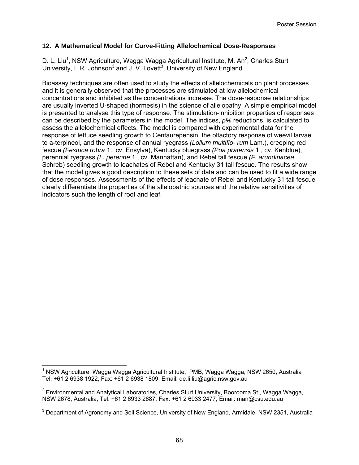# **12. A Mathematical Model for Curve-Fitting Allelochemical Dose-Responses**

D. L. Liu<sup>1</sup>, NSW Agriculture, Wagga Wagga Agricultural Institute, M. An<sup>2</sup>, Charles Sturt University, I. R. Johnson<sup>3</sup> and J. V. Lovett<sup>3</sup>, University of New England

Bioassay techniques are often used to study the effects of allelochemicals on plant processes and it is generally observed that the processes are stimulated at low allelochemical concentrations and inhibited as the concentrations increase. The dose-response relationships are usually inverted U-shaped (hormesis) in the science of allelopathy. A simple empirical model is presented to analyse this type of response. The stimulation-inhibition properties of responses can be described by the parameters in the model. The indices, *p%* reductions, is calculated to assess the allelochemical effects. The model is compared with experimental data for the response of lettuce seedling growth to Centaurepensin, the olfactory response of weevil larvae to a-terpineol, and the response of annual ryegrass *(Lolium multifio- rum* Lam.), creeping red fescue *(Festuca robra* 1., cv. Ensylva), Kentucky bluegrass *(Poa pratensis* 1., cv. Kenblue), perennial ryegrass *(L. perenne* 1., cv. Manhattan), and Rebel tall fescue *(F. arundinacea*  Schreb) seedling growth to leachates of Rebel and Kentucky 31 tall fescue. The results show that the model gives a good description to these sets of data and can be used to fit a wide range of dose responses. Assessments of the effects of leachate of Rebel and Kentucky 31 tall fescue clearly differentiate the properties of the allelopathic sources and the relative sensitivities of indicators such the length of root and leaf.

 1 NSW Agriculture, Wagga Wagga Agricultural Institute, PMB, Wagga Wagga, NSW 2650, Australia Tel: +61 2 6938 1922, Fax: +61 2 6938 1809, Email: de.li.liu@agric.nsw.gov.au

 $^2$  Environmental and Analytical Laboratories, Charles Sturt University, Boorooma St., Wagga Wagga, NSW 2678, Australia, Tel: +61 2 6933 2687, Fax: +61 2 6933 2477, Email: man@csu.edu.au

 $^3$  Department of Agronomy and Soil Science, University of New England, Armidale, NSW 2351, Australia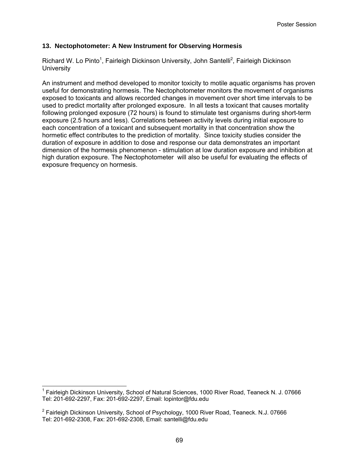## **13. Nectophotometer: A New Instrument for Observing Hormesis**

Richard W. Lo Pinto<sup>1</sup>, Fairleigh Dickinson University, John Santelli<sup>2</sup>, Fairleigh Dickinson **University** 

An instrument and method developed to monitor toxicity to motile aquatic organisms has proven useful for demonstrating hormesis. The Nectophotometer monitors the movement of organisms exposed to toxicants and allows recorded changes in movement over short time intervals to be used to predict mortality after prolonged exposure. In all tests a toxicant that causes mortality following prolonged exposure (72 hours) is found to stimulate test organisms during short-term exposure (2.5 hours and less). Correlations between activity levels during initial exposure to each concentration of a toxicant and subsequent mortality in that concentration show the hormetic effect contributes to the prediction of mortality. Since toxicity studies consider the duration of exposure in addition to dose and response our data demonstrates an important dimension of the hormesis phenomenon - stimulation at low duration exposure and inhibition at high duration exposure. The Nectophotometer will also be useful for evaluating the effects of exposure frequency on hormesis.

<sup>&</sup>lt;sup>1</sup> Fairleigh Dickinson University, School of Natural Sciences, 1000 River Road, Teaneck N. J. 07666 Tel: 201-692-2297, Fax: 201-692-2297, Email: lopintor@fdu.edu

<sup>&</sup>lt;sup>2</sup> Fairleigh Dickinson University, School of Psychology, 1000 River Road, Teaneck. N.J. 07666 Tel: 201-692-2308, Fax: 201-692-2308, Email: santelli@fdu.edu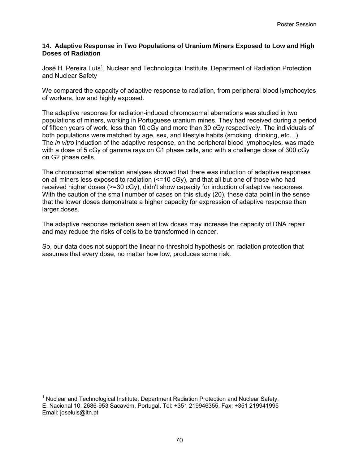#### **14. Adaptive Response in Two Populations of Uranium Miners Exposed to Low and High Doses of Radiation**

José H. Pereira Luís<sup>1</sup>, Nuclear and Technological Institute, Department of Radiation Protection and Nuclear Safety

We compared the capacity of adaptive response to radiation, from peripheral blood lymphocytes of workers, low and highly exposed.

The adaptive response for radiation-induced chromosomal aberrations was studied in two populations of miners, working in Portuguese uranium mines. They had received during a period of fifteen years of work, less than 10 cGy and more than 30 cGy respectively. The individuals of both populations were matched by age, sex, and lifestyle habits (smoking, drinking, etc…). The *in vitro* induction of the adaptive response, on the peripheral blood lymphocytes, was made with a dose of 5 cGy of gamma rays on G1 phase cells, and with a challenge dose of 300 cGy on G2 phase cells.

The chromosomal aberration analyses showed that there was induction of adaptive responses on all miners less exposed to radiation (<=10 cGy), and that all but one of those who had received higher doses (>=30 cGy), didn't show capacity for induction of adaptive responses. With the caution of the small number of cases on this study (20), these data point in the sense that the lower doses demonstrate a higher capacity for expression of adaptive response than larger doses.

The adaptive response radiation seen at low doses may increase the capacity of DNA repair and may reduce the risks of cells to be transformed in cancer.

So, our data does not support the linear no-threshold hypothesis on radiation protection that assumes that every dose, no matter how low, produces some risk.

<sup>&</sup>lt;sup>1</sup> Nuclear and Technological Institute, Department Radiation Protection and Nuclear Safety, E. Nacional 10, 2686-953 Sacavém, Portugal, Tel: +351 219946355, Fax: +351 219941995 Email: joseluis@itn.pt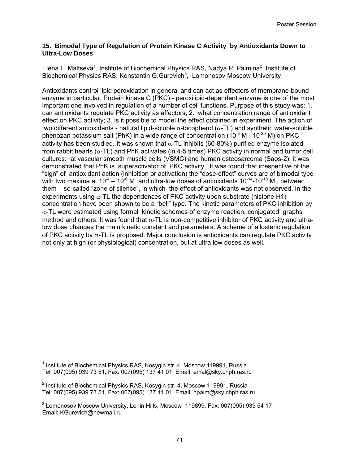## **15. Bimodal Type of Regulation of Protein Kinase C Activity by Antioxidants Down to Ultra-Low Doses**

Elena L. Maltseva<sup>1</sup>, Institute of Biochemical Physics RAS, Nadya P. Palmina<sup>2</sup>, Institute of Biochemical Physics RAS, Konstantin G.Gurevich<sup>3</sup>, Lomonosov Moscow University

Antioxidants control lipid peroxidation in general and can act as effectors of membrane-bound enzyme in particular. Protein kinase C (PKC) - peroxilipid-dependent enzyme is one of the most important one involved in regulation of a number of cell functions. Purpose of this study was: 1. can antioxidants regulate PKC activity as affectors; 2. what concentration range of antioxidant effect on PKC activity; 3. is it possible to model the effect obtained in experiment. The action of two different antioxidants - natural lipid-soluble α-tocopherol (α-TL) and synthetic water-soluble phenozan potassium salt (PhK) in a wide range of concentration (10<sup>-3</sup> M - 10<sup>-20</sup> M) on PKC activity has been studied. It was shown that  $\alpha$ -TL inhibits (60-80%) purified enzyme isolated from rabbit hearts  $(\alpha$ -TL) and PhK activates (in 4-5 times) PKC activity in normal and tumor cell cultures: rat vascular smooth muscle cells (VSMC) and human osteosarcoma (Saos-2); it was demonstrated that PhK is superactivator of PKC activity. It was found that irrespective of the "sign" of antioxidant action (inhibition or activation) the "dose-effect" curves are of bimodal type with two maxima at  $10^{-4} - 10^{-6}$  M and ultra-low doses of antioxidants  $10^{-14}$ -10<sup>-18</sup> M, between them – so-called "zone of silence", in which the effect of antioxidants was not observed. In the experiments using  $\alpha$ -TL the dependences of PKC activity upon substrate (histone H1) concentration have been shown to be a "bell" type. The kinetic parameters of PKC inhibition by  $\alpha$ -TL were estimated using formal kinetic schemes of enzyme reaction, conjugated graphs method and others. It was found that  $\alpha$ -TL is non-competitive inhibitor of PKC activity and ultralow dose changes the main kinetic constant and parameters. A scheme of allosteric regulation of PKC activity by  $\alpha$ -TL is proposed. Major conclusion is antioxidants can regulate PKC activity not only at high (or physiological) concentration, but at ultra low doses as well.

 1 Institute of Biochemical Physics RAS, Kosygin str. 4, Moscow 119991, Russia Tel: 007(095) 939 73 51, Fax: 007(095) 137 41 01, Email: emal@sky.chph.ras.ru

 $^2$  Institute of Biochemical Physics RAS, Kosygin str. 4, Moscow 119991, Russia Tel: 007(095) 939 73 51, Fax: 007(095) 137 41 01, Email: npalm@sky.chph.ras.ru

 $^3$  Lomonosov Moscow University, Lenin Hills, Moscow 119899, Fax: 007(095) 939 54 17 Email: KGurevich@newmail.ru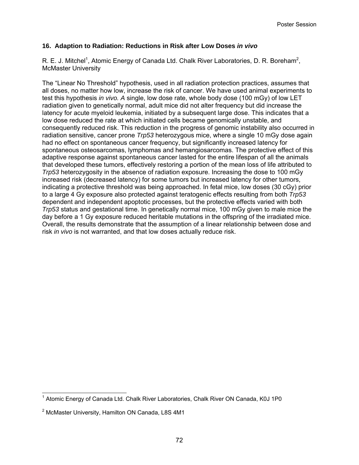# **16. Adaption to Radiation: Reductions in Risk after Low Doses** *in vivo*

R. E. J. Mitchel<sup>1</sup>, Atomic Energy of Canada Ltd. Chalk River Laboratories, D. R. Boreham<sup>2</sup>, McMaster University

The "Linear No Threshold" hypothesis, used in all radiation protection practices, assumes that all doses, no matter how low, increase the risk of cancer. We have used animal experiments to test this hypothesis *in vivo. A* single, low dose rate, whole body dose (100 mGy) of low LET radiation given to genetically normal, adult mice did not alter frequency but did increase the latency for acute myeloid leukemia, initiated by a subsequent large dose. This indicates that a low dose reduced the rate at which initiated cells became genomically unstable, and consequently reduced risk. This reduction in the progress of genomic instability also occurred in radiation sensitive, cancer prone *Trp53* heterozygous mice, where a single 10 mGy dose again had no effect on spontaneous cancer frequency, but significantly increased latency for spontaneous osteosarcomas, lymphomas and hemangiosarcomas. The protective effect of this adaptive response against spontaneous cancer lasted for the entire lifespan of all the animals that developed these tumors, effectively restoring a portion of the mean loss of life attributed to *Trp53* heterozygosity in the absence of radiation exposure. Increasing the dose to 100 mGy increased risk (decreased latency) for some tumors but increased latency for other tumors, indicating a protective threshold was being approached. In fetal mice, low doses (30 cGy) prior to a large 4 Gy exposure also protected against teratogenic effects resulting from both *Trp53* dependent and independent apoptotic processes, but the protective effects varied with both *Trp53* status and gestational time. In genetically normal mice, 100 mGy given to male mice the day before a 1 Gy exposure reduced heritable mutations in the offspring of the irradiated mice. Overall, the results demonstrate that the assumption of a linear relationship between dose and risk *in vivo* is not warranted, and that low doses actually reduce risk.

 1 Atomic Energy of Canada Ltd. Chalk River Laboratories, Chalk River ON Canada, K0J 1P0

<sup>&</sup>lt;sup>2</sup> McMaster University, Hamilton ON Canada, L8S 4M1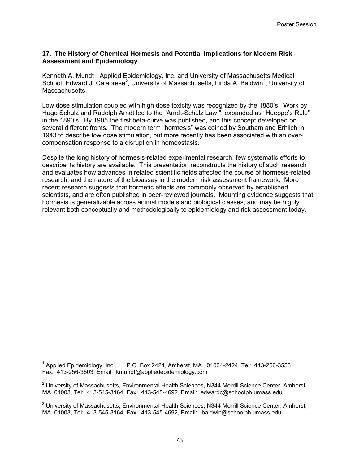# **17. The History of Chemical Hormesis and Potential Implications for Modern Risk Assessment and Epidemiology**

Kenneth A. Mundt<sup>1</sup>, Applied Epidemiology, Inc. and University of Massachusetts Medical School, Edward J. Calabrese<sup>2</sup>, University of Massachusetts, Linda A. Baldwin<sup>3</sup>, University of Massachusetts.

Low dose stimulation coupled with high dose toxicity was recognized by the 1880's. Work by Hugo Schulz and Rudolph Arndt led to the "Arndt-Schulz Law," expanded as "Hueppe's Rule" in the 1890's. By 1905 the first beta-curve was published, and this concept developed on several different fronts. The modern term "hormesis" was coined by Southam and Erhlich in 1943 to describe low dose stimulation, but more recently has been associated with an overcompensation response to a disruption in homeostasis.

Despite the long history of hormesis-related experimental research, few systematic efforts to describe its history are available. This presentation reconstructs the history of such research and evaluates how advances in related scientific fields affected the course of hormesis-related research, and the nature of the bioassay in the modern risk assessment framework. More recent research suggests that hormetic effects are commonly observed by established scientists, and are often published in peer-reviewed journals. Mounting evidence suggests that hormesis is generalizable across animal models and biological classes, and may be highly relevant both conceptually and methodologically to epidemiology and risk assessment today.

 $^1$  Applied Epidemiology, Inc.,  $\quad$  P.O. Box 2424, Amherst, MA  $\quad$  01004-2424, Tel: 413-256-3556 Fax: 413-256-3503, Email: kmundt@appliedepidemiology.com

 $2$  University of Massachusetts, Environmental Health Sciences, N344 Morrill Science Center, Amherst, MA 01003, Tel: 413-545-3164, Fax: 413-545-4692, Email: edwardc@schoolph.umass.edu

 $3$  University of Massachusetts, Environmental Health Sciences, N344 Morrill Science Center, Amherst, MA 01003, Tel: 413-545-3164, Fax: 413-545-4692, Email: lbaldwin@schoolph.umass.edu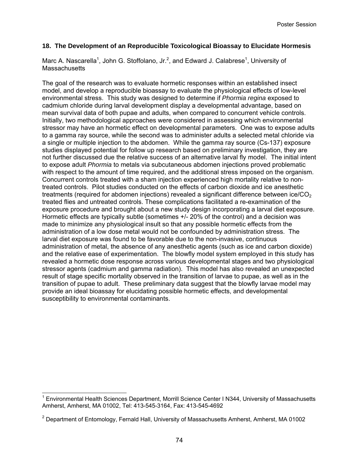# **18. The Development of an Reproducible Toxicological Bioassay to Elucidate Hormesis**

Marc A. Nascarella<sup>1</sup>, John G. Stoffolano, Jr.<sup>2</sup>, and Edward J. Calabrese<sup>1</sup>, University of **Massachusetts** 

The goal of the research was to evaluate hormetic responses within an established insect model, and develop a reproducible bioassay to evaluate the physiological effects of low-level environmental stress. This study was designed to determine if *Phormia regina* exposed to cadmium chloride during larval development display a developmental advantage, based on mean survival data of both pupae and adults, when compared to concurrent vehicle controls. Initially, two methodological approaches were considered in assessing which environmental stressor may have an hormetic effect on developmental parameters. One was to expose adults to a gamma ray source, while the second was to administer adults a selected metal chloride via a single or multiple injection to the abdomen. While the gamma ray source (Cs-137) exposure studies displayed potential for follow up research based on preliminary investigation, they are not further discussed due the relative success of an alternative larval fly model. The initial intent to expose adult *Phormia* to metals via subcutaneous abdomen injections proved problematic with respect to the amount of time required, and the additional stress imposed on the organism. Concurrent controls treated with a sham injection experienced high mortality relative to nontreated controls. Pilot studies conducted on the effects of carbon dioxide and ice anesthetic treatments (required for abdomen injections) revealed a significant difference between ice/ $CO<sub>2</sub>$ treated flies and untreated controls. These complications facilitated a re-examination of the exposure procedure and brought about a new study design incorporating a larval diet exposure. Hormetic effects are typically subtle (sometimes  $+/- 20\%$  of the control) and a decision was made to minimize any physiological insult so that any possible hormetic effects from the administration of a low dose metal would not be confounded by administration stress. The larval diet exposure was found to be favorable due to the non-invasive, continuous administration of metal, the absence of any anesthetic agents (such as ice and carbon dioxide) and the relative ease of experimentation. The blowfly model system employed in this study has revealed a hormetic dose response across various developmental stages and two physiological stressor agents (cadmium and gamma radiation). This model has also revealed an unexpected result of stage specific mortality observed in the transition of larvae to pupae, as well as in the transition of pupae to adult. These preliminary data suggest that the blowfly larvae model may provide an ideal bioassay for elucidating possible hormetic effects, and developmental susceptibility to environmental contaminants.

 <sup>1</sup> Environmental Health Sciences Department, Morrill Science Center I N344, University of Massachusetts Amherst, Amherst, MA 01002, Tel: 413-545-3164, Fax: 413-545-4692

<sup>&</sup>lt;sup>2</sup> Department of Entomology, Fernald Hall, University of Massachusetts Amherst, Amherst, MA 01002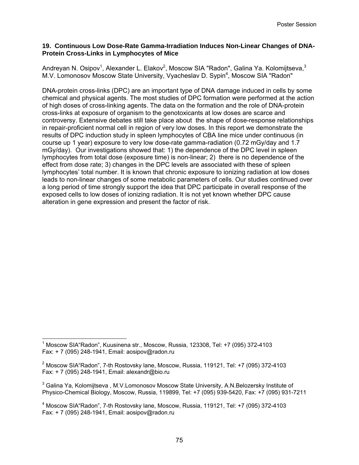## **19. Continuous Low Dose-Rate Gamma-Irradiation Induces Non-Linear Changes of DNA-Protein Cross-Links in Lymphocytes of Mice**

Andreyan N. Osipov<sup>1</sup>, Alexander L. Elakov<sup>2</sup>, Moscow SIA "Radon", Galina Ya. Kolomijtseva,<sup>3</sup> M.V. Lomonosov Moscow State University, Vyacheslav D. Sypin<sup>4</sup>, Moscow SIA "Radon"

DNA-protein cross-links (DPC) are an important type of DNA damage induced in cells by some chemical and physical agents. The most studies of DPC formation were performed at the action of high doses of cross-linking agents. The data on the formation and the role of DNA-protein cross-links at exposure of organism to the genotoxicants at low doses are scarce and controversy. Extensive debates still take place about the shape of dose-response relationships in repair-proficient normal cell in region of very low doses. In this report we demonstrate the results of DPC induction study in spleen lymphocytes of CBA line mice under continuous (in course up 1 year) exposure to very low dose-rate gamma-radiation (0.72 mGy/day and 1.7 mGy/day). Our investigations showed that: 1) the dependence of the DPC level in spleen lymphocytes from total dose (exposure time) is non-linear; 2) there is no dependence of the effect from dose rate; 3) changes in the DPC levels are associated with these of spleen lymphocytes' total number. It is known that chronic exposure to ionizing radiation at low doses leads to non-linear changes of some metabolic parameters of cells. Our studies continued over a long period of time strongly support the idea that DPC participate in overall response of the exposed cells to low doses of ionizing radiation. It is not yet known whether DPC cause alteration in gene expression and present the factor of risk.

 1 Moscow SIA"Radon", Kuusinena str., Moscow, Russia, 123308, Tel: +7 (095) 372-4103 Fax: + 7 (095) 248-1941, Email: aosipov@radon.ru

 $^2$  Moscow SIA"Radon", 7-th Rostovsky lane, Moscow, Russia, 119121, Tel: +7 (095) 372-4103 Fax: + 7 (095) 248-1941, Email: alexandr@bio.ru

 $^3$  Galina Ya, Kolomijtseva , M.V.Lomonosov Moscow State University, A.N.Belozersky Institute of Physico-Chemical Biology, Moscow, Russia, 119899, Tel: +7 (095) 939-5420, Fax: +7 (095) 931-7211

<sup>4</sup> Moscow SIA"Radon", 7-th Rostovsky lane, Moscow, Russia, 119121, Tel: +7 (095) 372-4103 Fax: + 7 (095) 248-1941, Email: aosipov@radon.ru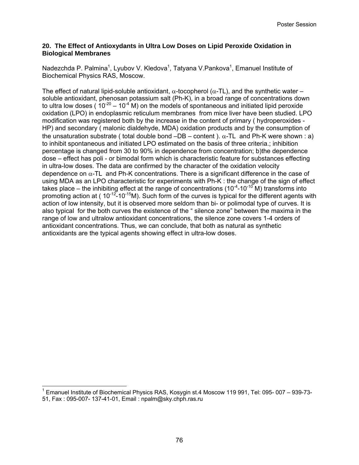## **20. The Effect of Antioxydants in Ultra Low Doses on Lipid Peroxide Oxidation in Biological Membranes**

Nadezchda P. Palmina<sup>1</sup>, Lyubov V. Kledova<sup>1</sup>, Tatyana V.Pankova<sup>1</sup>, Emanuel Institute of Biochemical Physics RAS, Moscow.

The effect of natural lipid-soluble antioxidant,  $\alpha$ -tocopherol ( $\alpha$ -TL), and the synthetic water – soluble antioxidant, phenosan potassium salt (Ph-K), in a broad range of concentrations down to ultra low doses ( $10^{-20} - 10^{-4}$  M) on the models of spontaneous and initiated lipid peroxide oxidation (LPO) in endoplasmic reticulum membranes from mice liver have been studied. LPO modification was registered both by the increase in the content of primary ( hydroperoxides - HP) and secondary ( malonic dialdehyde, MDA) oxidation products and by the consumption of the unsaturation substrate ( total double bond  $-DB$  – content ).  $\alpha$ -TL and Ph-K were shown : a) to inhibit spontaneous and initiated LPO estimated on the basis of three criteria.; inhibition percentage is changed from 30 to 90% in dependence from concentration; b)the dependence dose – effect has poli - or bimodal form which is characteristic feature for substances effecting in ultra-low doses. The data are confirmed by the character of the oxidation velocity dependence on  $\alpha$ -TL and Ph-K concentrations. There is a significant difference in the case of using MDA as an LPO characteristic for experiments with Ph-K : the change of the sign of effect takes place – the inhibiting effect at the range of concentrations ( $10^{-4}$ - $10^{-10}$  M) transforms into promoting action at ( $10^{-12}$ -10<sup>-15</sup>M). Such form of the curves is typical for the different agents with action of low intensity, but it is observed more seldom than bi- or polimodal type of curves. It is also typical for the both curves the existence of the " silence zone" between the maxima in the range of low and ultralow antioxidant concentrations, the silence zone covers 1-4 orders of antioxidant concentrations. Thus, we can conclude, that both as natural as synthetic antioxidants are the typical agents showing effect in ultra-low doses.

<sup>-</sup><sup>1</sup> Emanuel Institute of Biochemical Physics RAS, Kosygin st.4 Moscow 119 991, Tel: 095- 007 – 939-73-51, Fax : 095-007- 137-41-01, Email : npalm@sky.chph.ras.ru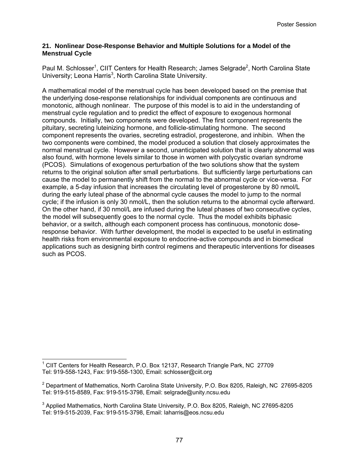# **21. Nonlinear Dose-Response Behavior and Multiple Solutions for a Model of the Menstrual Cycle**

Paul M. Schlosser<sup>1</sup>, CIIT Centers for Health Research; James Selgrade<sup>2</sup>, North Carolina State University; Leona Harris<sup>3</sup>, North Carolina State University.

A mathematical model of the menstrual cycle has been developed based on the premise that the underlying dose-response relationships for individual components are continuous and monotonic, although nonlinear. The purpose of this model is to aid in the understanding of menstrual cycle regulation and to predict the effect of exposure to exogenous hormonal compounds. Initially, two components were developed. The first component represents the pituitary, secreting luteinizing hormone, and follicle-stimulating hormone. The second component represents the ovaries, secreting estradiol, progesterone, and inhibin. When the two components were combined, the model produced a solution that closely approximates the normal menstrual cycle. However a second, unanticipated solution that is clearly abnormal was also found, with hormone levels similar to those in women with polycystic ovarian syndrome (PCOS). Simulations of exogenous perturbation of the two solutions show that the system returns to the original solution after small perturbations. But sufficiently large perturbations can cause the model to permanently shift from the normal to the abnormal cycle or vice-versa. For example, a 5-day infusion that increases the circulating level of progesterone by 80 nmol/L during the early luteal phase of the abnormal cycle causes the model to jump to the normal cycle; if the infusion is only 30 nmol/L, then the solution returns to the abnormal cycle afterward. On the other hand, if 30 nmol/L are infused during the luteal phases of two consecutive cycles, the model will subsequently goes to the normal cycle. Thus the model exhibits biphasic behavior, or a switch, although each component process has continuous, monotonic doseresponse behavior. With further development, the model is expected to be useful in estimating health risks from environmental exposure to endocrine-active compounds and in biomedical applications such as designing birth control regimens and therapeutic interventions for diseases such as PCOS.

 $\overline{a}$ 

<sup>&</sup>lt;sup>1</sup> CIIT Centers for Health Research, P.O. Box 12137, Research Triangle Park, NC 27709 Tel: 919-558-1243, Fax: 919-558-1300, Email: schlosser@ciit.org

<sup>&</sup>lt;sup>2</sup> Department of Mathematics, North Carolina State University, P.O. Box 8205, Raleigh, NC 27695-8205 Tel: 919-515-8589, Fax: 919-515-3798, Email: selgrade@unity.ncsu.edu

 $^3$  Applied Mathematics, North Carolina State University, P.O. Box 8205, Raleigh, NC 27695-8205 Tel: 919-515-2039, Fax: 919-515-3798, Email: laharris@eos.ncsu.edu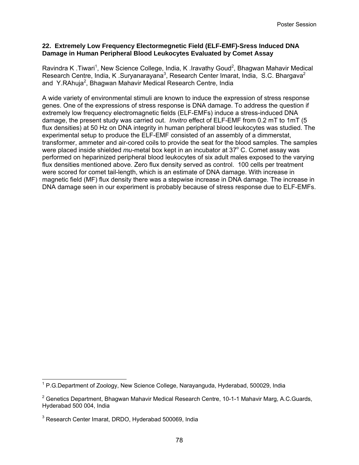#### **22. Extremely Low Frequency Electormegnetic Field (ELF-EMF)-Sress Induced DNA Damage in Human Peripheral Blood Leukocytes Evaluated by Comet Assay**

Ravindra K .Tiwari<sup>1</sup>, New Science College, India, K .Iravathy Goud<sup>2</sup>, Bhagwan Mahavir Medical Research Centre, India, K. Suryanarayana<sup>3</sup>, Research Center Imarat, India, S.C. Bhargava<sup>2</sup> and Y.RAhuja<sup>2</sup>, Bhagwan Mahavir Medical Research Centre, India

A wide variety of environmental stimuli are known to induce the expression of stress response genes. One of the expressions of stress response is DNA damage. To address the question if extremely low frequency electromagnetic fields (ELF-EMFs) induce a stress-induced DNA damage, the present study was carried out. *Invitro* effect of ELF-EMF from 0.2 mT to 1mT (5 flux densities) at 50 Hz on DNA integrity in human peripheral blood leukocytes was studied. The experimental setup to produce the ELF-EMF consisted of an assembly of a dimmerstat, transformer, ammeter and air-cored coils to provide the seat for the blood samples. The samples were placed inside shielded *mu*-metal box kept in an incubator at 37° C. Comet assay was performed on heparinized peripheral blood leukocytes of six adult males exposed to the varying flux densities mentioned above. Zero flux density served as control. 100 cells per treatment were scored for comet tail-length, which is an estimate of DNA damage. With increase in magnetic field (MF) flux density there was a stepwise increase in DNA damage. The increase in DNA damage seen in our experiment is probably because of stress response due to ELF-EMFs.

 1 P.G.Department of Zoology, New Science College, Narayanguda, Hyderabad, 500029, India

<sup>&</sup>lt;sup>2</sup> Genetics Department, Bhagwan Mahavir Medical Research Centre, 10-1-1 Mahavir Marg, A.C.Guards, Hyderabad 500 004, India

<sup>&</sup>lt;sup>3</sup> Research Center Imarat, DRDO, Hyderabad 500069, India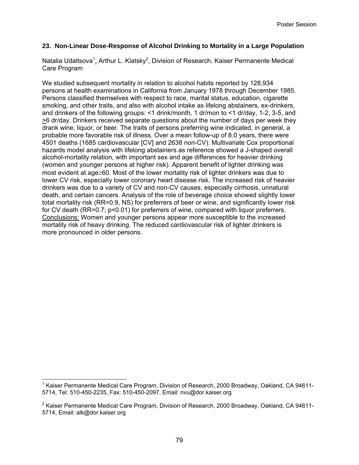# **23. Non-Linear Dose-Response of Alcohol Drinking to Mortality in a Large Population**

Natalia Udaltsova<sup>1</sup>, Arthur L. Klatsky<sup>2</sup>, Division of Research, Kaiser Permanente Medical Care Program

We studied subsequent mortality in relation to alcohol habits reported by 128,934 persons at health examinations in California from January 1978 through December 1985. Persons classified themselves with respect to race, marital status, education, cigarette smoking, and other traits, and also with alcohol intake as lifelong abstainers, ex-drinkers, and drinkers of the following groups: <1 drink/month, 1 dr/mon to <1 dr/day, 1-2, 3-5, and >6 dr/day. Drinkers received separate questions about the number of days per week they drank wine, liquor, or beer. The traits of persons preferring wine indicated, in general, a probable more favorable risk of illness. Over a mean follow-up of 8.0 years, there were 4501 deaths (1685 cardiovascular [CV] and 2638 non-CV). Multivariate Cox proportional hazards model analysis with lifelong abstainers as reference showed a J-shaped overall alcohol-mortality relation, with important sex and age differences for heavier drinking (women and younger persons at higher risk). Apparent benefit of lighter drinking was most evident at age≥60. Most of the lower mortality risk of lighter drinkers was due to lower CV risk, especially lower coronary heart disease risk. The increased risk of heavier drinkers was due to a variety of CV and non-CV causes, especially cirrhosis, unnatural death, and certain cancers. Analysis of the role of beverage choice showed slightly lower total mortality risk (RR=0.9, NS) for preferrers of beer or wine, and significantly lower risk for CV death (RR=0.7; p<0.01) for preferrers of wine, compared with liquor preferrers. Conclusions: Women and younger persons appear more susceptible to the increased mortality risk of heavy drinking. The reduced cardiovascular risk of lighter drinkers is more pronounced in older persons.

<sup>————————————————————&</sup>lt;br><sup>1</sup> Kaiser Permanente Medical Care Program, Division of Research, 2000 Broadway, Oakland, CA 94611-5714, Tel: 510-450-2235, Fax: 510-450-2097. Email: nvu@dor.kaiser.org

 $^{2}$  Kaiser Permanente Medical Care Program, Division of Research, 2000 Broadway, Oakland, CA 94611-5714, Email: alk@dor.kaiser.org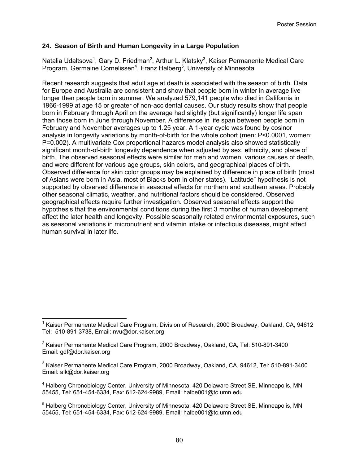# **24. Season of Birth and Human Longevity in a Large Population**

Natalia Udaltsova<sup>1</sup>, Gary D. Friedman<sup>2</sup>, Arthur L. Klatsky<sup>3</sup>, Kaiser Permanente Medical Care Program, Germaine Cornelissen<sup>4</sup>, Franz Halberg<sup>5</sup>, University of Minnesota

Recent research suggests that adult age at death is associated with the season of birth. Data for Europe and Australia are consistent and show that people born in winter in average live longer then people born in summer. We analyzed 579,141 people who died in California in 1966-1999 at age 15 or greater of non-accidental causes. Our study results show that people born in February through April on the average had slightly (but significantly) longer life span than those born in June through November. A difference in life span between people born in February and November averages up to 1.25 year. A 1-year cycle was found by cosinor analysis in longevity variations by month-of-birth for the whole cohort (men: P<0.0001, women: P=0.002). A multivariate Cox proportional hazards model analysis also showed statistically significant month-of-birth longevity dependence when adjusted by sex, ethnicity, and place of birth. The observed seasonal effects were similar for men and women, various causes of death, and were different for various age groups, skin colors, and geographical places of birth. Observed difference for skin color groups may be explained by difference in place of birth (most of Asians were born in Asia, most of Blacks born in other states). "Latitude" hypothesis is not supported by observed difference in seasonal effects for northern and southern areas. Probably other seasonal climatic, weather, and nutritional factors should be considered. Observed geographical effects require further investigation. Observed seasonal effects support the hypothesis that the environmental conditions during the first 3 months of human development affect the later health and longevity. Possible seasonally related environmental exposures, such as seasonal variations in micronutrient and vitamin intake or infectious diseases, might affect human survival in later life.

<sup>————————————————————&</sup>lt;br><sup>1</sup> Kaiser Permanente Medical Care Program, Division of Research, 2000 Broadway, Oakland, CA, 94612 Tel: 510-891-3738, Email: nvu@dor.kaiser.org

 $2$  Kaiser Permanente Medical Care Program, 2000 Broadway, Oakland, CA, Tel: 510-891-3400 Email: gdf@dor.kaiser.org

 $^3$  Kaiser Permanente Medical Care Program, 2000 Broadway, Oakland, CA, 94612, Tel: 510-891-3400 Email: alk@dor.kaiser.org

<sup>&</sup>lt;sup>4</sup> Halberg Chronobiology Center, University of Minnesota, 420 Delaware Street SE, Minneapolis, MN 55455, Tel: 651-454-6334, Fax: 612-624-9989, Email: halbe001@tc.umn.edu

<sup>&</sup>lt;sup>5</sup> Halberg Chronobiology Center, University of Minnesota, 420 Delaware Street SE, Minneapolis, MN 55455, Tel: 651-454-6334, Fax: 612-624-9989, Email: halbe001@tc.umn.edu